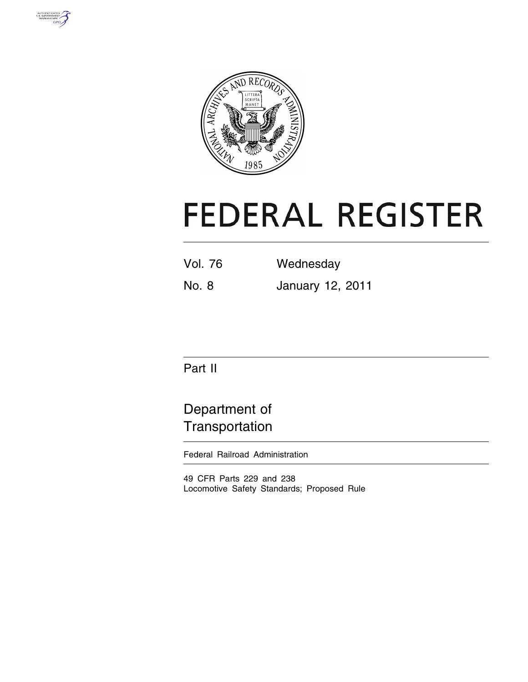



# **FEDERAL REGISTER**

| <b>Vol. 76</b> | Wednesday        |  |  |
|----------------|------------------|--|--|
| No. 8          | January 12, 2011 |  |  |

Part II

# Department of **Transportation**

Federal Railroad Administration

49 CFR Parts 229 and 238 Locomotive Safety Standards; Proposed Rule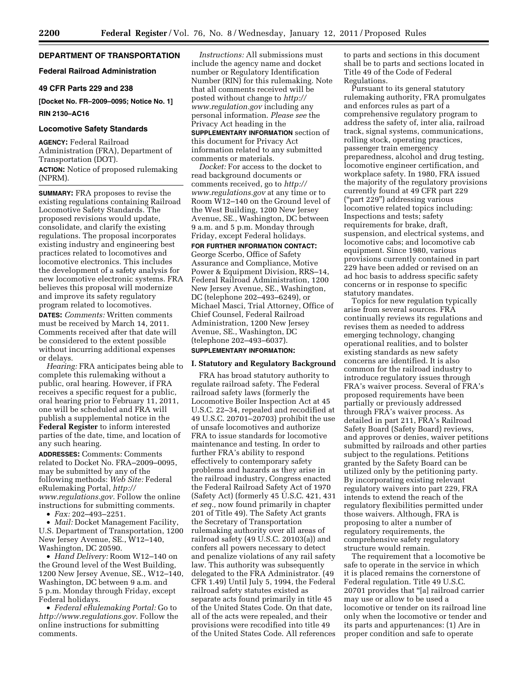# **DEPARTMENT OF TRANSPORTATION**

# **Federal Railroad Administration**

# **49 CFR Parts 229 and 238**

**[Docket No. FR–2009–0095; Notice No. 1]** 

# **RIN 2130–AC16**

# **Locomotive Safety Standards**

**AGENCY:** Federal Railroad Administration (FRA), Department of Transportation (DOT).

**ACTION:** Notice of proposed rulemaking (NPRM).

**SUMMARY:** FRA proposes to revise the existing regulations containing Railroad Locomotive Safety Standards. The proposed revisions would update, consolidate, and clarify the existing regulations. The proposal incorporates existing industry and engineering best practices related to locomotives and locomotive electronics. This includes the development of a safety analysis for new locomotive electronic systems. FRA believes this proposal will modernize and improve its safety regulatory program related to locomotives.

**DATES:** *Comments:* Written comments must be received by March 14, 2011. Comments received after that date will be considered to the extent possible without incurring additional expenses or delays.

*Hearing:* FRA anticipates being able to complete this rulemaking without a public, oral hearing. However, if FRA receives a specific request for a public, oral hearing prior to February 11, 2011, one will be scheduled and FRA will publish a supplemental notice in the **Federal Register** to inform interested parties of the date, time, and location of any such hearing.

**ADDRESSES:** Comments: Comments related to Docket No. FRA–2009–0095, may be submitted by any of the following methods: *Web Site:* Federal eRulemaking Portal, *[http://](http://www.regulations.gov) [www.regulations.gov.](http://www.regulations.gov)* Follow the online instructions for submitting comments.

• *Fax:* 202–493–2251.

• *Mail:* Docket Management Facility, U.S. Department of Transportation, 1200 New Jersey Avenue, SE., W12–140, Washington, DC 20590.

• *Hand Delivery:* Room W12–140 on the Ground level of the West Building, 1200 New Jersey Avenue, SE., W12–140, Washington, DC between 9 a.m. and 5 p.m. Monday through Friday, except Federal holidays.

• *Federal eRulemaking Portal:* Go to *[http://www.regulations.gov.](http://www.regulations.gov)* Follow the online instructions for submitting comments.

*Instructions:* All submissions must include the agency name and docket number or Regulatory Identification Number (RIN) for this rulemaking. Note that all comments received will be posted without change to *[http://](http://www.regulation.gov) [www.regulation.gov](http://www.regulation.gov)* including any personal information. *Please see* the Privacy Act heading in the

**SUPPLEMENTARY INFORMATION** section of this document for Privacy Act information related to any submitted comments or materials.

*Docket:* For access to the docket to read background documents or comments received, go to *[http://](http://www.regulations.gov)  [www.regulations.gov](http://www.regulations.gov)* at any time or to Room W12–140 on the Ground level of the West Building, 1200 New Jersey Avenue, SE., Washington, DC between 9 a.m. and 5 p.m. Monday through Friday, except Federal holidays.

# **FOR FURTHER INFORMATION CONTACT:**  George Scerbo, Office of Safety

Assurance and Compliance, Motive Power & Equipment Division, RRS–14, Federal Railroad Administration, 1200 New Jersey Avenue, SE., Washington, DC (telephone 202–493–6249), or Michael Masci, Trial Attorney, Office of Chief Counsel, Federal Railroad Administration, 1200 New Jersey Avenue, SE., Washington, DC (telephone 202–493–6037).

# **SUPPLEMENTARY INFORMATION:**

# **I. Statutory and Regulatory Background**

FRA has broad statutory authority to regulate railroad safety. The Federal railroad safety laws (formerly the Locomotive Boiler Inspection Act at 45 U.S.C. 22–34, repealed and recodified at 49 U.S.C. 20701–20703) prohibit the use of unsafe locomotives and authorize FRA to issue standards for locomotive maintenance and testing. In order to further FRA's ability to respond effectively to contemporary safety problems and hazards as they arise in the railroad industry, Congress enacted the Federal Railroad Safety Act of 1970 (Safety Act) (formerly 45 U.S.C. 421, 431 *et seq.,* now found primarily in chapter 201 of Title 49). The Safety Act grants the Secretary of Transportation rulemaking authority over all areas of railroad safety (49 U.S.C. 20103(a)) and confers all powers necessary to detect and penalize violations of any rail safety law. This authority was subsequently delegated to the FRA Administrator. (49 CFR 1.49) Until July 5, 1994, the Federal railroad safety statutes existed as separate acts found primarily in title 45 of the United States Code. On that date, all of the acts were repealed, and their provisions were recodified into title 49 of the United States Code. All references

to parts and sections in this document shall be to parts and sections located in Title 49 of the Code of Federal Regulations.

Pursuant to its general statutory rulemaking authority, FRA promulgates and enforces rules as part of a comprehensive regulatory program to address the safety of, inter alia, railroad track, signal systems, communications, rolling stock, operating practices, passenger train emergency preparedness, alcohol and drug testing, locomotive engineer certification, and workplace safety. In 1980, FRA issued the majority of the regulatory provisions currently found at 49 CFR part 229 (''part 229'') addressing various locomotive related topics including: Inspections and tests; safety requirements for brake, draft, suspension, and electrical systems, and locomotive cabs; and locomotive cab equipment. Since 1980, various provisions currently contained in part 229 have been added or revised on an ad hoc basis to address specific safety concerns or in response to specific statutory mandates.

Topics for new regulation typically arise from several sources. FRA continually reviews its regulations and revises them as needed to address emerging technology, changing operational realities, and to bolster existing standards as new safety concerns are identified. It is also common for the railroad industry to introduce regulatory issues through FRA's waiver process. Several of FRA's proposed requirements have been partially or previously addressed through FRA's waiver process. As detailed in part 211, FRA's Railroad Safety Board (Safety Board) reviews, and approves or denies, waiver petitions submitted by railroads and other parties subject to the regulations. Petitions granted by the Safety Board can be utilized only by the petitioning party. By incorporating existing relevant regulatory waivers into part 229, FRA intends to extend the reach of the regulatory flexibilities permitted under those waivers. Although, FRA is proposing to alter a number of regulatory requirements, the comprehensive safety regulatory structure would remain.

The requirement that a locomotive be safe to operate in the service in which it is placed remains the cornerstone of Federal regulation. Title 49 U.S.C. 20701 provides that ''[a] railroad carrier may use or allow to be used a locomotive or tender on its railroad line only when the locomotive or tender and its parts and appurtenances: (1) Are in proper condition and safe to operate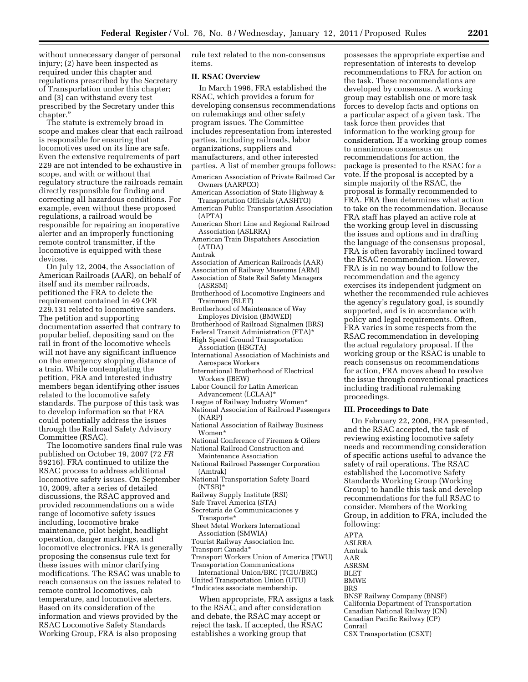without unnecessary danger of personal injury; (2) have been inspected as required under this chapter and regulations prescribed by the Secretary of Transportation under this chapter; and (3) can withstand every test prescribed by the Secretary under this chapter.''

The statute is extremely broad in scope and makes clear that each railroad is responsible for ensuring that locomotives used on its line are safe. Even the extensive requirements of part 229 are not intended to be exhaustive in scope, and with or without that regulatory structure the railroads remain directly responsible for finding and correcting all hazardous conditions. For example, even without these proposed regulations, a railroad would be responsible for repairing an inoperative alerter and an improperly functioning remote control transmitter, if the locomotive is equipped with these devices.

On July 12, 2004, the Association of American Railroads (AAR), on behalf of itself and its member railroads, petitioned the FRA to delete the requirement contained in 49 CFR 229.131 related to locomotive sanders. The petition and supporting documentation asserted that contrary to popular belief, depositing sand on the rail in front of the locomotive wheels will not have any significant influence on the emergency stopping distance of a train. While contemplating the petition, FRA and interested industry members began identifying other issues related to the locomotive safety standards. The purpose of this task was to develop information so that FRA could potentially address the issues through the Railroad Safety Advisory Committee (RSAC).

The locomotive sanders final rule was published on October 19, 2007 (72 *FR*  59216). FRA continued to utilize the RSAC process to address additional locomotive safety issues. On September 10, 2009, after a series of detailed discussions, the RSAC approved and provided recommendations on a wide range of locomotive safety issues including, locomotive brake maintenance, pilot height, headlight operation, danger markings, and locomotive electronics. FRA is generally proposing the consensus rule text for these issues with minor clarifying modifications. The RSAC was unable to reach consensus on the issues related to remote control locomotives, cab temperature, and locomotive alerters. Based on its consideration of the information and views provided by the RSAC Locomotive Safety Standards Working Group, FRA is also proposing

rule text related to the non-consensus items.

# **II. RSAC Overview**

In March 1996, FRA established the RSAC, which provides a forum for developing consensus recommendations on rulemakings and other safety program issues. The Committee includes representation from interested parties, including railroads, labor organizations, suppliers and manufacturers, and other interested parties. A list of member groups follows:

- American Association of Private Railroad Car Owners (AARPCO)
- American Association of State Highway & Transportation Officials (AASHTO)

American Public Transportation Association (APTA)

- American Short Line and Regional Railroad Association (ASLRRA)
- American Train Dispatchers Association (ATDA)
- Amtrak
- Association of American Railroads (AAR)
- Association of Railway Museums (ARM)
- Association of State Rail Safety Managers
- (ASRSM)
- Brotherhood of Locomotive Engineers and Trainmen (BLET)
- Brotherhood of Maintenance of Way Employes Division (BMWED)
- Brotherhood of Railroad Signalmen (BRS)
- Federal Transit Administration (FTA)\*
- High Speed Ground Transportation
- Association (HSGTA)
- International Association of Machinists and Aerospace Workers
- International Brotherhood of Electrical Workers (IBEW)
- Labor Council for Latin American Advancement (LCLAA)\*
- League of Railway Industry Women\*
- National Association of Railroad Passengers (NARP)
- National Association of Railway Business Women\*
- National Conference of Firemen & Oilers
- National Railroad Construction and
- Maintenance Association National Railroad Passenger Corporation (Amtrak)

National Transportation Safety Board

- (NTSB)\*
- Railway Supply Institute (RSI)
- Safe Travel America (STA)
- Secretaria de Communicaciones y Transporte\*
- Sheet Metal Workers International Association (SMWIA)
- Tourist Railway Association Inc.
- Transport Canada\*
- Transport Workers Union of America (TWU) Transportation Communications

International Union/BRC (TCIU/BRC) United Transportation Union (UTU) \*Indicates associate membership.

When appropriate, FRA assigns a task to the RSAC, and after consideration and debate, the RSAC may accept or reject the task. If accepted, the RSAC establishes a working group that

possesses the appropriate expertise and representation of interests to develop recommendations to FRA for action on the task. These recommendations are developed by consensus. A working group may establish one or more task forces to develop facts and options on a particular aspect of a given task. The task force then provides that information to the working group for consideration. If a working group comes to unanimous consensus on recommendations for action, the package is presented to the RSAC for a vote. If the proposal is accepted by a simple majority of the RSAC, the proposal is formally recommended to FRA. FRA then determines what action to take on the recommendation. Because FRA staff has played an active role at the working group level in discussing the issues and options and in drafting the language of the consensus proposal, FRA is often favorably inclined toward the RSAC recommendation. However, FRA is in no way bound to follow the recommendation and the agency exercises its independent judgment on whether the recommended rule achieves the agency's regulatory goal, is soundly supported, and is in accordance with policy and legal requirements. Often, FRA varies in some respects from the RSAC recommendation in developing the actual regulatory proposal. If the working group or the RSAC is unable to reach consensus on recommendations for action, FRA moves ahead to resolve the issue through conventional practices including traditional rulemaking proceedings.

# **III. Proceedings to Date**

On February 22, 2006, FRA presented, and the RSAC accepted, the task of reviewing existing locomotive safety needs and recommending consideration of specific actions useful to advance the safety of rail operations. The RSAC established the Locomotive Safety Standards Working Group (Working Group) to handle this task and develop recommendations for the full RSAC to consider. Members of the Working Group, in addition to FRA, included the following:

APTA ASLRRA Amtrak AAR ASRSM BLET BMWE BRS BNSF Railway Company (BNSF) California Department of Transportation Canadian National Railway (CN) Canadian Pacific Railway (CP) Conrail CSX Transportation (CSXT)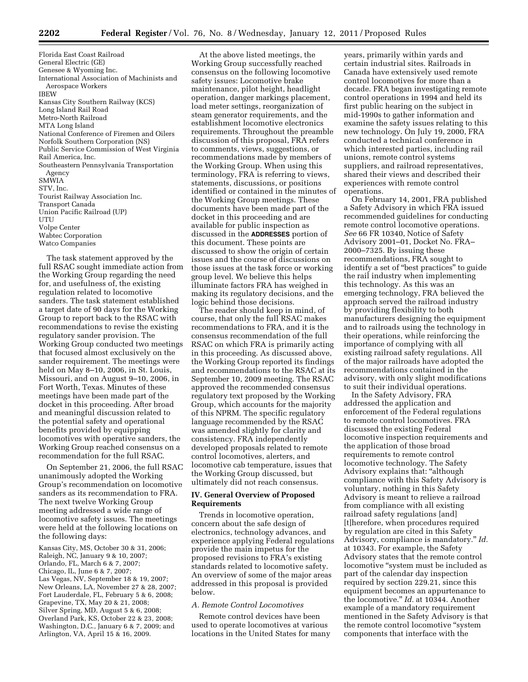Florida East Coast Railroad General Electric (GE) Genesee & Wyoming Inc. International Association of Machinists and Aerospace Workers IBEW Kansas City Southern Railway (KCS) Long Island Rail Road Metro-North Railroad MTA Long Island National Conference of Firemen and Oilers Norfolk Southern Corporation (NS) Public Service Commission of West Virginia Rail America, Inc. Southeastern Pennsylvania Transportation Agency SMWIA STV, Inc. Tourist Railway Association Inc. Transport Canada Union Pacific Railroad (UP) UTU Volpe Center Wabtec Corporation Watco Companies

The task statement approved by the full RSAC sought immediate action from the Working Group regarding the need for, and usefulness of, the existing regulation related to locomotive sanders. The task statement established a target date of 90 days for the Working Group to report back to the RSAC with recommendations to revise the existing regulatory sander provision. The Working Group conducted two meetings that focused almost exclusively on the sander requirement. The meetings were held on May 8–10, 2006, in St. Louis, Missouri, and on August 9–10, 2006, in Fort Worth, Texas. Minutes of these meetings have been made part of the docket in this proceeding. After broad and meaningful discussion related to the potential safety and operational benefits provided by equipping locomotives with operative sanders, the Working Group reached consensus on a recommendation for the full RSAC.

On September 21, 2006, the full RSAC unanimously adopted the Working Group's recommendation on locomotive sanders as its recommendation to FRA. The next twelve Working Group meeting addressed a wide range of locomotive safety issues. The meetings were held at the following locations on the following days:

Kansas City, MS, October 30 & 31, 2006; Raleigh, NC, January 9 & 10, 2007; Orlando, FL, March 6 & 7, 2007; Chicago, IL, June 6 & 7, 2007; Las Vegas, NV, September 18 & 19, 2007; New Orleans, LA, November 27 & 28, 2007; Fort Lauderdale, FL, February 5 & 6, 2008; Grapevine, TX, May 20 & 21, 2008; Silver Spring, MD, August 5 & 6, 2008; Overland Park, KS, October 22 & 23, 2008; Washington, D.C., January 6 & 7, 2009; and Arlington, VA, April 15 & 16, 2009.

At the above listed meetings, the Working Group successfully reached consensus on the following locomotive safety issues: Locomotive brake maintenance, pilot height, headlight operation, danger markings placement, load meter settings, reorganization of steam generator requirements, and the establishment locomotive electronics requirements. Throughout the preamble discussion of this proposal, FRA refers to comments, views, suggestions, or recommendations made by members of the Working Group. When using this terminology, FRA is referring to views, statements, discussions, or positions identified or contained in the minutes of the Working Group meetings. These documents have been made part of the docket in this proceeding and are available for public inspection as discussed in the **ADDRESSES** portion of this document. These points are discussed to show the origin of certain issues and the course of discussions on those issues at the task force or working group level. We believe this helps illuminate factors FRA has weighed in making its regulatory decisions, and the logic behind those decisions.

The reader should keep in mind, of course, that only the full RSAC makes recommendations to FRA, and it is the consensus recommendation of the full RSAC on which FRA is primarily acting in this proceeding. As discussed above, the Working Group reported its findings and recommendations to the RSAC at its September 10, 2009 meeting. The RSAC approved the recommended consensus regulatory text proposed by the Working Group, which accounts for the majority of this NPRM. The specific regulatory language recommended by the RSAC was amended slightly for clarity and consistency. FRA independently developed proposals related to remote control locomotives, alerters, and locomotive cab temperature, issues that the Working Group discussed, but ultimately did not reach consensus.

# **IV. General Overview of Proposed Requirements**

Trends in locomotive operation, concern about the safe design of electronics, technology advances, and experience applying Federal regulations provide the main impetus for the proposed revisions to FRA's existing standards related to locomotive safety. An overview of some of the major areas addressed in this proposal is provided below.

# *A. Remote Control Locomotives*

Remote control devices have been used to operate locomotives at various locations in the United States for many

years, primarily within yards and certain industrial sites. Railroads in Canada have extensively used remote control locomotives for more than a decade. FRA began investigating remote control operations in 1994 and held its first public hearing on the subject in mid-1990s to gather information and examine the safety issues relating to this new technology. On July 19, 2000, FRA conducted a technical conference in which interested parties, including rail unions, remote control systems suppliers, and railroad representatives, shared their views and described their experiences with remote control operations.

On February 14, 2001, FRA published a Safety Advisory in which FRA issued recommended guidelines for conducting remote control locomotive operations. *See* 66 FR 10340, Notice of Safety Advisory 2001–01, Docket No. FRA– 2000–7325. By issuing these recommendations, FRA sought to identify a set of ''best practices'' to guide the rail industry when implementing this technology. As this was an emerging technology, FRA believed the approach served the railroad industry by providing flexibility to both manufacturers designing the equipment and to railroads using the technology in their operations, while reinforcing the importance of complying with all existing railroad safety regulations. All of the major railroads have adopted the recommendations contained in the advisory, with only slight modifications to suit their individual operations.

In the Safety Advisory, FRA addressed the application and enforcement of the Federal regulations to remote control locomotives. FRA discussed the existing Federal locomotive inspection requirements and the application of those broad requirements to remote control locomotive technology. The Safety Advisory explains that: ''although compliance with this Safety Advisory is voluntary, nothing in this Safety Advisory is meant to relieve a railroad from compliance with all existing railroad safety regulations [and] [t]herefore, when procedures required by regulation are cited in this Safety Advisory, compliance is mandatory.'' *Id.*  at 10343. For example, the Safety Advisory states that the remote control locomotive ''system must be included as part of the calendar day inspection required by section 229.21, since this equipment becomes an appurtenance to the locomotive.'' *Id.* at 10344. Another example of a mandatory requirement mentioned in the Safety Advisory is that the remote control locomotive ''system components that interface with the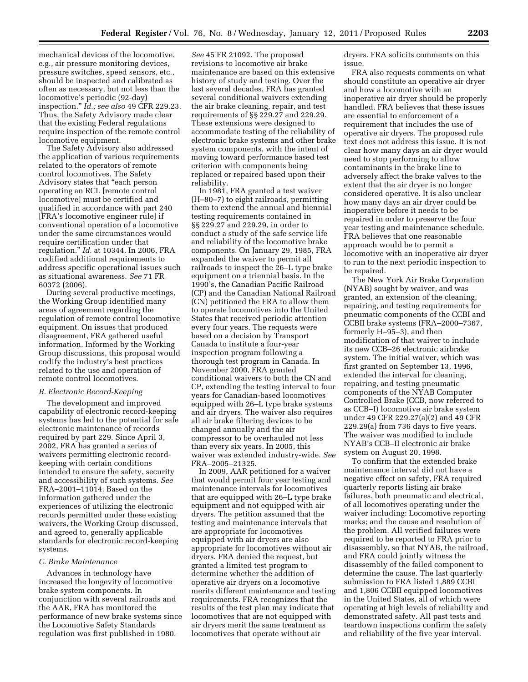mechanical devices of the locomotive, e.g., air pressure monitoring devices, pressure switches, speed sensors, etc., should be inspected and calibrated as often as necessary, but not less than the locomotive's periodic (92-day) inspection.'' *Id.; see also* 49 CFR 229.23. Thus, the Safety Advisory made clear that the existing Federal regulations require inspection of the remote control locomotive equipment.

The Safety Advisory also addressed the application of various requirements related to the operators of remote control locomotives. The Safety Advisory states that ''each person operating an RCL [remote control locomotive] must be certified and qualified in accordance with part 240 [FRA's locomotive engineer rule] if conventional operation of a locomotive under the same circumstances would require certification under that regulation.'' *Id.* at 10344. In 2006, FRA codified additional requirements to address specific operational issues such as situational awareness. *See* 71 FR 60372 (2006).

During several productive meetings, the Working Group identified many areas of agreement regarding the regulation of remote control locomotive equipment. On issues that produced disagreement, FRA gathered useful information. Informed by the Working Group discussions, this proposal would codify the industry's best practices related to the use and operation of remote control locomotives.

# *B. Electronic Record-Keeping*

The development and improved capability of electronic record-keeping systems has led to the potential for safe electronic maintenance of records required by part 229. Since April 3, 2002, FRA has granted a series of waivers permitting electronic recordkeeping with certain conditions intended to ensure the safety, security and accessibility of such systems. *See*  FRA–2001–11014. Based on the information gathered under the experiences of utilizing the electronic records permitted under these existing waivers, the Working Group discussed, and agreed to, generally applicable standards for electronic record-keeping systems.

# *C. Brake Maintenance*

Advances in technology have increased the longevity of locomotive brake system components. In conjunction with several railroads and the AAR, FRA has monitored the performance of new brake systems since the Locomotive Safety Standards regulation was first published in 1980.

*See* 45 FR 21092. The proposed revisions to locomotive air brake maintenance are based on this extensive history of study and testing. Over the last several decades, FRA has granted several conditional waivers extending the air brake cleaning, repair, and test requirements of §§ 229.27 and 229.29. These extensions were designed to accommodate testing of the reliability of electronic brake systems and other brake system components, with the intent of moving toward performance based test criterion with components being replaced or repaired based upon their reliability.

In 1981, FRA granted a test waiver (H–80–7) to eight railroads, permitting them to extend the annual and biennial testing requirements contained in §§ 229.27 and 229.29, in order to conduct a study of the safe service life and reliability of the locomotive brake components. On January 29, 1985, FRA expanded the waiver to permit all railroads to inspect the 26–L type brake equipment on a triennial basis. In the 1990's, the Canadian Pacific Railroad (CP) and the Canadian National Railroad (CN) petitioned the FRA to allow them to operate locomotives into the United States that received periodic attention every four years. The requests were based on a decision by Transport Canada to institute a four-year inspection program following a thorough test program in Canada. In November 2000, FRA granted conditional waivers to both the CN and CP, extending the testing interval to four years for Canadian-based locomotives equipped with 26–L type brake systems and air dryers. The waiver also requires all air brake filtering devices to be changed annually and the air compressor to be overhauled not less than every six years. In 2005, this waiver was extended industry-wide. *See*  FRA–2005–21325.

In 2009, AAR petitioned for a waiver that would permit four year testing and maintenance intervals for locomotives that are equipped with 26–L type brake equipment and not equipped with air dryers. The petition assumed that the testing and maintenance intervals that are appropriate for locomotives equipped with air dryers are also appropriate for locomotives without air dryers. FRA denied the request, but granted a limited test program to determine whether the addition of operative air dryers on a locomotive merits different maintenance and testing requirements. FRA recognizes that the results of the test plan may indicate that locomotives that are not equipped with air dryers merit the same treatment as locomotives that operate without air

dryers. FRA solicits comments on this issue.

FRA also requests comments on what should constitute an operative air dryer and how a locomotive with an inoperative air dryer should be properly handled. FRA believes that these issues are essential to enforcement of a requirement that includes the use of operative air dryers. The proposed rule text does not address this issue. It is not clear how many days an air dryer would need to stop performing to allow contaminants in the brake line to adversely affect the brake valves to the extent that the air dryer is no longer considered operative. It is also unclear how many days an air dryer could be inoperative before it needs to be repaired in order to preserve the four year testing and maintenance schedule. FRA believes that one reasonable approach would be to permit a locomotive with an inoperative air dryer to run to the next periodic inspection to be repaired.

The New York Air Brake Corporation (NYAB) sought by waiver, and was granted, an extension of the cleaning, repairing, and testing requirements for pneumatic components of the CCBI and CCBII brake systems (FRA–2000–7367, formerly H–95–3), and then modification of that waiver to include its new CCB–26 electronic airbrake system. The initial waiver, which was first granted on September 13, 1996, extended the interval for cleaning, repairing, and testing pneumatic components of the NYAB Computer Controlled Brake (CCB, now referred to as CCB–I) locomotive air brake system under 49 CFR 229.27(a)(2) and 49 CFR 229.29(a) from 736 days to five years. The waiver was modified to include NYAB's CCB–II electronic air brake system on August 20, 1998.

To confirm that the extended brake maintenance interval did not have a negative effect on safety, FRA required quarterly reports listing air brake failures, both pneumatic and electrical, of all locomotives operating under the waiver including: Locomotive reporting marks; and the cause and resolution of the problem. All verified failures were required to be reported to FRA prior to disassembly, so that NYAB, the railroad, and FRA could jointly witness the disassembly of the failed component to determine the cause. The last quarterly submission to FRA listed 1,889 CCBI and 1,806 CCBII equipped locomotives in the United States, all of which were operating at high levels of reliability and demonstrated safety. All past tests and teardown inspections confirm the safety and reliability of the five year interval.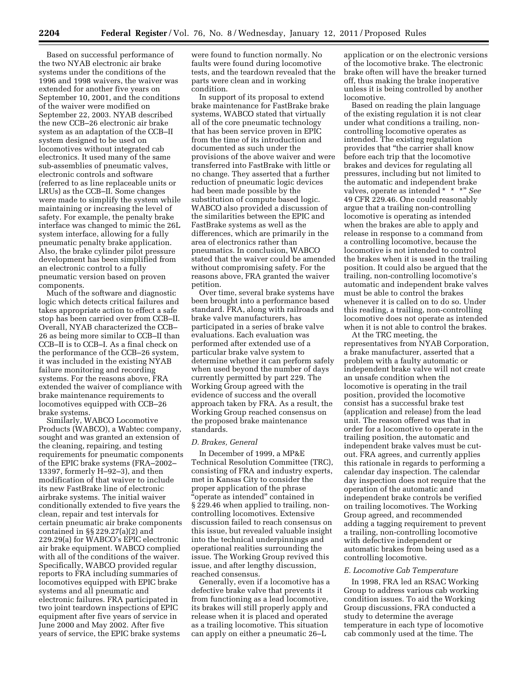Based on successful performance of the two NYAB electronic air brake systems under the conditions of the 1996 and 1998 waivers, the waiver was extended for another five years on September 10, 2001, and the conditions of the waiver were modified on September 22, 2003. NYAB described the new CCB–26 electronic air brake system as an adaptation of the CCB–II system designed to be used on locomotives without integrated cab electronics. It used many of the same sub-assemblies of pneumatic valves, electronic controls and software (referred to as line replaceable units or LRUs) as the CCB–II. Some changes were made to simplify the system while maintaining or increasing the level of safety. For example, the penalty brake interface was changed to mimic the 26L system interface, allowing for a fully pneumatic penalty brake application. Also, the brake cylinder pilot pressure development has been simplified from an electronic control to a fully pneumatic version based on proven components.

Much of the software and diagnostic logic which detects critical failures and takes appropriate action to effect a safe stop has been carried over from CCB–II. Overall, NYAB characterized the CCB– 26 as being more similar to CCB–II than CCB–II is to CCB–I. As a final check on the performance of the CCB–26 system, it was included in the existing NYAB failure monitoring and recording systems. For the reasons above, FRA extended the waiver of compliance with brake maintenance requirements to locomotives equipped with CCB–26 brake systems.

Similarly, WABCO Locomotive Products (WABCO), a Wabtec company, sought and was granted an extension of the cleaning, repairing, and testing requirements for pneumatic components of the EPIC brake systems (FRA–2002– 13397, formerly H–92–3), and then modification of that waiver to include its new FastBrake line of electronic airbrake systems. The initial waiver conditionally extended to five years the clean, repair and test intervals for certain pneumatic air brake components contained in §§ 229.27(a)(2) and 229.29(a) for WABCO's EPIC electronic air brake equipment. WABCO complied with all of the conditions of the waiver. Specifically, WABCO provided regular reports to FRA including summaries of locomotives equipped with EPIC brake systems and all pneumatic and electronic failures. FRA participated in two joint teardown inspections of EPIC equipment after five years of service in June 2000 and May 2002. After five years of service, the EPIC brake systems

were found to function normally. No faults were found during locomotive tests, and the teardown revealed that the parts were clean and in working condition.

In support of its proposal to extend brake maintenance for FastBrake brake systems, WABCO stated that virtually all of the core pneumatic technology that has been service proven in EPIC from the time of its introduction and documented as such under the provisions of the above waiver and were transferred into FastBrake with little or no change. They asserted that a further reduction of pneumatic logic devices had been made possible by the substitution of compute based logic. WABCO also provided a discussion of the similarities between the EPIC and FastBrake systems as well as the differences, which are primarily in the area of electronics rather than pneumatics. In conclusion, WABCO stated that the waiver could be amended without compromising safety. For the reasons above, FRA granted the waiver petition.

Over time, several brake systems have been brought into a performance based standard. FRA, along with railroads and brake valve manufacturers, has participated in a series of brake valve evaluations. Each evaluation was performed after extended use of a particular brake valve system to determine whether it can perform safely when used beyond the number of days currently permitted by part 229. The Working Group agreed with the evidence of success and the overall approach taken by FRA. As a result, the Working Group reached consensus on the proposed brake maintenance standards.

# *D. Brakes, General*

In December of 1999, a MP&E Technical Resolution Committee (TRC), consisting of FRA and industry experts, met in Kansas City to consider the proper application of the phrase ''operate as intended'' contained in § 229.46 when applied to trailing, noncontrolling locomotives. Extensive discussion failed to reach consensus on this issue, but revealed valuable insight into the technical underpinnings and operational realities surrounding the issue. The Working Group revived this issue, and after lengthy discussion, reached consensus.

Generally, even if a locomotive has a defective brake valve that prevents it from functioning as a lead locomotive, its brakes will still properly apply and release when it is placed and operated as a trailing locomotive. This situation can apply on either a pneumatic 26–L

application or on the electronic versions of the locomotive brake. The electronic brake often will have the breaker turned off, thus making the brake inoperative unless it is being controlled by another locomotive.

Based on reading the plain language of the existing regulation it is not clear under what conditions a trailing, noncontrolling locomotive operates as intended. The existing regulation provides that ''the carrier shall know before each trip that the locomotive brakes and devices for regulating all pressures, including but not limited to the automatic and independent brake valves, operate as intended \* \* \*'' *See*  49 CFR 229.46. One could reasonably argue that a trailing non-controlling locomotive is operating as intended when the brakes are able to apply and release in response to a command from a controlling locomotive, because the locomotive is not intended to control the brakes when it is used in the trailing position. It could also be argued that the trailing, non-controlling locomotive's automatic and independent brake valves must be able to control the brakes whenever it is called on to do so. Under this reading, a trailing, non-controlling locomotive does not operate as intended when it is not able to control the brakes.

At the TRC meeting, the representatives from NYAB Corporation, a brake manufacturer, asserted that a problem with a faulty automatic or independent brake valve will not create an unsafe condition when the locomotive is operating in the trail position, provided the locomotive consist has a successful brake test (application and release) from the lead unit. The reason offered was that in order for a locomotive to operate in the trailing position, the automatic and independent brake valves must be cutout. FRA agrees, and currently applies this rationale in regards to performing a calendar day inspection. The calendar day inspection does not require that the operation of the automatic and independent brake controls be verified on trailing locomotives. The Working Group agreed, and recommended adding a tagging requirement to prevent a trailing, non-controlling locomotive with defective independent or automatic brakes from being used as a controlling locomotive.

# *E. Locomotive Cab Temperature*

In 1998, FRA led an RSAC Working Group to address various cab working condition issues. To aid the Working Group discussions, FRA conducted a study to determine the average temperature in each type of locomotive cab commonly used at the time. The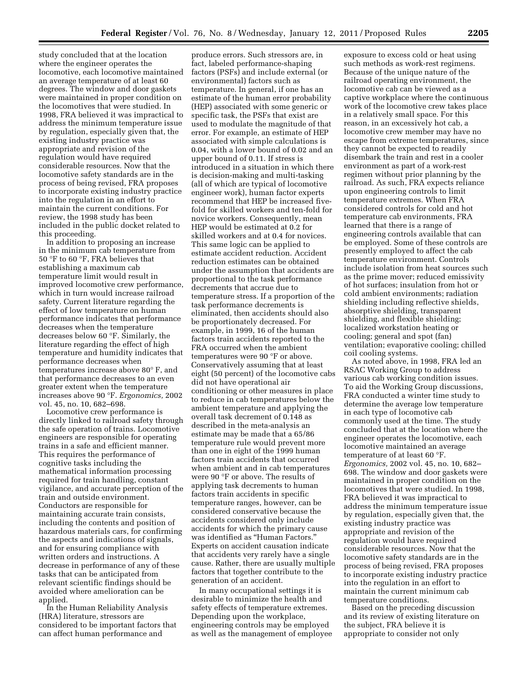study concluded that at the location where the engineer operates the locomotive, each locomotive maintained an average temperature of at least 60 degrees. The window and door gaskets were maintained in proper condition on the locomotives that were studied. In 1998, FRA believed it was impractical to address the minimum temperature issue by regulation, especially given that, the existing industry practice was appropriate and revision of the regulation would have required considerable resources. Now that the locomotive safety standards are in the process of being revised, FRA proposes to incorporate existing industry practice into the regulation in an effort to maintain the current conditions. For review, the 1998 study has been included in the public docket related to this proceeding.

In addition to proposing an increase in the minimum cab temperature from 50 °F to 60 °F, FRA believes that establishing a maximum cab temperature limit would result in improved locomotive crew performance, which in turn would increase railroad safety. Current literature regarding the effect of low temperature on human performance indicates that performance decreases when the temperature decreases below 60 °F. Similarly, the literature regarding the effect of high temperature and humidity indicates that performance decreases when temperatures increase above 80° F, and that performance decreases to an even greater extent when the temperature increases above 90 °F. *Ergonomics,* 2002 vol. 45, no. 10, 682–698.

Locomotive crew performance is directly linked to railroad safety through the safe operation of trains. Locomotive engineers are responsible for operating trains in a safe and efficient manner. This requires the performance of cognitive tasks including the mathematical information processing required for train handling, constant vigilance, and accurate perception of the train and outside environment. Conductors are responsible for maintaining accurate train consists, including the contents and position of hazardous materials cars, for confirming the aspects and indications of signals, and for ensuring compliance with written orders and instructions. A decrease in performance of any of these tasks that can be anticipated from relevant scientific findings should be avoided where amelioration can be applied.

In the Human Reliability Analysis (HRA) literature, stressors are considered to be important factors that can affect human performance and

produce errors. Such stressors are, in fact, labeled performance-shaping factors (PSFs) and include external (or environmental) factors such as temperature. In general, if one has an estimate of the human error probability (HEP) associated with some generic or specific task, the PSFs that exist are used to modulate the magnitude of that error. For example, an estimate of HEP associated with simple calculations is 0.04, with a lower bound of 0.02 and an upper bound of 0.11. If stress is introduced in a situation in which there is decision-making and multi-tasking (all of which are typical of locomotive engineer work), human factor experts recommend that HEP be increased fivefold for skilled workers and ten-fold for novice workers. Consequently, mean HEP would be estimated at 0.2 for skilled workers and at 0.4 for novices. This same logic can be applied to estimate accident reduction. Accident reduction estimates can be obtained under the assumption that accidents are proportional to the task performance decrements that accrue due to temperature stress. If a proportion of the task performance decrements is eliminated, then accidents should also be proportionately decreased. For example, in 1999, 16 of the human factors train accidents reported to the FRA occurred when the ambient temperatures were 90 °F or above. Conservatively assuming that at least eight (50 percent) of the locomotive cabs did not have operational air conditioning or other measures in place to reduce in cab temperatures below the ambient temperature and applying the overall task decrement of 0.148 as described in the meta-analysis an estimate may be made that a 65/86 temperature rule would prevent more than one in eight of the 1999 human factors train accidents that occurred when ambient and in cab temperatures were 90 °F or above. The results of applying task decrements to human factors train accidents in specific temperature ranges, however, can be considered conservative because the accidents considered only include accidents for which the primary cause was identified as ''Human Factors.'' Experts on accident causation indicate that accidents very rarely have a single cause. Rather, there are usually multiple factors that together contribute to the generation of an accident.

In many occupational settings it is desirable to minimize the health and safety effects of temperature extremes. Depending upon the workplace, engineering controls may be employed as well as the management of employee

exposure to excess cold or heat using such methods as work-rest regimens. Because of the unique nature of the railroad operating environment, the locomotive cab can be viewed as a captive workplace where the continuous work of the locomotive crew takes place in a relatively small space. For this reason, in an excessively hot cab, a locomotive crew member may have no escape from extreme temperatures, since they cannot be expected to readily disembark the train and rest in a cooler environment as part of a work-rest regimen without prior planning by the railroad. As such, FRA expects reliance upon engineering controls to limit temperature extremes. When FRA considered controls for cold and hot temperature cab environments, FRA learned that there is a range of engineering controls available that can be employed. Some of these controls are presently employed to affect the cab temperature environment. Controls include isolation from heat sources such as the prime mover; reduced emissivity of hot surfaces; insulation from hot or cold ambient environments; radiation shielding including reflective shields, absorptive shielding, transparent shielding, and flexible shielding; localized workstation heating or cooling; general and spot (fan) ventilation; evaporative cooling; chilled coil cooling systems.

As noted above, in 1998, FRA led an RSAC Working Group to address various cab working condition issues. To aid the Working Group discussions, FRA conducted a winter time study to determine the average low temperature in each type of locomotive cab commonly used at the time. The study concluded that at the location where the engineer operates the locomotive, each locomotive maintained an average temperature of at least 60 °F. *Ergonomics,* 2002 vol. 45, no. 10, 682– 698. The window and door gaskets were maintained in proper condition on the locomotives that were studied. In 1998, FRA believed it was impractical to address the minimum temperature issue by regulation, especially given that, the existing industry practice was appropriate and revision of the regulation would have required considerable resources. Now that the locomotive safety standards are in the process of being revised, FRA proposes to incorporate existing industry practice into the regulation in an effort to maintain the current minimum cab temperature conditions.

Based on the preceding discussion and its review of existing literature on the subject, FRA believe it is appropriate to consider not only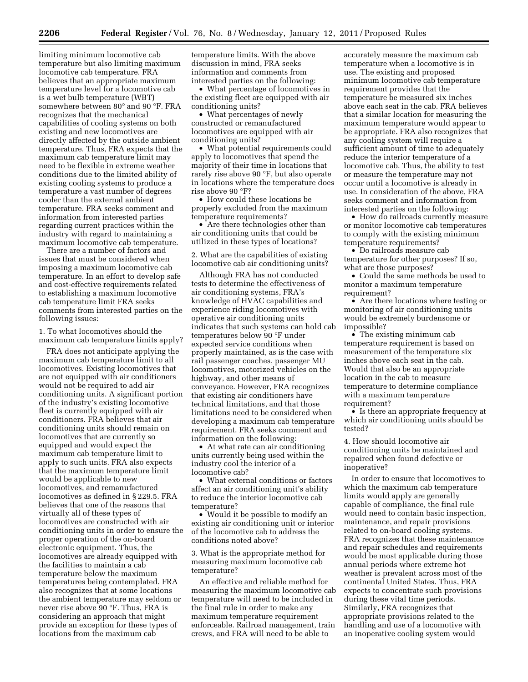limiting minimum locomotive cab temperature but also limiting maximum locomotive cab temperature. FRA believes that an appropriate maximum temperature level for a locomotive cab is a wet bulb temperature (WBT) somewhere between 80° and 90 °F. FRA recognizes that the mechanical capabilities of cooling systems on both existing and new locomotives are directly affected by the outside ambient temperature. Thus, FRA expects that the maximum cab temperature limit may need to be flexible in extreme weather conditions due to the limited ability of existing cooling systems to produce a temperature a vast number of degrees cooler than the external ambient temperature. FRA seeks comment and information from interested parties regarding current practices within the industry with regard to maintaining a maximum locomotive cab temperature.

There are a number of factors and issues that must be considered when imposing a maximum locomotive cab temperature. In an effort to develop safe and cost-effective requirements related to establishing a maximum locomotive cab temperature limit FRA seeks comments from interested parties on the following issues:

1. To what locomotives should the maximum cab temperature limits apply?

FRA does not anticipate applying the maximum cab temperature limit to all locomotives. Existing locomotives that are not equipped with air conditioners would not be required to add air conditioning units. A significant portion of the industry's existing locomotive fleet is currently equipped with air conditioners. FRA believes that air conditioning units should remain on locomotives that are currently so equipped and would expect the maximum cab temperature limit to apply to such units. FRA also expects that the maximum temperature limit would be applicable to new locomotives, and remanufactured locomotives as defined in § 229.5. FRA believes that one of the reasons that virtually all of these types of locomotives are constructed with air conditioning units in order to ensure the proper operation of the on-board electronic equipment. Thus, the locomotives are already equipped with the facilities to maintain a cab temperature below the maximum temperatures being contemplated. FRA also recognizes that at some locations the ambient temperature may seldom or never rise above 90 °F. Thus, FRA is considering an approach that might provide an exception for these types of locations from the maximum cab

temperature limits. With the above discussion in mind, FRA seeks information and comments from interested parties on the following:

• What percentage of locomotives in the existing fleet are equipped with air conditioning units?

• What percentages of newly constructed or remanufactured locomotives are equipped with air conditioning units?

• What potential requirements could apply to locomotives that spend the majority of their time in locations that rarely rise above 90 °F, but also operate in locations where the temperature does rise above 90 °F?

• How could these locations be properly excluded from the maximum temperature requirements?

• Are there technologies other than air conditioning units that could be utilized in these types of locations?

2. What are the capabilities of existing locomotive cab air conditioning units?

Although FRA has not conducted tests to determine the effectiveness of air conditioning systems, FRA's knowledge of HVAC capabilities and experience riding locomotives with operative air conditioning units indicates that such systems can hold cab temperatures below 90 °F under expected service conditions when properly maintained, as is the case with rail passenger coaches, passenger MU locomotives, motorized vehicles on the highway, and other means of conveyance. However, FRA recognizes that existing air conditioners have technical limitations, and that those limitations need to be considered when developing a maximum cab temperature requirement. FRA seeks comment and information on the following:

• At what rate can air conditioning units currently being used within the industry cool the interior of a locomotive cab?

• What external conditions or factors affect an air conditioning unit's ability to reduce the interior locomotive cab temperature?

• Would it be possible to modify an existing air conditioning unit or interior of the locomotive cab to address the conditions noted above?

3. What is the appropriate method for measuring maximum locomotive cab temperature?

An effective and reliable method for measuring the maximum locomotive cab temperature will need to be included in the final rule in order to make any maximum temperature requirement enforceable. Railroad management, train crews, and FRA will need to be able to

accurately measure the maximum cab temperature when a locomotive is in use. The existing and proposed minimum locomotive cab temperature requirement provides that the temperature be measured six inches above each seat in the cab. FRA believes that a similar location for measuring the maximum temperature would appear to be appropriate. FRA also recognizes that any cooling system will require a sufficient amount of time to adequately reduce the interior temperature of a locomotive cab. Thus, the ability to test or measure the temperature may not occur until a locomotive is already in use. In consideration of the above, FRA seeks comment and information from interested parties on the following:

• How do railroads currently measure or monitor locomotive cab temperatures to comply with the existing minimum temperature requirements?

• Do railroads measure cab temperature for other purposes? If so, what are those purposes?

• Could the same methods be used to monitor a maximum temperature requirement?

• Are there locations where testing or monitoring of air conditioning units would be extremely burdensome or impossible?

• The existing minimum cab temperature requirement is based on measurement of the temperature six inches above each seat in the cab. Would that also be an appropriate location in the cab to measure temperature to determine compliance with a maximum temperature requirement?

• Is there an appropriate frequency at which air conditioning units should be tested?

4. How should locomotive air conditioning units be maintained and repaired when found defective or inoperative?

In order to ensure that locomotives to which the maximum cab temperature limits would apply are generally capable of compliance, the final rule would need to contain basic inspection, maintenance, and repair provisions related to on-board cooling systems. FRA recognizes that these maintenance and repair schedules and requirements would be most applicable during those annual periods where extreme hot weather is prevalent across most of the continental United States. Thus, FRA expects to concentrate such provisions during these vital time periods. Similarly, FRA recognizes that appropriate provisions related to the handling and use of a locomotive with an inoperative cooling system would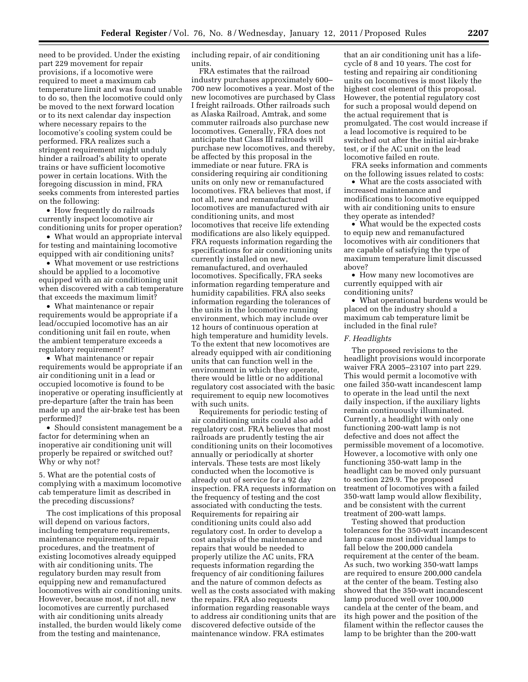need to be provided. Under the existing part 229 movement for repair provisions, if a locomotive were required to meet a maximum cab temperature limit and was found unable to do so, then the locomotive could only be moved to the next forward location or to its next calendar day inspection where necessary repairs to the locomotive's cooling system could be performed. FRA realizes such a stringent requirement might unduly hinder a railroad's ability to operate trains or have sufficient locomotive power in certain locations. With the foregoing discussion in mind, FRA seeks comments from interested parties on the following:

• How frequently do railroads currently inspect locomotive air conditioning units for proper operation?

• What would an appropriate interval for testing and maintaining locomotive equipped with air conditioning units?

• What movement or use restrictions should be applied to a locomotive equipped with an air conditioning unit when discovered with a cab temperature that exceeds the maximum limit?

• What maintenance or repair requirements would be appropriate if a lead/occupied locomotive has an air conditioning unit fail en route, when the ambient temperature exceeds a regulatory requirement?

• What maintenance or repair requirements would be appropriate if an air conditioning unit in a lead or occupied locomotive is found to be inoperative or operating insufficiently at pre-departure (after the train has been made up and the air-brake test has been performed)?

• Should consistent management be a factor for determining when an inoperative air conditioning unit will properly be repaired or switched out? Why or why not?

5. What are the potential costs of complying with a maximum locomotive cab temperature limit as described in the preceding discussions?

The cost implications of this proposal will depend on various factors, including temperature requirements, maintenance requirements, repair procedures, and the treatment of existing locomotives already equipped with air conditioning units. The regulatory burden may result from equipping new and remanufactured locomotives with air conditioning units. However, because most, if not all, new locomotives are currently purchased with air conditioning units already installed, the burden would likely come from the testing and maintenance,

including repair, of air conditioning units.

FRA estimates that the railroad industry purchases approximately 600– 700 new locomotives a year. Most of the new locomotives are purchased by Class I freight railroads. Other railroads such as Alaska Railroad, Amtrak, and some commuter railroads also purchase new locomotives. Generally, FRA does not anticipate that Class III railroads will purchase new locomotives, and thereby, be affected by this proposal in the immediate or near future. FRA is considering requiring air conditioning units on only new or remanufactured locomotives. FRA believes that most, if not all, new and remanufactured locomotives are manufactured with air conditioning units, and most locomotives that receive life extending modifications are also likely equipped. FRA requests information regarding the specifications for air conditioning units currently installed on new, remanufactured, and overhauled locomotives. Specifically, FRA seeks information regarding temperature and humidity capabilities. FRA also seeks information regarding the tolerances of the units in the locomotive running environment, which may include over 12 hours of continuous operation at high temperature and humidity levels. To the extent that new locomotives are already equipped with air conditioning units that can function well in the environment in which they operate, there would be little or no additional regulatory cost associated with the basic requirement to equip new locomotives with such units.

Requirements for periodic testing of air conditioning units could also add regulatory cost. FRA believes that most railroads are prudently testing the air conditioning units on their locomotives annually or periodically at shorter intervals. These tests are most likely conducted when the locomotive is already out of service for a 92 day inspection. FRA requests information on the frequency of testing and the cost associated with conducting the tests. Requirements for repairing air conditioning units could also add regulatory cost. In order to develop a cost analysis of the maintenance and repairs that would be needed to properly utilize the AC units, FRA requests information regarding the frequency of air conditioning failures and the nature of common defects as well as the costs associated with making the repairs. FRA also requests information regarding reasonable ways to address air conditioning units that are discovered defective outside of the maintenance window. FRA estimates

that an air conditioning unit has a lifecycle of 8 and 10 years. The cost for testing and repairing air conditioning units on locomotives is most likely the highest cost element of this proposal. However, the potential regulatory cost for such a proposal would depend on the actual requirement that is promulgated. The cost would increase if a lead locomotive is required to be switched out after the initial air-brake test, or if the AC unit on the lead locomotive failed en route.

FRA seeks information and comments on the following issues related to costs:

• What are the costs associated with increased maintenance and modifications to locomotive equipped with air conditioning units to ensure they operate as intended?

• What would be the expected costs to equip new and remanufactured locomotives with air conditioners that are capable of satisfying the type of maximum temperature limit discussed above?

• How many new locomotives are currently equipped with air conditioning units?

• What operational burdens would be placed on the industry should a maximum cab temperature limit be included in the final rule?

# *F. Headlights*

The proposed revisions to the headlight provisions would incorporate waiver FRA 2005–23107 into part 229. This would permit a locomotive with one failed 350-watt incandescent lamp to operate in the lead until the next daily inspection, if the auxiliary lights remain continuously illuminated. Currently, a headlight with only one functioning 200-watt lamp is not defective and does not affect the permissible movement of a locomotive. However, a locomotive with only one functioning 350-watt lamp in the headlight can be moved only pursuant to section 229.9. The proposed treatment of locomotives with a failed 350-watt lamp would allow flexibility, and be consistent with the current treatment of 200-watt lamps.

Testing showed that production tolerances for the 350-watt incandescent lamp cause most individual lamps to fall below the 200,000 candela requirement at the center of the beam. As such, two working 350-watt lamps are required to ensure 200,000 candela at the center of the beam. Testing also showed that the 350-watt incandescent lamp produced well over 100,000 candela at the center of the beam, and its high power and the position of the filament within the reflector causes the lamp to be brighter than the 200-watt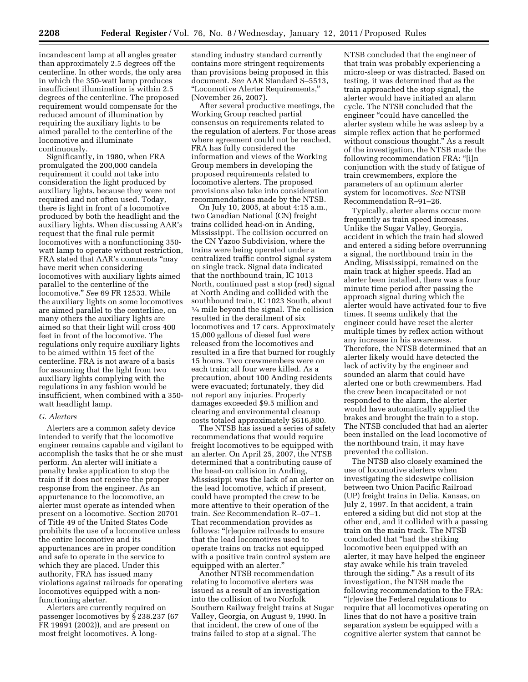incandescent lamp at all angles greater than approximately 2.5 degrees off the centerline. In other words, the only area in which the 350-watt lamp produces insufficient illumination is within 2.5 degrees of the centerline. The proposed requirement would compensate for the reduced amount of illumination by requiring the auxiliary lights to be aimed parallel to the centerline of the locomotive and illuminate continuously.

Significantly, in 1980, when FRA promulgated the 200,000 candela requirement it could not take into consideration the light produced by auxiliary lights, because they were not required and not often used. Today, there is light in front of a locomotive produced by both the headlight and the auxiliary lights. When discussing AAR's request that the final rule permit locomotives with a nonfunctioning 350 watt lamp to operate without restriction, FRA stated that AAR's comments ''may have merit when considering locomotives with auxiliary lights aimed parallel to the centerline of the locomotive.'' *See* 69 FR 12533. While the auxiliary lights on some locomotives are aimed parallel to the centerline, on many others the auxiliary lights are aimed so that their light will cross 400 feet in front of the locomotive. The regulations only require auxiliary lights to be aimed within 15 feet of the centerline. FRA is not aware of a basis for assuming that the light from two auxiliary lights complying with the regulations in any fashion would be insufficient, when combined with a 350 watt headlight lamp.

# *G. Alerters*

Alerters are a common safety device intended to verify that the locomotive engineer remains capable and vigilant to accomplish the tasks that he or she must perform. An alerter will initiate a penalty brake application to stop the train if it does not receive the proper response from the engineer. As an appurtenance to the locomotive, an alerter must operate as intended when present on a locomotive. Section 20701 of Title 49 of the United States Code prohibits the use of a locomotive unless the entire locomotive and its appurtenances are in proper condition and safe to operate in the service to which they are placed. Under this authority, FRA has issued many violations against railroads for operating locomotives equipped with a nonfunctioning alerter.

Alerters are currently required on passenger locomotives by § 238.237 (67 FR 19991 (2002)), and are present on most freight locomotives. A long-

standing industry standard currently contains more stringent requirements than provisions being proposed in this document. *See* AAR Standard S–5513, ''Locomotive Alerter Requirements,'' (November 26, 2007).

After several productive meetings, the Working Group reached partial consensus on requirements related to the regulation of alerters. For those areas where agreement could not be reached, FRA has fully considered the information and views of the Working Group members in developing the proposed requirements related to locomotive alerters. The proposed provisions also take into consideration recommendations made by the NTSB.

On July 10, 2005, at about 4:15 a.m., two Canadian National (CN) freight trains collided head-on in Anding, Mississippi. The collision occurred on the CN Yazoo Subdivision, where the trains were being operated under a centralized traffic control signal system on single track. Signal data indicated that the northbound train, IC 1013 North, continued past a stop (red) signal at North Anding and collided with the southbound train, IC 1023 South, about  $\frac{1}{4}$  mile beyond the signal. The collision resulted in the derailment of six locomotives and 17 cars. Approximately 15,000 gallons of diesel fuel were released from the locomotives and resulted in a fire that burned for roughly 15 hours. Two crewmembers were on each train; all four were killed. As a precaution, about 100 Anding residents were evacuated; fortunately, they did not report any injuries. Property damages exceeded \$9.5 million and clearing and environmental cleanup costs totaled approximately \$616,800.

The NTSB has issued a series of safety recommendations that would require freight locomotives to be equipped with an alerter. On April 25, 2007, the NTSB determined that a contributing cause of the head-on collision in Anding, Mississippi was the lack of an alerter on the lead locomotive, which if present, could have prompted the crew to be more attentive to their operation of the train. *See* Recommendation R–07–1. That recommendation provides as follows: "[r]equire railroads to ensure that the lead locomotives used to operate trains on tracks not equipped with a positive train control system are equipped with an alerter.''

Another NTSB recommendation relating to locomotive alerters was issued as a result of an investigation into the collision of two Norfolk Southern Railway freight trains at Sugar Valley, Georgia, on August 9, 1990. In that incident, the crew of one of the trains failed to stop at a signal. The

NTSB concluded that the engineer of that train was probably experiencing a micro-sleep or was distracted. Based on testing, it was determined that as the train approached the stop signal, the alerter would have initiated an alarm cycle. The NTSB concluded that the engineer ''could have cancelled the alerter system while he was asleep by a simple reflex action that he performed without conscious thought." As a result of the investigation, the NTSB made the following recommendation FRA: ''[i]n conjunction with the study of fatigue of train crewmembers, explore the parameters of an optimum alerter system for locomotives. *See* NTSB Recommendation R–91–26.

Typically, alerter alarms occur more frequently as train speed increases. Unlike the Sugar Valley, Georgia, accident in which the train had slowed and entered a siding before overrunning a signal, the northbound train in the Anding, Mississippi, remained on the main track at higher speeds. Had an alerter been installed, there was a four minute time period after passing the approach signal during which the alerter would have activated four to five times. It seems unlikely that the engineer could have reset the alerter multiple times by reflex action without any increase in his awareness. Therefore, the NTSB determined that an alerter likely would have detected the lack of activity by the engineer and sounded an alarm that could have alerted one or both crewmembers. Had the crew been incapacitated or not responded to the alarm, the alerter would have automatically applied the brakes and brought the train to a stop. The NTSB concluded that had an alerter been installed on the lead locomotive of the northbound train, it may have prevented the collision.

The NTSB also closely examined the use of locomotive alerters when investigating the sideswipe collision between two Union Pacific Railroad (UP) freight trains in Delia, Kansas, on July 2, 1997. In that accident, a train entered a siding but did not stop at the other end, and it collided with a passing train on the main track. The NTSB concluded that ''had the striking locomotive been equipped with an alerter, it may have helped the engineer stay awake while his train traveled through the siding.'' As a result of its investigation, the NTSB made the following recommendation to the FRA: ''[r]evise the Federal regulations to require that all locomotives operating on lines that do not have a positive train separation system be equipped with a cognitive alerter system that cannot be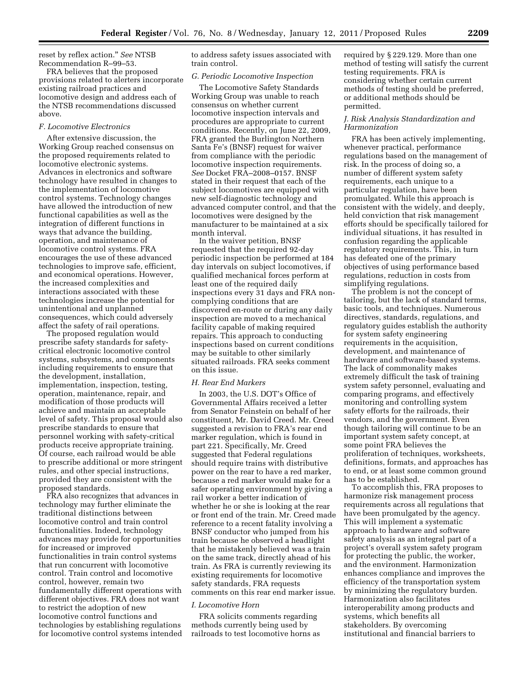reset by reflex action.'' *See* NTSB Recommendation R–99–53.

FRA believes that the proposed provisions related to alerters incorporate existing railroad practices and locomotive design and address each of the NTSB recommendations discussed above.

# *F. Locomotive Electronics*

After extensive discussion, the Working Group reached consensus on the proposed requirements related to locomotive electronic systems. Advances in electronics and software technology have resulted in changes to the implementation of locomotive control systems. Technology changes have allowed the introduction of new functional capabilities as well as the integration of different functions in ways that advance the building, operation, and maintenance of locomotive control systems. FRA encourages the use of these advanced technologies to improve safe, efficient, and economical operations. However, the increased complexities and interactions associated with these technologies increase the potential for unintentional and unplanned consequences, which could adversely affect the safety of rail operations.

The proposed regulation would prescribe safety standards for safetycritical electronic locomotive control systems, subsystems, and components including requirements to ensure that the development, installation, implementation, inspection, testing, operation, maintenance, repair, and modification of those products will achieve and maintain an acceptable level of safety. This proposal would also prescribe standards to ensure that personnel working with safety-critical products receive appropriate training. Of course, each railroad would be able to prescribe additional or more stringent rules, and other special instructions, provided they are consistent with the proposed standards.

FRA also recognizes that advances in technology may further eliminate the traditional distinctions between locomotive control and train control functionalities. Indeed, technology advances may provide for opportunities for increased or improved functionalities in train control systems that run concurrent with locomotive control. Train control and locomotive control, however, remain two fundamentally different operations with different objectives. FRA does not want to restrict the adoption of new locomotive control functions and technologies by establishing regulations for locomotive control systems intended to address safety issues associated with train control.

# *G. Periodic Locomotive Inspection*

The Locomotive Safety Standards Working Group was unable to reach consensus on whether current locomotive inspection intervals and procedures are appropriate to current conditions. Recently, on June 22, 2009, FRA granted the Burlington Northern Santa Fe's (BNSF) request for waiver from compliance with the periodic locomotive inspection requirements. *See* Docket FRA–2008–0157. BNSF stated in their request that each of the subject locomotives are equipped with new self-diagnostic technology and advanced computer control, and that the locomotives were designed by the manufacturer to be maintained at a six month interval.

In the waiver petition, BNSF requested that the required 92-day periodic inspection be performed at 184 day intervals on subject locomotives, if qualified mechanical forces perform at least one of the required daily inspections every 31 days and FRA noncomplying conditions that are discovered en-route or during any daily inspection are moved to a mechanical facility capable of making required repairs. This approach to conducting inspections based on current conditions may be suitable to other similarly situated railroads. FRA seeks comment on this issue.

#### *H. Rear End Markers*

In 2003, the U.S. DOT's Office of Governmental Affairs received a letter from Senator Feinstein on behalf of her constituent, Mr. David Creed. Mr. Creed suggested a revision to FRA's rear end marker regulation, which is found in part 221. Specifically, Mr. Creed suggested that Federal regulations should require trains with distributive power on the rear to have a red marker, because a red marker would make for a safer operating environment by giving a rail worker a better indication of whether he or she is looking at the rear or front end of the train. Mr. Creed made reference to a recent fatality involving a BNSF conductor who jumped from his train because he observed a headlight that he mistakenly believed was a train on the same track, directly ahead of his train. As FRA is currently reviewing its existing requirements for locomotive safety standards, FRA requests comments on this rear end marker issue.

# *I. Locomotive Horn*

FRA solicits comments regarding methods currently being used by railroads to test locomotive horns as required by § 229.129. More than one method of testing will satisfy the current testing requirements. FRA is considering whether certain current methods of testing should be preferred, or additional methods should be permitted.

# *J. Risk Analysis Standardization and Harmonization*

FRA has been actively implementing, whenever practical, performance regulations based on the management of risk. In the process of doing so, a number of different system safety requirements, each unique to a particular regulation, have been promulgated. While this approach is consistent with the widely, and deeply, held conviction that risk management efforts should be specifically tailored for individual situations, it has resulted in confusion regarding the applicable regulatory requirements. This, in turn has defeated one of the primary objectives of using performance based regulations, reduction in costs from simplifying regulations.

The problem is not the concept of tailoring, but the lack of standard terms, basic tools, and techniques. Numerous directives, standards, regulations, and regulatory guides establish the authority for system safety engineering requirements in the acquisition, development, and maintenance of hardware and software-based systems. The lack of commonality makes extremely difficult the task of training system safety personnel, evaluating and comparing programs, and effectively monitoring and controlling system safety efforts for the railroads, their vendors, and the government. Even though tailoring will continue to be an important system safety concept, at some point FRA believes the proliferation of techniques, worksheets, definitions, formats, and approaches has to end, or at least some common ground has to be established.

To accomplish this, FRA proposes to harmonize risk management process requirements across all regulations that have been promulgated by the agency. This will implement a systematic approach to hardware and software safety analysis as an integral part of a project's overall system safety program for protecting the public, the worker, and the environment. Harmonization enhances compliance and improves the efficiency of the transportation system by minimizing the regulatory burden. Harmonization also facilitates interoperability among products and systems, which benefits all stakeholders. By overcoming institutional and financial barriers to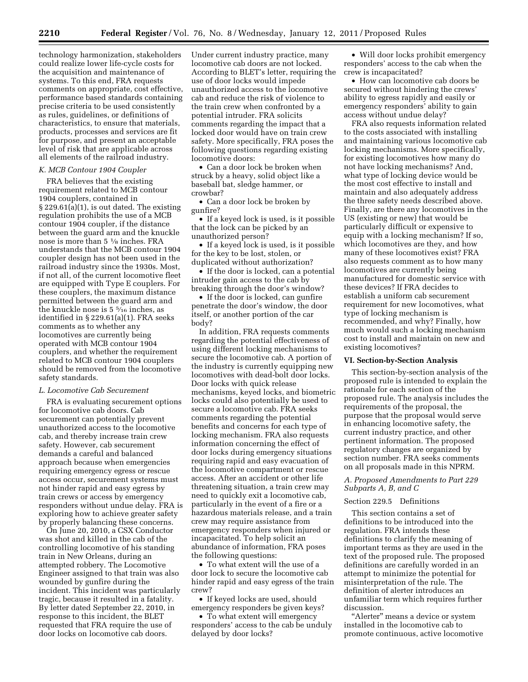technology harmonization, stakeholders could realize lower life-cycle costs for the acquisition and maintenance of systems. To this end, FRA requests comments on appropriate, cost effective, performance based standards containing precise criteria to be used consistently as rules, guidelines, or definitions of characteristics, to ensure that materials, products, processes and services are fit for purpose, and present an acceptable level of risk that are applicable across all elements of the railroad industry.

# *K. MCB Contour 1904 Coupler*

FRA believes that the existing requirement related to MCB contour 1904 couplers, contained in  $\S 229.61(a)(1)$ , is out dated. The existing regulation prohibits the use of a MCB contour 1904 coupler, if the distance between the guard arm and the knuckle nose is more than 5 1⁄8 inches. FRA understands that the MCB contour 1904 coupler design has not been used in the railroad industry since the 1930s. Most, if not all, of the current locomotive fleet are equipped with Type E couplers. For these couplers, the maximum distance permitted between the guard arm and the knuckle nose is  $5\frac{5}{16}$  inches, as identified in § 229.61(a)(1). FRA seeks comments as to whether any locomotives are currently being operated with MCB contour 1904 couplers, and whether the requirement related to MCB contour 1904 couplers should be removed from the locomotive safety standards.

# *L. Locomotive Cab Securement*

FRA is evaluating securement options for locomotive cab doors. Cab securement can potentially prevent unauthorized access to the locomotive cab, and thereby increase train crew safety. However, cab securement demands a careful and balanced approach because when emergencies requiring emergency egress or rescue access occur, securement systems must not hinder rapid and easy egress by train crews or access by emergency responders without undue delay. FRA is exploring how to achieve greater safety by properly balancing these concerns.

On June 20, 2010, a CSX Conductor was shot and killed in the cab of the controlling locomotive of his standing train in New Orleans, during an attempted robbery. The Locomotive Engineer assigned to that train was also wounded by gunfire during the incident. This incident was particularly tragic, because it resulted in a fatality. By letter dated September 22, 2010, in response to this incident, the BLET requested that FRA require the use of door locks on locomotive cab doors.

Under current industry practice, many locomotive cab doors are not locked. According to BLET's letter, requiring the use of door locks would impede unauthorized access to the locomotive cab and reduce the risk of violence to the train crew when confronted by a potential intruder. FRA solicits comments regarding the impact that a locked door would have on train crew safety. More specifically, FRA poses the following questions regarding existing locomotive doors:

• Can a door lock be broken when struck by a heavy, solid object like a baseball bat, sledge hammer, or crowbar?

• Can a door lock be broken by gunfire?

• If a keyed lock is used, is it possible that the lock can be picked by an unauthorized person?

• If a keyed lock is used, is it possible for the key to be lost, stolen, or duplicated without authorization?

• If the door is locked, can a potential intruder gain access to the cab by breaking through the door's window?

• If the door is locked, can gunfire penetrate the door's window, the door itself, or another portion of the car body?

In addition, FRA requests comments regarding the potential effectiveness of using different locking mechanisms to secure the locomotive cab. A portion of the industry is currently equipping new locomotives with dead-bolt door locks. Door locks with quick release mechanisms, keyed locks, and biometric locks could also potentially be used to secure a locomotive cab. FRA seeks comments regarding the potential benefits and concerns for each type of locking mechanism. FRA also requests information concerning the effect of door locks during emergency situations requiring rapid and easy evacuation of the locomotive compartment or rescue access. After an accident or other life threatening situation, a train crew may need to quickly exit a locomotive cab, particularly in the event of a fire or a hazardous materials release, and a train crew may require assistance from emergency responders when injured or incapacitated. To help solicit an abundance of information, FRA poses the following questions:

• To what extent will the use of a door lock to secure the locomotive cab hinder rapid and easy egress of the train crew?

• If keyed locks are used, should emergency responders be given keys?

• To what extent will emergency responders' access to the cab be unduly delayed by door locks?

• Will door locks prohibit emergency responders' access to the cab when the crew is incapacitated?

• How can locomotive cab doors be secured without hindering the crews' ability to egress rapidly and easily or emergency responders' ability to gain access without undue delay?

FRA also requests information related to the costs associated with installing and maintaining various locomotive cab locking mechanisms. More specifically, for existing locomotives how many do not have locking mechanisms? And, what type of locking device would be the most cost effective to install and maintain and also adequately address the three safety needs described above. Finally, are there any locomotives in the US (existing or new) that would be particularly difficult or expensive to equip with a locking mechanism? If so, which locomotives are they, and how many of these locomotives exist? FRA also requests comment as to how many locomotives are currently being manufactured for domestic service with these devices? If FRA decides to establish a uniform cab securement requirement for new locomotives, what type of locking mechanism is recommended, and why? Finally, how much would such a locking mechanism cost to install and maintain on new and existing locomotives?

#### **VI. Section-by-Section Analysis**

This section-by-section analysis of the proposed rule is intended to explain the rationale for each section of the proposed rule. The analysis includes the requirements of the proposal, the purpose that the proposal would serve in enhancing locomotive safety, the current industry practice, and other pertinent information. The proposed regulatory changes are organized by section number. FRA seeks comments on all proposals made in this NPRM.

# *A. Proposed Amendments to Part 229 Subparts A, B, and C*

# Section 229.5 Definitions

This section contains a set of definitions to be introduced into the regulation. FRA intends these definitions to clarify the meaning of important terms as they are used in the text of the proposed rule. The proposed definitions are carefully worded in an attempt to minimize the potential for misinterpretation of the rule. The definition of alerter introduces an unfamiliar term which requires further discussion.

"Alerter" means a device or system installed in the locomotive cab to promote continuous, active locomotive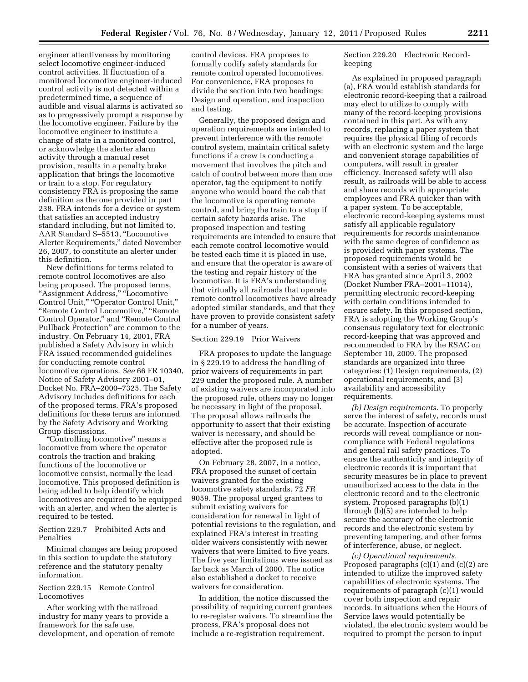engineer attentiveness by monitoring select locomotive engineer-induced control activities. If fluctuation of a monitored locomotive engineer-induced control activity is not detected within a predetermined time, a sequence of audible and visual alarms is activated so as to progressively prompt a response by the locomotive engineer. Failure by the locomotive engineer to institute a change of state in a monitored control, or acknowledge the alerter alarm activity through a manual reset provision, results in a penalty brake application that brings the locomotive or train to a stop. For regulatory consistency FRA is proposing the same definition as the one provided in part 238. FRA intends for a device or system that satisfies an accepted industry standard including, but not limited to, AAR Standard S–5513, ''Locomotive Alerter Requirements,'' dated November 26, 2007, to constitute an alerter under this definition.

New definitions for terms related to remote control locomotives are also being proposed. The proposed terms, ''Assignment Address,'' ''Locomotive Control Unit," "Operator Control Unit," ''Remote Control Locomotive,'' ''Remote Control Operator,'' and ''Remote Control Pullback Protection'' are common to the industry. On February 14, 2001, FRA published a Safety Advisory in which FRA issued recommended guidelines for conducting remote control locomotive operations. *See* 66 FR 10340, Notice of Safety Advisory 2001–01, Docket No. FRA–2000–7325. The Safety Advisory includes definitions for each of the proposed terms. FRA's proposed definitions for these terms are informed by the Safety Advisory and Working Group discussions.

''Controlling locomotive'' means a locomotive from where the operator controls the traction and braking functions of the locomotive or locomotive consist, normally the lead locomotive. This proposed definition is being added to help identify which locomotives are required to be equipped with an alerter, and when the alerter is required to be tested.

Section 229.7 Prohibited Acts and Penalties

Minimal changes are being proposed in this section to update the statutory reference and the statutory penalty information.

Section 229.15 Remote Control Locomotives

After working with the railroad industry for many years to provide a framework for the safe use, development, and operation of remote

control devices, FRA proposes to formally codify safety standards for remote control operated locomotives. For convenience, FRA proposes to divide the section into two headings: Design and operation, and inspection and testing.

Generally, the proposed design and operation requirements are intended to prevent interference with the remote control system, maintain critical safety functions if a crew is conducting a movement that involves the pitch and catch of control between more than one operator, tag the equipment to notify anyone who would board the cab that the locomotive is operating remote control, and bring the train to a stop if certain safety hazards arise. The proposed inspection and testing requirements are intended to ensure that each remote control locomotive would be tested each time it is placed in use, and ensure that the operator is aware of the testing and repair history of the locomotive. It is FRA's understanding that virtually all railroads that operate remote control locomotives have already adopted similar standards, and that they have proven to provide consistent safety for a number of years.

# Section 229.19 Prior Waivers

FRA proposes to update the language in § 229.19 to address the handling of prior waivers of requirements in part 229 under the proposed rule. A number of existing waivers are incorporated into the proposed rule, others may no longer be necessary in light of the proposal. The proposal allows railroads the opportunity to assert that their existing waiver is necessary, and should be effective after the proposed rule is adopted.

On February 28, 2007, in a notice, FRA proposed the sunset of certain waivers granted for the existing locomotive safety standards. 72 *FR*  9059. The proposal urged grantees to submit existing waivers for consideration for renewal in light of potential revisions to the regulation, and explained FRA's interest in treating older waivers consistently with newer waivers that were limited to five years. The five year limitations were issued as far back as March of 2000. The notice also established a docket to receive waivers for consideration.

In addition, the notice discussed the possibility of requiring current grantees to re-register waivers. To streamline the process, FRA's proposal does not include a re-registration requirement.

Section 229.20 Electronic Recordkeeping

As explained in proposed paragraph (a), FRA would establish standards for electronic record-keeping that a railroad may elect to utilize to comply with many of the record-keeping provisions contained in this part. As with any records, replacing a paper system that requires the physical filing of records with an electronic system and the large and convenient storage capabilities of computers, will result in greater efficiency. Increased safety will also result, as railroads will be able to access and share records with appropriate employees and FRA quicker than with a paper system. To be acceptable, electronic record-keeping systems must satisfy all applicable regulatory requirements for records maintenance with the same degree of confidence as is provided with paper systems. The proposed requirements would be consistent with a series of waivers that FRA has granted since April 3, 2002 (Docket Number FRA–2001–11014), permitting electronic record-keeping with certain conditions intended to ensure safety. In this proposed section, FRA is adopting the Working Group's consensus regulatory text for electronic record-keeping that was approved and recommended to FRA by the RSAC on September 10, 2009. The proposed standards are organized into three categories: (1) Design requirements, (2) operational requirements, and (3) availability and accessibility requirements.

*(b) Design requirements.* To properly serve the interest of safety, records must be accurate. Inspection of accurate records will reveal compliance or noncompliance with Federal regulations and general rail safety practices. To ensure the authenticity and integrity of electronic records it is important that security measures be in place to prevent unauthorized access to the data in the electronic record and to the electronic system. Proposed paragraphs (b)(1) through (b)(5) are intended to help secure the accuracy of the electronic records and the electronic system by preventing tampering, and other forms of interference, abuse, or neglect.

*(c) Operational requirements.*  Proposed paragraphs (c)(1) and (c)(2) are intended to utilize the improved safety capabilities of electronic systems. The requirements of paragraph (c)(1) would cover both inspection and repair records. In situations when the Hours of Service laws would potentially be violated, the electronic system would be required to prompt the person to input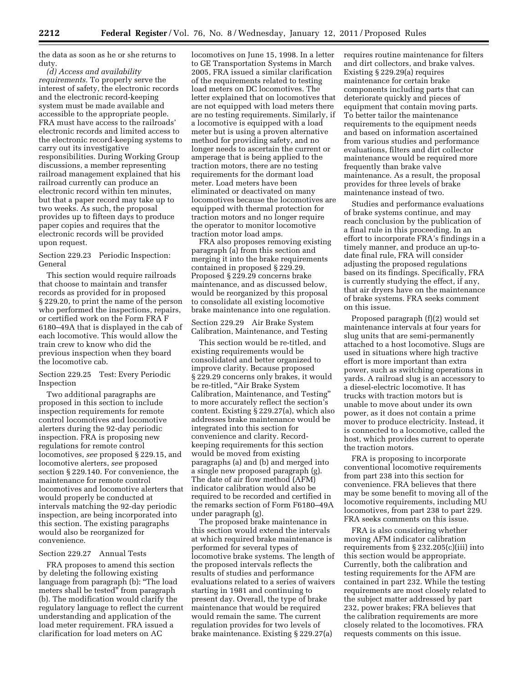the data as soon as he or she returns to duty.

*(d) Access and availability requirements.* To properly serve the interest of safety, the electronic records and the electronic record-keeping system must be made available and accessible to the appropriate people. FRA must have access to the railroads' electronic records and limited access to the electronic record-keeping systems to carry out its investigative responsibilities. During Working Group discussions, a member representing railroad management explained that his railroad currently can produce an electronic record within ten minutes, but that a paper record may take up to two weeks. As such, the proposal provides up to fifteen days to produce paper copies and requires that the electronic records will be provided upon request.

Section 229.23 Periodic Inspection: General

This section would require railroads that choose to maintain and transfer records as provided for in proposed § 229.20, to print the name of the person who performed the inspections, repairs, or certified work on the Form FRA F 6180–49A that is displayed in the cab of each locomotive. This would allow the train crew to know who did the previous inspection when they board the locomotive cab.

Section 229.25 Test: Every Periodic Inspection

Two additional paragraphs are proposed in this section to include inspection requirements for remote control locomotives and locomotive alerters during the 92-day periodic inspection. FRA is proposing new regulations for remote control locomotives, *see* proposed § 229.15, and locomotive alerters, *see* proposed section § 229.140. For convenience, the maintenance for remote control locomotives and locomotive alerters that would properly be conducted at intervals matching the 92-day periodic inspection, are being incorporated into this section. The existing paragraphs would also be reorganized for convenience.

# Section 229.27 Annual Tests

FRA proposes to amend this section by deleting the following existing language from paragraph (b): ''The load meters shall be tested'' from paragraph (b). The modification would clarify the regulatory language to reflect the current understanding and application of the load meter requirement. FRA issued a clarification for load meters on AC

locomotives on June 15, 1998. In a letter to GE Transportation Systems in March 2005, FRA issued a similar clarification of the requirements related to testing load meters on DC locomotives. The letter explained that on locomotives that are not equipped with load meters there are no testing requirements. Similarly, if a locomotive is equipped with a load meter but is using a proven alternative method for providing safety, and no longer needs to ascertain the current or amperage that is being applied to the traction motors, there are no testing requirements for the dormant load meter. Load meters have been eliminated or deactivated on many locomotives because the locomotives are equipped with thermal protection for traction motors and no longer require the operator to monitor locomotive traction motor load amps.

FRA also proposes removing existing paragraph (a) from this section and merging it into the brake requirements contained in proposed § 229.29. Proposed § 229.29 concerns brake maintenance, and as discussed below, would be reorganized by this proposal to consolidate all existing locomotive brake maintenance into one regulation.

Section 229.29 Air Brake System Calibration, Maintenance, and Testing

This section would be re-titled, and existing requirements would be consolidated and better organized to improve clarity. Because proposed § 229.29 concerns only brakes, it would be re-titled, "Air Brake System Calibration, Maintenance, and Testing'' to more accurately reflect the section's content. Existing § 229.27(a), which also addresses brake maintenance would be integrated into this section for convenience and clarity. Recordkeeping requirements for this section would be moved from existing paragraphs (a) and (b) and merged into a single new proposed paragraph (g). The date of air flow method (AFM) indicator calibration would also be required to be recorded and certified in the remarks section of Form F6180–49A under paragraph (g).

The proposed brake maintenance in this section would extend the intervals at which required brake maintenance is performed for several types of locomotive brake systems. The length of the proposed intervals reflects the results of studies and performance evaluations related to a series of waivers starting in 1981 and continuing to present day. Overall, the type of brake maintenance that would be required would remain the same. The current regulation provides for two levels of brake maintenance. Existing § 229.27(a)

requires routine maintenance for filters and dirt collectors, and brake valves. Existing § 229.29(a) requires maintenance for certain brake components including parts that can deteriorate quickly and pieces of equipment that contain moving parts. To better tailor the maintenance requirements to the equipment needs and based on information ascertained from various studies and performance evaluations, filters and dirt collector maintenance would be required more frequently than brake valve maintenance. As a result, the proposal provides for three levels of brake maintenance instead of two.

Studies and performance evaluations of brake systems continue, and may reach conclusion by the publication of a final rule in this proceeding. In an effort to incorporate FRA's findings in a timely manner, and produce an up-todate final rule, FRA will consider adjusting the proposed regulations based on its findings. Specifically, FRA is currently studying the effect, if any, that air dryers have on the maintenance of brake systems. FRA seeks comment on this issue.

Proposed paragraph (f)(2) would set maintenance intervals at four years for slug units that are semi-permanently attached to a host locomotive. Slugs are used in situations where high tractive effort is more important than extra power, such as switching operations in yards. A railroad slug is an accessory to a diesel-electric locomotive. It has trucks with traction motors but is unable to move about under its own power, as it does not contain a prime mover to produce electricity. Instead, it is connected to a locomotive, called the host, which provides current to operate the traction motors.

FRA is proposing to incorporate conventional locomotive requirements from part 238 into this section for convenience. FRA believes that there may be some benefit to moving all of the locomotive requirements, including MU locomotives, from part 238 to part 229. FRA seeks comments on this issue.

FRA is also considering whether moving AFM indicator calibration requirements from § 232.205(c)(iii) into this section would be appropriate. Currently, both the calibration and testing requirements for the AFM are contained in part 232. While the testing requirements are most closely related to the subject matter addressed by part 232, power brakes; FRA believes that the calibration requirements are more closely related to the locomotives. FRA requests comments on this issue.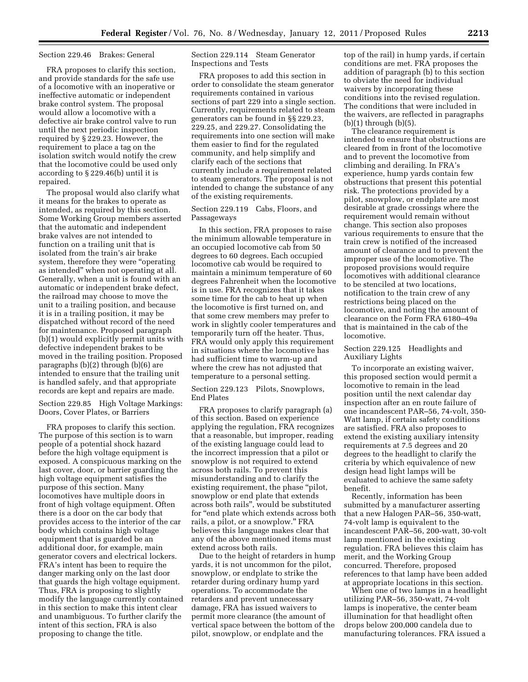# Section 229.46 Brakes: General

FRA proposes to clarify this section, and provide standards for the safe use of a locomotive with an inoperative or ineffective automatic or independent brake control system. The proposal would allow a locomotive with a defective air brake control valve to run until the next periodic inspection required by § 229.23. However, the requirement to place a tag on the isolation switch would notify the crew that the locomotive could be used only according to § 229.46(b) until it is repaired.

The proposal would also clarify what it means for the brakes to operate as intended, as required by this section. Some Working Group members asserted that the automatic and independent brake valves are not intended to function on a trailing unit that is isolated from the train's air brake system, therefore they were ''operating as intended'' when not operating at all. Generally, when a unit is found with an automatic or independent brake defect, the railroad may choose to move the unit to a trailing position, and because it is in a trailing position, it may be dispatched without record of the need for maintenance. Proposed paragraph (b)(1) would explicitly permit units with defective independent brakes to be moved in the trailing position. Proposed paragraphs (b)(2) through (b)(6) are intended to ensure that the trailing unit is handled safely, and that appropriate records are kept and repairs are made.

Section 229.85 High Voltage Markings: Doors, Cover Plates, or Barriers

FRA proposes to clarify this section. The purpose of this section is to warn people of a potential shock hazard before the high voltage equipment is exposed. A conspicuous marking on the last cover, door, or barrier guarding the high voltage equipment satisfies the purpose of this section. Many locomotives have multiple doors in front of high voltage equipment. Often there is a door on the car body that provides access to the interior of the car body which contains high voltage equipment that is guarded be an additional door, for example, main generator covers and electrical lockers. FRA's intent has been to require the danger marking only on the last door that guards the high voltage equipment. Thus, FRA is proposing to slightly modify the language currently contained in this section to make this intent clear and unambiguous. To further clarify the intent of this section, FRA is also proposing to change the title.

Section 229.114 Steam Generator Inspections and Tests

FRA proposes to add this section in order to consolidate the steam generator requirements contained in various sections of part 229 into a single section. Currently, requirements related to steam generators can be found in §§ 229.23, 229.25, and 229.27. Consolidating the requirements into one section will make them easier to find for the regulated community, and help simplify and clarify each of the sections that currently include a requirement related to steam generators. The proposal is not intended to change the substance of any of the existing requirements.

# Section 229.119 Cabs, Floors, and Passageways

In this section, FRA proposes to raise the minimum allowable temperature in an occupied locomotive cab from 50 degrees to 60 degrees. Each occupied locomotive cab would be required to maintain a minimum temperature of 60 degrees Fahrenheit when the locomotive is in use. FRA recognizes that it takes some time for the cab to heat up when the locomotive is first turned on, and that some crew members may prefer to work in slightly cooler temperatures and temporarily turn off the heater. Thus, FRA would only apply this requirement in situations where the locomotive has had sufficient time to warm-up and where the crew has not adjusted that temperature to a personal setting.

Section 229.123 Pilots, Snowplows, End Plates

FRA proposes to clarify paragraph (a) of this section. Based on experience applying the regulation, FRA recognizes that a reasonable, but improper, reading of the existing language could lead to the incorrect impression that a pilot or snowplow is not required to extend across both rails. To prevent this misunderstanding and to clarify the existing requirement, the phase ''pilot, snowplow or end plate that extends across both rails'', would be substituted for ''end plate which extends across both rails, a pilot, or a snowplow.'' FRA believes this language makes clear that any of the above mentioned items must extend across both rails.

Due to the height of retarders in hump yards, it is not uncommon for the pilot, snowplow, or endplate to strike the retarder during ordinary hump yard operations. To accommodate the retarders and prevent unnecessary damage, FRA has issued waivers to permit more clearance (the amount of vertical space between the bottom of the pilot, snowplow, or endplate and the

top of the rail) in hump yards, if certain conditions are met. FRA proposes the addition of paragraph (b) to this section to obviate the need for individual waivers by incorporating these conditions into the revised regulation. The conditions that were included in the waivers, are reflected in paragraphs (b)(1) through (b)(5).

The clearance requirement is intended to ensure that obstructions are cleared from in front of the locomotive and to prevent the locomotive from climbing and derailing. In FRA's experience, hump yards contain few obstructions that present this potential risk. The protections provided by a pilot, snowplow, or endplate are most desirable at grade crossings where the requirement would remain without change. This section also proposes various requirements to ensure that the train crew is notified of the increased amount of clearance and to prevent the improper use of the locomotive. The proposed provisions would require locomotives with additional clearance to be stenciled at two locations, notification to the train crew of any restrictions being placed on the locomotive, and noting the amount of clearance on the Form FRA 6180–49a that is maintained in the cab of the locomotive.

# Section 229.125 Headlights and Auxiliary Lights

To incorporate an existing waiver, this proposed section would permit a locomotive to remain in the lead position until the next calendar day inspection after an en route failure of one incandescent PAR–56, 74-volt, 350- Watt lamp, if certain safety conditions are satisfied. FRA also proposes to extend the existing auxiliary intensity requirements at 7.5 degrees and 20 degrees to the headlight to clarify the criteria by which equivalence of new design head light lamps will be evaluated to achieve the same safety benefit.

Recently, information has been submitted by a manufacturer asserting that a new Halogen PAR–56, 350-watt, 74-volt lamp is equivalent to the incandescent PAR–56, 200-watt, 30-volt lamp mentioned in the existing regulation. FRA believes this claim has merit, and the Working Group concurred. Therefore, proposed references to that lamp have been added at appropriate locations in this section.

When one of two lamps in a headlight utilizing PAR–56, 350-watt, 74-volt lamps is inoperative, the center beam illumination for that headlight often drops below 200,000 candela due to manufacturing tolerances. FRA issued a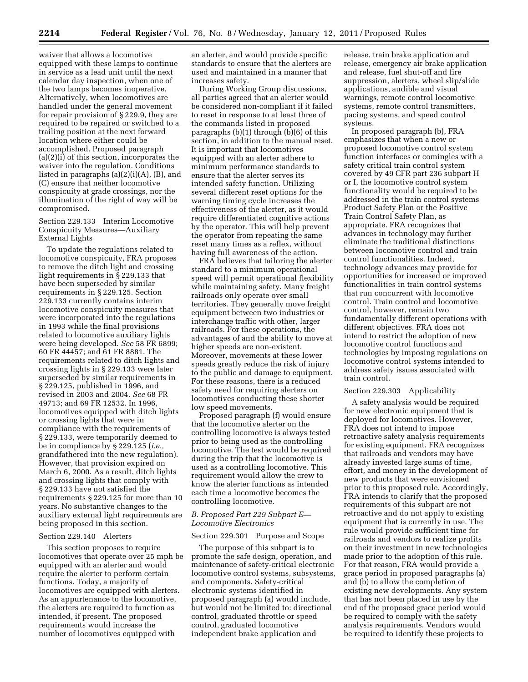waiver that allows a locomotive equipped with these lamps to continue in service as a lead unit until the next calendar day inspection, when one of the two lamps becomes inoperative. Alternatively, when locomotives are handled under the general movement for repair provision of § 229.9, they are required to be repaired or switched to a trailing position at the next forward location where either could be accomplished. Proposed paragraph (a)(2)(i) of this section, incorporates the waiver into the regulation. Conditions listed in paragraphs (a)(2)(i)(A), (B), and (C) ensure that neither locomotive conspicuity at grade crossings, nor the illumination of the right of way will be compromised.

Section 229.133 Interim Locomotive Conspicuity Measures—Auxiliary External Lights

To update the regulations related to locomotive conspicuity, FRA proposes to remove the ditch light and crossing light requirements in § 229.133 that have been superseded by similar requirements in § 229.125. Section 229.133 currently contains interim locomotive conspicuity measures that were incorporated into the regulations in 1993 while the final provisions related to locomotive auxiliary lights were being developed. *See* 58 FR 6899; 60 FR 44457; and 61 FR 8881. The requirements related to ditch lights and crossing lights in § 229.133 were later superseded by similar requirements in § 229.125, published in 1996, and revised in 2003 and 2004. *See* 68 FR 49713; and 69 FR 12532. In 1996, locomotives equipped with ditch lights or crossing lights that were in compliance with the requirements of § 229.133, were temporarily deemed to be in compliance by § 229.125 (*i.e.,*  grandfathered into the new regulation). However, that provision expired on March 6, 2000. As a result, ditch lights and crossing lights that comply with § 229.133 have not satisfied the requirements § 229.125 for more than 10 years. No substantive changes to the auxiliary external light requirements are being proposed in this section.

# Section 229.140 Alerters

This section proposes to require locomotives that operate over 25 mph be equipped with an alerter and would require the alerter to perform certain functions. Today, a majority of locomotives are equipped with alerters. As an appurtenance to the locomotive, the alerters are required to function as intended, if present. The proposed requirements would increase the number of locomotives equipped with

an alerter, and would provide specific standards to ensure that the alerters are used and maintained in a manner that increases safety.

During Working Group discussions, all parties agreed that an alerter would be considered non-compliant if it failed to reset in response to at least three of the commands listed in proposed paragraphs  $(b)(1)$  through  $(b)(6)$  of this section, in addition to the manual reset. It is important that locomotives equipped with an alerter adhere to minimum performance standards to ensure that the alerter serves its intended safety function. Utilizing several different reset options for the warning timing cycle increases the effectiveness of the alerter, as it would require differentiated cognitive actions by the operator. This will help prevent the operator from repeating the same reset many times as a reflex, without having full awareness of the action.

FRA believes that tailoring the alerter standard to a minimum operational speed will permit operational flexibility while maintaining safety. Many freight railroads only operate over small territories. They generally move freight equipment between two industries or interchange traffic with other, larger railroads. For these operations, the advantages of and the ability to move at higher speeds are non-existent. Moreover, movements at these lower speeds greatly reduce the risk of injury to the public and damage to equipment. For these reasons, there is a reduced safety need for requiring alerters on locomotives conducting these shorter low speed movements.

Proposed paragraph (f) would ensure that the locomotive alerter on the controlling locomotive is always tested prior to being used as the controlling locomotive. The test would be required during the trip that the locomotive is used as a controlling locomotive. This requirement would allow the crew to know the alerter functions as intended each time a locomotive becomes the controlling locomotive.

# *B. Proposed Part 229 Subpart E— Locomotive Electronics*

# Section 229.301 Purpose and Scope

The purpose of this subpart is to promote the safe design, operation, and maintenance of safety-critical electronic locomotive control systems, subsystems, and components. Safety-critical electronic systems identified in proposed paragraph (a) would include, but would not be limited to: directional control, graduated throttle or speed control, graduated locomotive independent brake application and

release, train brake application and release, emergency air brake application and release, fuel shut-off and fire suppression, alerters, wheel slip/slide applications, audible and visual warnings, remote control locomotive systems, remote control transmitters, pacing systems, and speed control systems.

In proposed paragraph (b), FRA emphasizes that when a new or proposed locomotive control system function interfaces or comingles with a safety critical train control system covered by 49 CFR part 236 subpart H or I, the locomotive control system functionality would be required to be addressed in the train control systems Product Safety Plan or the Positive Train Control Safety Plan, as appropriate. FRA recognizes that advances in technology may further eliminate the traditional distinctions between locomotive control and train control functionalities. Indeed, technology advances may provide for opportunities for increased or improved functionalities in train control systems that run concurrent with locomotive control. Train control and locomotive control, however, remain two fundamentally different operations with different objectives. FRA does not intend to restrict the adoption of new locomotive control functions and technologies by imposing regulations on locomotive control systems intended to address safety issues associated with train control.

# Section 229.303 Applicability

A safety analysis would be required for new electronic equipment that is deployed for locomotives. However, FRA does not intend to impose retroactive safety analysis requirements for existing equipment. FRA recognizes that railroads and vendors may have already invested large sums of time, effort, and money in the development of new products that were envisioned prior to this proposed rule. Accordingly, FRA intends to clarify that the proposed requirements of this subpart are not retroactive and do not apply to existing equipment that is currently in use. The rule would provide sufficient time for railroads and vendors to realize profits on their investment in new technologies made prior to the adoption of this rule. For that reason, FRA would provide a grace period in proposed paragraphs (a) and (b) to allow the completion of existing new developments. Any system that has not been placed in use by the end of the proposed grace period would be required to comply with the safety analysis requirements. Vendors would be required to identify these projects to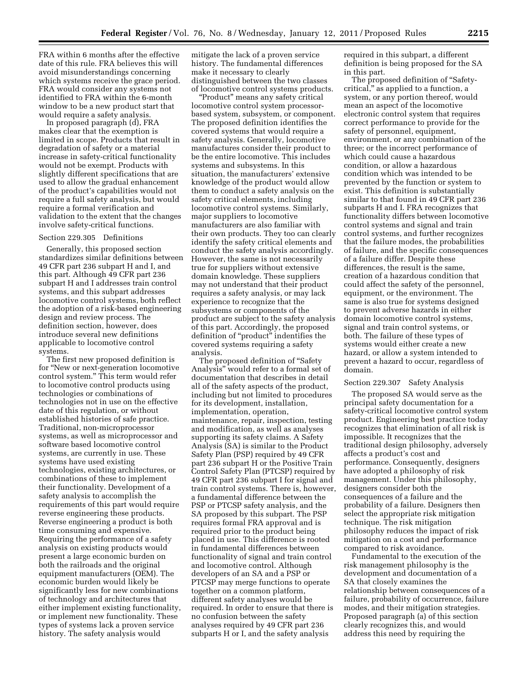FRA within 6 months after the effective date of this rule. FRA believes this will avoid misunderstandings concerning which systems receive the grace period. FRA would consider any systems not identified to FRA within the 6-month window to be a new product start that would require a safety analysis.

In proposed paragraph (d), FRA makes clear that the exemption is limited in scope. Products that result in degradation of safety or a material increase in safety-critical functionality would not be exempt. Products with slightly different specifications that are used to allow the gradual enhancement of the product's capabilities would not require a full safety analysis, but would require a formal verification and validation to the extent that the changes involve safety-critical functions.

#### Section 229.305 Definitions

Generally, this proposed section standardizes similar definitions between 49 CFR part 236 subpart H and I, and this part. Although 49 CFR part 236 subpart H and I addresses train control systems, and this subpart addresses locomotive control systems, both reflect the adoption of a risk-based engineering design and review process. The definition section, however, does introduce several new definitions applicable to locomotive control systems.

The first new proposed definition is for ''New or next-generation locomotive control system.'' This term would refer to locomotive control products using technologies or combinations of technologies not in use on the effective date of this regulation, or without established histories of safe practice. Traditional, non-microprocessor systems, as well as microprocessor and software based locomotive control systems, are currently in use. These systems have used existing technologies, existing architectures, or combinations of these to implement their functionality. Development of a safety analysis to accomplish the requirements of this part would require reverse engineering these products. Reverse engineering a product is both time consuming and expensive. Requiring the performance of a safety analysis on existing products would present a large economic burden on both the railroads and the original equipment manufacturers (OEM). The economic burden would likely be significantly less for new combinations of technology and architectures that either implement existing functionality, or implement new functionality. These types of systems lack a proven service history. The safety analysis would

mitigate the lack of a proven service history. The fundamental differences make it necessary to clearly distinguished between the two classes of locomotive control systems products.

''Product'' means any safety critical locomotive control system processorbased system, subsystem, or component. The proposed definition identifies the covered systems that would require a safety analysis. Generally, locomotive manufactures consider their product to be the entire locomotive. This includes systems and subsystems. In this situation, the manufacturers' extensive knowledge of the product would allow them to conduct a safety analysis on the safety critical elements, including locomotive control systems. Similarly, major suppliers to locomotive manufacturers are also familiar with their own products. They too can clearly identify the safety critical elements and conduct the safety analysis accordingly. However, the same is not necessarily true for suppliers without extensive domain knowledge. These suppliers may not understand that their product requires a safety analysis, or may lack experience to recognize that the subsystems or components of the product are subject to the safety analysis of this part. Accordingly, the proposed definition of "product" indentifies the covered systems requiring a safety analysis.

The proposed definition of ''Safety Analysis'' would refer to a formal set of documentation that describes in detail all of the safety aspects of the product, including but not limited to procedures for its development, installation, implementation, operation, maintenance, repair, inspection, testing and modification, as well as analyses supporting its safety claims. A Safety Analysis (SA) is similar to the Product Safety Plan (PSP) required by 49 CFR part 236 subpart H or the Positive Train Control Safety Plan (PTCSP) required by 49 CFR part 236 subpart I for signal and train control systems. There is, however, a fundamental difference between the PSP or PTCSP safety analysis, and the SA proposed by this subpart. The PSP requires formal FRA approval and is required prior to the product being placed in use. This difference is rooted in fundamental differences between functionality of signal and train control and locomotive control. Although developers of an SA and a PSP or PTCSP may merge functions to operate together on a common platform, different safety analyses would be required. In order to ensure that there is no confusion between the safety analyses required by 49 CFR part 236 subparts H or I, and the safety analysis

required in this subpart, a different definition is being proposed for the SA in this part.

The proposed definition of "Safetycritical,'' as applied to a function, a system, or any portion thereof, would mean an aspect of the locomotive electronic control system that requires correct performance to provide for the safety of personnel, equipment, environment, or any combination of the three; or the incorrect performance of which could cause a hazardous condition, or allow a hazardous condition which was intended to be prevented by the function or system to exist. This definition is substantially similar to that found in 49 CFR part 236 subparts H and I. FRA recognizes that functionality differs between locomotive control systems and signal and train control systems, and further recognizes that the failure modes, the probabilities of failure, and the specific consequences of a failure differ. Despite these differences, the result is the same, creation of a hazardous condition that could affect the safety of the personnel, equipment, or the environment. The same is also true for systems designed to prevent adverse hazards in either domain locomotive control systems, signal and train control systems, or both. The failure of these types of systems would either create a new hazard, or allow a system intended to prevent a hazard to occur, regardless of domain.

# Section 229.307 Safety Analysis

The proposed SA would serve as the principal safety documentation for a safety-critical locomotive control system product. Engineering best practice today recognizes that elimination of all risk is impossible. It recognizes that the traditional design philosophy, adversely affects a product's cost and performance. Consequently, designers have adopted a philosophy of risk management. Under this philosophy, designers consider both the consequences of a failure and the probability of a failure. Designers then select the appropriate risk mitigation technique. The risk mitigation philosophy reduces the impact of risk mitigation on a cost and performance compared to risk avoidance.

Fundamental to the execution of the risk management philosophy is the development and documentation of a SA that closely examines the relationship between consequences of a failure, probability of occurrence, failure modes, and their mitigation strategies. Proposed paragraph (a) of this section clearly recognizes this, and would address this need by requiring the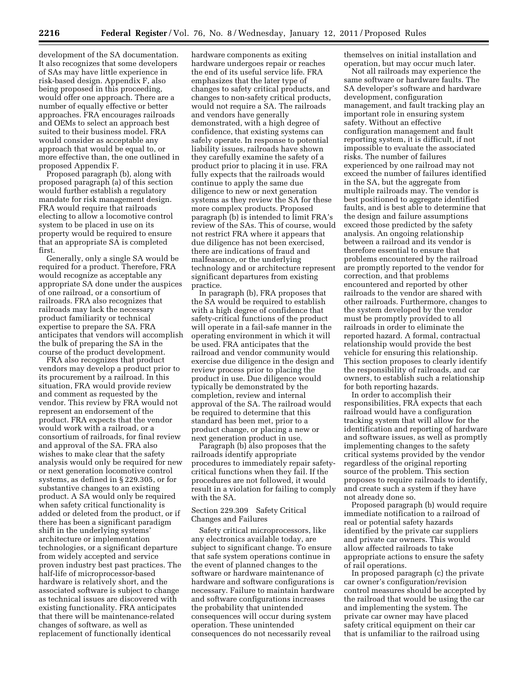development of the SA documentation. It also recognizes that some developers of SAs may have little experience in risk-based design. Appendix F, also being proposed in this proceeding, would offer one approach. There are a number of equally effective or better approaches. FRA encourages railroads and OEMs to select an approach best suited to their business model. FRA would consider as acceptable any approach that would be equal to, or more effective than, the one outlined in proposed Appendix F.

Proposed paragraph (b), along with proposed paragraph (a) of this section would further establish a regulatory mandate for risk management design. FRA would require that railroads electing to allow a locomotive control system to be placed in use on its property would be required to ensure that an appropriate SA is completed first.

Generally, only a single SA would be required for a product. Therefore, FRA would recognize as acceptable any appropriate SA done under the auspices of one railroad, or a consortium of railroads. FRA also recognizes that railroads may lack the necessary product familiarity or technical expertise to prepare the SA. FRA anticipates that vendors will accomplish the bulk of preparing the SA in the course of the product development.

FRA also recognizes that product vendors may develop a product prior to its procurement by a railroad. In this situation, FRA would provide review and comment as requested by the vendor. This review by FRA would not represent an endorsement of the product. FRA expects that the vendor would work with a railroad, or a consortium of railroads, for final review and approval of the SA. FRA also wishes to make clear that the safety analysis would only be required for new or next generation locomotive control systems, as defined in § 229.305, or for substantive changes to an existing product. A SA would only be required when safety critical functionality is added or deleted from the product, or if there has been a significant paradigm shift in the underlying systems' architecture or implementation technologies, or a significant departure from widely accepted and service proven industry best past practices. The half-life of microprocessor-based hardware is relatively short, and the associated software is subject to change as technical issues are discovered with existing functionality. FRA anticipates that there will be maintenance-related changes of software, as well as replacement of functionally identical

hardware components as exiting hardware undergoes repair or reaches the end of its useful service life. FRA emphasizes that the later type of changes to safety critical products, and changes to non-safety critical products, would not require a SA. The railroads and vendors have generally demonstrated, with a high degree of confidence, that existing systems can safely operate. In response to potential liability issues, railroads have shown they carefully examine the safety of a product prior to placing it in use. FRA fully expects that the railroads would continue to apply the same due diligence to new or next generation systems as they review the SA for these more complex products. Proposed paragraph (b) is intended to limit FRA's review of the SAs. This of course, would not restrict FRA where it appears that due diligence has not been exercised, there are indications of fraud and malfeasance, or the underlying technology and or architecture represent significant departures from existing practice.

In paragraph (b), FRA proposes that the SA would be required to establish with a high degree of confidence that safety-critical functions of the product will operate in a fail-safe manner in the operating environment in which it will be used. FRA anticipates that the railroad and vendor community would exercise due diligence in the design and review process prior to placing the product in use. Due diligence would typically be demonstrated by the completion, review and internal approval of the SA. The railroad would be required to determine that this standard has been met, prior to a product change, or placing a new or next generation product in use.

Paragraph (b) also proposes that the railroads identify appropriate procedures to immediately repair safetycritical functions when they fail. If the procedures are not followed, it would result in a violation for failing to comply with the SA.

Section 229.309 Safety Critical Changes and Failures

Safety critical microprocessors, like any electronics available today, are subject to significant change. To ensure that safe system operations continue in the event of planned changes to the software or hardware maintenance of hardware and software configurations is necessary. Failure to maintain hardware and software configurations increases the probability that unintended consequences will occur during system operation. These unintended consequences do not necessarily reveal

themselves on initial installation and operation, but may occur much later.

Not all railroads may experience the same software or hardware faults. The SA developer's software and hardware development, configuration management, and fault tracking play an important role in ensuring system safety. Without an effective configuration management and fault reporting system, it is difficult, if not impossible to evaluate the associated risks. The number of failures experienced by one railroad may not exceed the number of failures identified in the SA, but the aggregate from multiple railroads may. The vendor is best positioned to aggregate identified faults, and is best able to determine that the design and failure assumptions exceed those predicted by the safety analysis. An ongoing relationship between a railroad and its vendor is therefore essential to ensure that problems encountered by the railroad are promptly reported to the vendor for correction, and that problems encountered and reported by other railroads to the vendor are shared with other railroads. Furthermore, changes to the system developed by the vendor must be promptly provided to all railroads in order to eliminate the reported hazard. A formal, contractual relationship would provide the best vehicle for ensuring this relationship. This section proposes to clearly identify the responsibility of railroads, and car owners, to establish such a relationship for both reporting hazards.

In order to accomplish their responsibilities, FRA expects that each railroad would have a configuration tracking system that will allow for the identification and reporting of hardware and software issues, as well as promptly implementing changes to the safety critical systems provided by the vendor regardless of the original reporting source of the problem. This section proposes to require railroads to identify, and create such a system if they have not already done so.

Proposed paragraph (b) would require immediate notification to a railroad of real or potential safety hazards identified by the private car suppliers and private car owners. This would allow affected railroads to take appropriate actions to ensure the safety of rail operations.

In proposed paragraph (c) the private car owner's configuration/revision control measures should be accepted by the railroad that would be using the car and implementing the system. The private car owner may have placed safety critical equipment on their car that is unfamiliar to the railroad using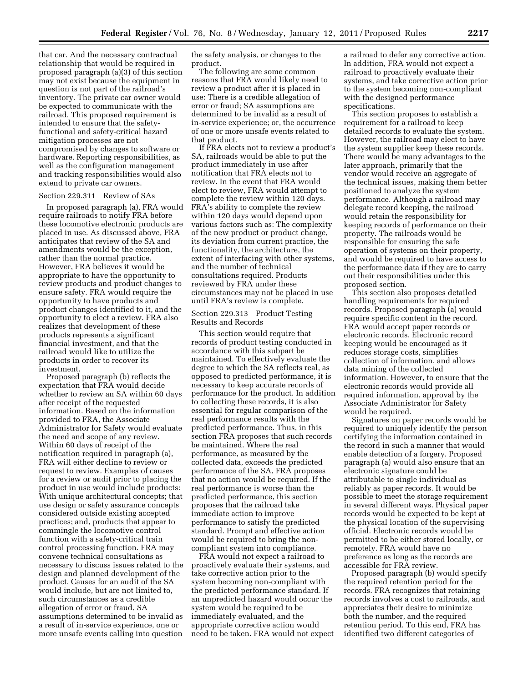that car. And the necessary contractual relationship that would be required in proposed paragraph (a)(3) of this section may not exist because the equipment in question is not part of the railroad's inventory. The private car owner would be expected to communicate with the railroad. This proposed requirement is intended to ensure that the safetyfunctional and safety-critical hazard mitigation processes are not compromised by changes to software or hardware. Reporting responsibilities, as well as the configuration management and tracking responsibilities would also extend to private car owners.

# Section 229.311 Review of SAs

In proposed paragraph (a), FRA would require railroads to notify FRA before these locomotive electronic products are placed in use. As discussed above, FRA anticipates that review of the SA and amendments would be the exception, rather than the normal practice. However, FRA believes it would be appropriate to have the opportunity to review products and product changes to ensure safety. FRA would require the opportunity to have products and product changes identified to it, and the opportunity to elect a review. FRA also realizes that development of these products represents a significant financial investment, and that the railroad would like to utilize the products in order to recover its investment.

Proposed paragraph (b) reflects the expectation that FRA would decide whether to review an SA within 60 days after receipt of the requested information. Based on the information provided to FRA, the Associate Administrator for Safety would evaluate the need and scope of any review. Within 60 days of receipt of the notification required in paragraph (a), FRA will either decline to review or request to review. Examples of causes for a review or audit prior to placing the product in use would include products: With unique architectural concepts; that use design or safety assurance concepts considered outside existing accepted practices; and, products that appear to commingle the locomotive control function with a safety-critical train control processing function. FRA may convene technical consultations as necessary to discuss issues related to the design and planned development of the product. Causes for an audit of the SA would include, but are not limited to, such circumstances as a credible allegation of error or fraud, SA assumptions determined to be invalid as a result of in-service experience, one or more unsafe events calling into question

the safety analysis, or changes to the product.

The following are some common reasons that FRA would likely need to review a product after it is placed in use: There is a credible allegation of error or fraud; SA assumptions are determined to be invalid as a result of in-service experience; or, the occurrence of one or more unsafe events related to that product.

If FRA elects not to review a product's SA, railroads would be able to put the product immediately in use after notification that FRA elects not to review. In the event that FRA would elect to review, FRA would attempt to complete the review within 120 days. FRA's ability to complete the review within 120 days would depend upon various factors such as: The complexity of the new product or product change, its deviation from current practice, the functionality, the architecture, the extent of interfacing with other systems, and the number of technical consultations required. Products reviewed by FRA under these circumstances may not be placed in use until FRA's review is complete.

# Section 229.313 Product Testing Results and Records

This section would require that records of product testing conducted in accordance with this subpart be maintained. To effectively evaluate the degree to which the SA reflects real, as opposed to predicted performance, it is necessary to keep accurate records of performance for the product. In addition to collecting these records, it is also essential for regular comparison of the real performance results with the predicted performance. Thus, in this section FRA proposes that such records be maintained. Where the real performance, as measured by the collected data, exceeds the predicted performance of the SA, FRA proposes that no action would be required. If the real performance is worse than the predicted performance, this section proposes that the railroad take immediate action to improve performance to satisfy the predicted standard. Prompt and effective action would be required to bring the noncompliant system into compliance.

FRA would not expect a railroad to proactively evaluate their systems, and take corrective action prior to the system becoming non-compliant with the predicted performance standard. If an unpredicted hazard would occur the system would be required to be immediately evaluated, and the appropriate corrective action would need to be taken. FRA would not expect a railroad to defer any corrective action. In addition, FRA would not expect a railroad to proactively evaluate their systems, and take corrective action prior to the system becoming non-compliant with the designed performance specifications.

This section proposes to establish a requirement for a railroad to keep detailed records to evaluate the system. However, the railroad may elect to have the system supplier keep these records. There would be many advantages to the later approach, primarily that the vendor would receive an aggregate of the technical issues, making them better positioned to analyze the system performance. Although a railroad may delegate record keeping, the railroad would retain the responsibility for keeping records of performance on their property. The railroads would be responsible for ensuring the safe operation of systems on their property, and would be required to have access to the performance data if they are to carry out their responsibilities under this proposed section.

This section also proposes detailed handling requirements for required records. Proposed paragraph (a) would require specific content in the record. FRA would accept paper records or electronic records. Electronic record keeping would be encouraged as it reduces storage costs, simplifies collection of information, and allows data mining of the collected information. However, to ensure that the electronic records would provide all required information, approval by the Associate Administrator for Safety would be required.

Signatures on paper records would be required to uniquely identify the person certifying the information contained in the record in such a manner that would enable detection of a forgery. Proposed paragraph (a) would also ensure that an electronic signature could be attributable to single individual as reliably as paper records. It would be possible to meet the storage requirement in several different ways. Physical paper records would be expected to be kept at the physical location of the supervising official. Electronic records would be permitted to be either stored locally, or remotely. FRA would have no preference as long as the records are accessible for FRA review.

Proposed paragraph (b) would specify the required retention period for the records. FRA recognizes that retaining records involves a cost to railroads, and appreciates their desire to minimize both the number, and the required retention period. To this end, FRA has identified two different categories of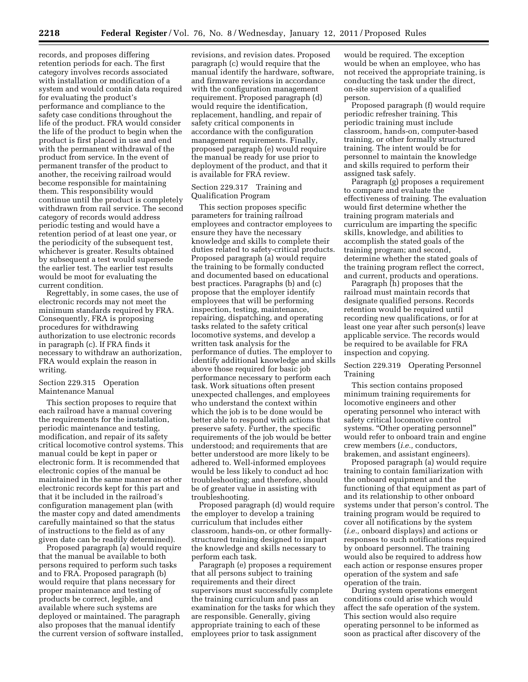records, and proposes differing retention periods for each. The first category involves records associated with installation or modification of a system and would contain data required for evaluating the product's performance and compliance to the safety case conditions throughout the life of the product. FRA would consider the life of the product to begin when the product is first placed in use and end with the permanent withdrawal of the product from service. In the event of permanent transfer of the product to another, the receiving railroad would become responsible for maintaining them. This responsibility would continue until the product is completely withdrawn from rail service. The second category of records would address periodic testing and would have a retention period of at least one year, or the periodicity of the subsequent test, whichever is greater. Results obtained by subsequent a test would supersede the earlier test. The earlier test results would be moot for evaluating the current condition.

Regrettably, in some cases, the use of electronic records may not meet the minimum standards required by FRA. Consequently, FRA is proposing procedures for withdrawing authorization to use electronic records in paragraph (c). If FRA finds it necessary to withdraw an authorization, FRA would explain the reason in writing.

# Section 229.315 Operation Maintenance Manual

This section proposes to require that each railroad have a manual covering the requirements for the installation, periodic maintenance and testing, modification, and repair of its safety critical locomotive control systems. This manual could be kept in paper or electronic form. It is recommended that electronic copies of the manual be maintained in the same manner as other electronic records kept for this part and that it be included in the railroad's configuration management plan (with the master copy and dated amendments carefully maintained so that the status of instructions to the field as of any given date can be readily determined).

Proposed paragraph (a) would require that the manual be available to both persons required to perform such tasks and to FRA. Proposed paragraph (b) would require that plans necessary for proper maintenance and testing of products be correct, legible, and available where such systems are deployed or maintained. The paragraph also proposes that the manual identify the current version of software installed,

revisions, and revision dates. Proposed paragraph (c) would require that the manual identify the hardware, software, and firmware revisions in accordance with the configuration management requirement. Proposed paragraph (d) would require the identification, replacement, handling, and repair of safety critical components in accordance with the configuration management requirements. Finally, proposed paragraph (e) would require the manual be ready for use prior to deployment of the product, and that it is available for FRA review.

# Section 229.317 Training and Qualification Program

This section proposes specific parameters for training railroad employees and contractor employees to ensure they have the necessary knowledge and skills to complete their duties related to safety-critical products. Proposed paragraph (a) would require the training to be formally conducted and documented based on educational best practices. Paragraphs (b) and (c) propose that the employer identify employees that will be performing inspection, testing, maintenance, repairing, dispatching, and operating tasks related to the safety critical locomotive systems, and develop a written task analysis for the performance of duties. The employer to identify additional knowledge and skills above those required for basic job performance necessary to perform each task. Work situations often present unexpected challenges, and employees who understand the context within which the job is to be done would be better able to respond with actions that preserve safety. Further, the specific requirements of the job would be better understood; and requirements that are better understood are more likely to be adhered to. Well-informed employees would be less likely to conduct ad hoc troubleshooting; and therefore, should be of greater value in assisting with troubleshooting.

Proposed paragraph (d) would require the employer to develop a training curriculum that includes either classroom, hands-on, or other formallystructured training designed to impart the knowledge and skills necessary to perform each task.

Paragraph (e) proposes a requirement that all persons subject to training requirements and their direct supervisors must successfully complete the training curriculum and pass an examination for the tasks for which they are responsible. Generally, giving appropriate training to each of these employees prior to task assignment

would be required. The exception would be when an employee, who has not received the appropriate training, is conducting the task under the direct, on-site supervision of a qualified person.

Proposed paragraph (f) would require periodic refresher training. This periodic training must include classroom, hands-on, computer-based training, or other formally structured training. The intent would be for personnel to maintain the knowledge and skills required to perform their assigned task safely.

Paragraph (g) proposes a requirement to compare and evaluate the effectiveness of training. The evaluation would first determine whether the training program materials and curriculum are imparting the specific skills, knowledge, and abilities to accomplish the stated goals of the training program; and second, determine whether the stated goals of the training program reflect the correct, and current, products and operations.

Paragraph (h) proposes that the railroad must maintain records that designate qualified persons. Records retention would be required until recording new qualifications, or for at least one year after such person(s) leave applicable service. The records would be required to be available for FRA inspection and copying.

# Section 229.319 Operating Personnel Training

This section contains proposed minimum training requirements for locomotive engineers and other operating personnel who interact with safety critical locomotive control systems. "Other operating personnel" would refer to onboard train and engine crew members (*i.e.,* conductors, brakemen, and assistant engineers).

Proposed paragraph (a) would require training to contain familiarization with the onboard equipment and the functioning of that equipment as part of and its relationship to other onboard systems under that person's control. The training program would be required to cover all notifications by the system (*i.e.,* onboard displays) and actions or responses to such notifications required by onboard personnel. The training would also be required to address how each action or response ensures proper operation of the system and safe operation of the train.

During system operations emergent conditions could arise which would affect the safe operation of the system. This section would also require operating personnel to be informed as soon as practical after discovery of the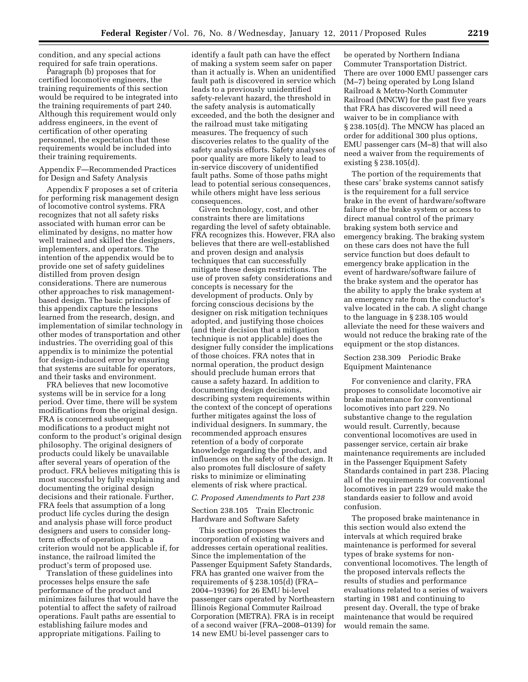condition, and any special actions required for safe train operations.

Paragraph (b) proposes that for certified locomotive engineers, the training requirements of this section would be required to be integrated into the training requirements of part 240. Although this requirement would only address engineers, in the event of certification of other operating personnel, the expectation that these requirements would be included into their training requirements.

# Appendix F—Recommended Practices for Design and Safety Analysis

Appendix F proposes a set of criteria for performing risk management design of locomotive control systems. FRA recognizes that not all safety risks associated with human error can be eliminated by designs, no matter how well trained and skilled the designers, implementers, and operators. The intention of the appendix would be to provide one set of safety guidelines distilled from proven design considerations. There are numerous other approaches to risk managementbased design. The basic principles of this appendix capture the lessons learned from the research, design, and implementation of similar technology in other modes of transportation and other industries. The overriding goal of this appendix is to minimize the potential for design-induced error by ensuring that systems are suitable for operators, and their tasks and environment.

FRA believes that new locomotive systems will be in service for a long period. Over time, there will be system modifications from the original design. FRA is concerned subsequent modifications to a product might not conform to the product's original design philosophy. The original designers of products could likely be unavailable after several years of operation of the product. FRA believes mitigating this is most successful by fully explaining and documenting the original design decisions and their rationale. Further, FRA feels that assumption of a long product life cycles during the design and analysis phase will force product designers and users to consider longterm effects of operation. Such a criterion would not be applicable if, for instance, the railroad limited the product's term of proposed use.

Translation of these guidelines into processes helps ensure the safe performance of the product and minimizes failures that would have the potential to affect the safety of railroad operations. Fault paths are essential to establishing failure modes and appropriate mitigations. Failing to

identify a fault path can have the effect of making a system seem safer on paper than it actually is. When an unidentified fault path is discovered in service which leads to a previously unidentified safety-relevant hazard, the threshold in the safety analysis is automatically exceeded, and the both the designer and the railroad must take mitigating measures. The frequency of such discoveries relates to the quality of the safety analysis efforts. Safety analyses of poor quality are more likely to lead to in-service discovery of unidentified fault paths. Some of those paths might lead to potential serious consequences, while others might have less serious consequences.

Given technology, cost, and other constraints there are limitations regarding the level of safety obtainable. FRA recognizes this. However, FRA also believes that there are well-established and proven design and analysis techniques that can successfully mitigate these design restrictions. The use of proven safety considerations and concepts is necessary for the development of products. Only by forcing conscious decisions by the designer on risk mitigation techniques adopted, and justifying those choices (and their decision that a mitigation technique is not applicable) does the designer fully consider the implications of those choices. FRA notes that in normal operation, the product design should preclude human errors that cause a safety hazard. In addition to documenting design decisions, describing system requirements within the context of the concept of operations further mitigates against the loss of individual designers. In summary, the recommended approach ensures retention of a body of corporate knowledge regarding the product, and influences on the safety of the design. It also promotes full disclosure of safety risks to minimize or eliminating elements of risk where practical.

# *C. Proposed Amendments to Part 238*

Section 238.105 Train Electronic Hardware and Software Safety

This section proposes the incorporation of existing waivers and addresses certain operational realities. Since the implementation of the Passenger Equipment Safety Standards, FRA has granted one waiver from the requirements of § 238.105(d) (FRA– 2004–19396) for 26 EMU bi-level passenger cars operated by Northeastern Illinois Regional Commuter Railroad Corporation (METRA). FRA is in receipt of a second waiver (FRA–2008–0139) for 14 new EMU bi-level passenger cars to

be operated by Northern Indiana Commuter Transportation District. There are over 1000 EMU passenger cars (M–7) being operated by Long Island Railroad & Metro-North Commuter Railroad (MNCW) for the past five years that FRA has discovered will need a waiver to be in compliance with § 238.105(d). The MNCW has placed an order for additional 300 plus options, EMU passenger cars (M–8) that will also need a waiver from the requirements of existing § 238.105(d).

The portion of the requirements that these cars' brake systems cannot satisfy is the requirement for a full service brake in the event of hardware/software failure of the brake system or access to direct manual control of the primary braking system both service and emergency braking. The braking system on these cars does not have the full service function but does default to emergency brake application in the event of hardware/software failure of the brake system and the operator has the ability to apply the brake system at an emergency rate from the conductor's valve located in the cab. A slight change to the language in § 238.105 would alleviate the need for these waivers and would not reduce the braking rate of the equipment or the stop distances.

# Section 238.309 Periodic Brake Equipment Maintenance

For convenience and clarity, FRA proposes to consolidate locomotive air brake maintenance for conventional locomotives into part 229. No substantive change to the regulation would result. Currently, because conventional locomotives are used in passenger service, certain air brake maintenance requirements are included in the Passenger Equipment Safety Standards contained in part 238. Placing all of the requirements for conventional locomotives in part 229 would make the standards easier to follow and avoid confusion.

The proposed brake maintenance in this section would also extend the intervals at which required brake maintenance is performed for several types of brake systems for nonconventional locomotives. The length of the proposed intervals reflects the results of studies and performance evaluations related to a series of waivers starting in 1981 and continuing to present day. Overall, the type of brake maintenance that would be required would remain the same.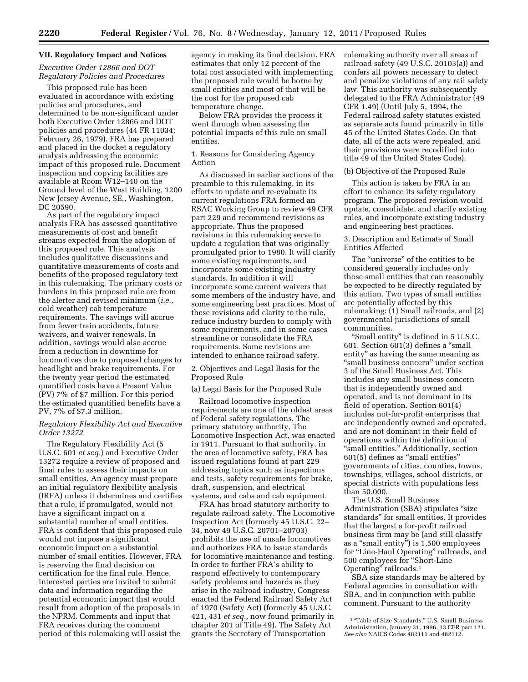# **VII. Regulatory Impact and Notices**

# *Executive Order 12866 and DOT Regulatory Policies and Procedures*

This proposed rule has been evaluated in accordance with existing policies and procedures, and determined to be non-significant under both Executive Order 12866 and DOT policies and procedures (44 FR 11034; February 26, 1979). FRA has prepared and placed in the docket a regulatory analysis addressing the economic impact of this proposed rule. Document inspection and copying facilities are available at Room W12–140 on the Ground level of the West Building, 1200 New Jersey Avenue, SE., Washington, DC 20590.

As part of the regulatory impact analysis FRA has assessed quantitative measurements of cost and benefit streams expected from the adoption of this proposed rule. This analysis includes qualitative discussions and quantitative measurements of costs and benefits of the proposed regulatory text in this rulemaking. The primary costs or burdens in this proposed rule are from the alerter and revised minimum (*i.e.,*  cold weather) cab temperature requirements. The savings will accrue from fewer train accidents, future waivers, and waiver renewals. In addition, savings would also accrue from a reduction in downtime for locomotives due to proposed changes to headlight and brake requirements. For the twenty year period the estimated quantified costs have a Present Value (PV) 7% of \$7 million. For this period the estimated quantified benefits have a PV, 7% of \$7.3 million.

# *Regulatory Flexibility Act and Executive Order 13272*

The Regulatory Flexibility Act (5 U.S.C. 601 *et seq.*) and Executive Order 13272 require a review of proposed and final rules to assess their impacts on small entities. An agency must prepare an initial regulatory flexibility analysis (IRFA) unless it determines and certifies that a rule, if promulgated, would not have a significant impact on a substantial number of small entities. FRA is confident that this proposed rule would not impose a significant economic impact on a substantial number of small entities. However, FRA is reserving the final decision on certification for the final rule. Hence, interested parties are invited to submit data and information regarding the potential economic impact that would result from adoption of the proposals in the NPRM. Comments and input that FRA receives during the comment period of this rulemaking will assist the

agency in making its final decision. FRA estimates that only 12 percent of the total cost associated with implementing the proposed rule would be borne by small entities and most of that will be the cost for the proposed cab temperature change.

Below FRA provides the process it went through when assessing the potential impacts of this rule on small entities.

1. Reasons for Considering Agency Action

As discussed in earlier sections of the preamble to this rulemaking, in its efforts to update and re-evaluate its current regulations FRA formed an RSAC Working Group to review 49 CFR part 229 and recommend revisions as appropriate. Thus the proposed revisions in this rulemaking serve to update a regulation that was originally promulgated prior to 1980. It will clarify some existing requirements, and incorporate some existing industry standards. In addition it will incorporate some current waivers that some members of the industry have, and some engineering best practices. Most of these revisions add clarity to the rule, reduce industry burden to comply with some requirements, and in some cases streamline or consolidate the FRA requirements. Some revisions are intended to enhance railroad safety.

2. Objectives and Legal Basis for the Proposed Rule

(a) Legal Basis for the Proposed Rule

Railroad locomotive inspection requirements are one of the oldest areas of Federal safety regulations. The primary statutory authority, The Locomotive Inspection Act, was enacted in 1911. Pursuant to that authority, in the area of locomotive safety, FRA has issued regulations found at part 229 addressing topics such as inspections and tests, safety requirements for brake, draft, suspension, and electrical systems, and cabs and cab equipment.

FRA has broad statutory authority to regulate railroad safety. The Locomotive Inspection Act (formerly 45 U.S.C. 22– 34, now 49 U.S.C. 20701–20703) prohibits the use of unsafe locomotives and authorizes FRA to issue standards for locomotive maintenance and testing. In order to further FRA's ability to respond effectively to contemporary safety problems and hazards as they arise in the railroad industry, Congress enacted the Federal Railroad Safety Act of 1970 (Safety Act) (formerly 45 U.S.C. 421, 431 *et seq.,* now found primarily in chapter 201 of Title 49). The Safety Act grants the Secretary of Transportation

rulemaking authority over all areas of railroad safety (49 U.S.C. 20103(a)) and confers all powers necessary to detect and penalize violations of any rail safety law. This authority was subsequently delegated to the FRA Administrator (49 CFR 1.49) (Until July 5, 1994, the Federal railroad safety statutes existed as separate acts found primarily in title 45 of the United States Code. On that date, all of the acts were repealed, and their provisions were recodified into title 49 of the United States Code).

# (b) Objective of the Proposed Rule

This action is taken by FRA in an effort to enhance its safety regulatory program. The proposed revision would update, consolidate, and clarify existing rules, and incorporate existing industry and engineering best practices.

# 3. Description and Estimate of Small Entities Affected

The ''universe'' of the entities to be considered generally includes only those small entities that can reasonably be expected to be directly regulated by this action. Two types of small entities are potentially affected by this rulemaking: (1) Small railroads, and (2) governmental jurisdictions of small communities.

"Small entity" is defined in 5 U.S.C. 601. Section 601(3) defines a ''small entity'' as having the same meaning as ''small business concern'' under section 3 of the Small Business Act. This includes any small business concern that is independently owned and operated, and is not dominant in its field of operation. Section 601(4) includes not-for-profit enterprises that are independently owned and operated, and are not dominant in their field of operations within the definition of "small entities." Additionally, section 601(5) defines as ''small entities'' governments of cities, counties, towns, townships, villages, school districts, or special districts with populations less than 50,000.

The U.S. Small Business Administration (SBA) stipulates "size standards'' for small entities. It provides that the largest a for-profit railroad business firm may be (and still classify as a ''small entity'') is 1,500 employees for ''Line-Haul Operating'' railroads, and 500 employees for ''Short-Line Operating'' railroads.1

SBA size standards may be altered by Federal agencies in consultation with SBA, and in conjunction with public comment. Pursuant to the authority

 $^{\rm 1\,^{\rm o}}$  Table of Size Standards," U.S. Small Business Administration, January 31, 1996, 13 CFR part 121. *See also* NAICS Codes 482111 and 482112.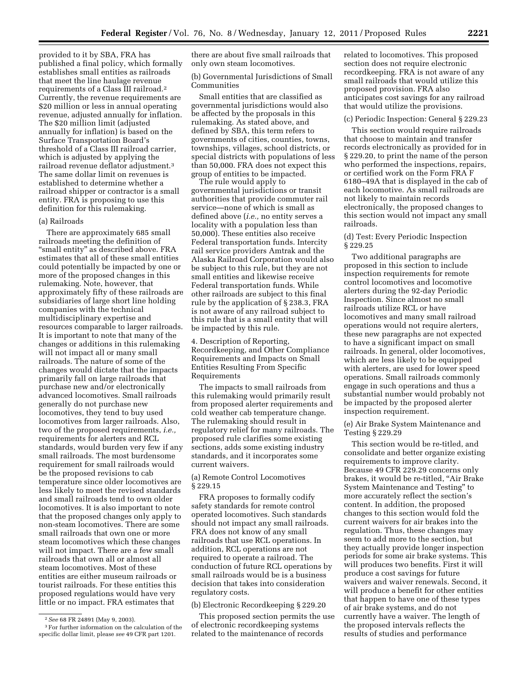provided to it by SBA, FRA has published a final policy, which formally establishes small entities as railroads that meet the line haulage revenue requirements of a Class III railroad.2 Currently, the revenue requirements are \$20 million or less in annual operating revenue, adjusted annually for inflation. The \$20 million limit (adjusted annually for inflation) is based on the Surface Transportation Board's threshold of a Class III railroad carrier, which is adjusted by applying the railroad revenue deflator adjustment.3 The same dollar limit on revenues is established to determine whether a railroad shipper or contractor is a small entity. FRA is proposing to use this definition for this rulemaking.

# (a) Railroads

There are approximately 685 small railroads meeting the definition of "small entity" as described above. FRA estimates that all of these small entities could potentially be impacted by one or more of the proposed changes in this rulemaking. Note, however, that approximately fifty of these railroads are subsidiaries of large short line holding companies with the technical multidisciplinary expertise and resources comparable to larger railroads. It is important to note that many of the changes or additions in this rulemaking will not impact all or many small railroads. The nature of some of the changes would dictate that the impacts primarily fall on large railroads that purchase new and/or electronically advanced locomotives. Small railroads generally do not purchase new locomotives, they tend to buy used locomotives from larger railroads. Also, two of the proposed requirements, *i.e.,*  requirements for alerters and RCL standards, would burden very few if any small railroads. The most burdensome requirement for small railroads would be the proposed revisions to cab temperature since older locomotives are less likely to meet the revised standards and small railroads tend to own older locomotives. It is also important to note that the proposed changes only apply to non-steam locomotives. There are some small railroads that own one or more steam locomotives which these changes will not impact. There are a few small railroads that own all or almost all steam locomotives. Most of these entities are either museum railroads or tourist railroads. For these entities this proposed regulations would have very little or no impact. FRA estimates that

there are about five small railroads that only own steam locomotives.

(b) Governmental Jurisdictions of Small Communities

Small entities that are classified as governmental jurisdictions would also be affected by the proposals in this rulemaking. As stated above, and defined by SBA, this term refers to governments of cities, counties, towns, townships, villages, school districts, or special districts with populations of less than 50,000. FRA does not expect this group of entities to be impacted.

The rule would apply to governmental jurisdictions or transit authorities that provide commuter rail service—none of which is small as defined above (*i.e.,* no entity serves a locality with a population less than 50,000). These entities also receive Federal transportation funds. Intercity rail service providers Amtrak and the Alaska Railroad Corporation would also be subject to this rule, but they are not small entities and likewise receive Federal transportation funds. While other railroads are subject to this final rule by the application of § 238.3, FRA is not aware of any railroad subject to this rule that is a small entity that will be impacted by this rule.

4. Description of Reporting, Recordkeeping, and Other Compliance Requirements and Impacts on Small Entities Resulting From Specific Requirements

The impacts to small railroads from this rulemaking would primarily result from proposed alerter requirements and cold weather cab temperature change. The rulemaking should result in regulatory relief for many railroads. The proposed rule clarifies some existing sections, adds some existing industry standards, and it incorporates some current waivers.

# (a) Remote Control Locomotives § 229.15

FRA proposes to formally codify safety standards for remote control operated locomotives. Such standards should not impact any small railroads. FRA does not know of any small railroads that use RCL operations. In addition, RCL operations are not required to operate a railroad. The conduction of future RCL operations by small railroads would be is a business decision that takes into consideration regulatory costs.

# (b) Electronic Recordkeeping § 229.20

This proposed section permits the use of electronic recordkeeping systems related to the maintenance of records

related to locomotives. This proposed section does not require electronic recordkeeping. FRA is not aware of any small railroads that would utilize this proposed provision. FRA also anticipates cost savings for any railroad that would utilize the provisions.

# (c) Periodic Inspection: General § 229.23

This section would require railroads that choose to maintain and transfer records electronically as provided for in § 229.20, to print the name of the person who performed the inspections, repairs, or certified work on the Form FRA F 6180–49A that is displayed in the cab of each locomotive. As small railroads are not likely to maintain records electronically, the proposed changes to this section would not impact any small railroads.

# (d) Test: Every Periodic Inspection § 229.25

Two additional paragraphs are proposed in this section to include inspection requirements for remote control locomotives and locomotive alerters during the 92-day Periodic Inspection. Since almost no small railroads utilize RCL or have locomotives and many small railroad operations would not require alerters, these new paragraphs are not expected to have a significant impact on small railroads. In general, older locomotives, which are less likely to be equipped with alerters, are used for lower speed operations. Small railroads commonly engage in such operations and thus a substantial number would probably not be impacted by the proposed alerter inspection requirement.

(e) Air Brake System Maintenance and Testing § 229.29

This section would be re-titled, and consolidate and better organize existing requirements to improve clarity. Because 49 CFR 229.29 concerns only brakes, it would be re-titled, ''Air Brake System Maintenance and Testing'' to more accurately reflect the section's content. In addition, the proposed changes to this section would fold the current waivers for air brakes into the regulation. Thus, these changes may seem to add more to the section, but they actually provide longer inspection periods for some air brake systems. This will produces two benefits. First it will produce a cost savings for future waivers and waiver renewals. Second, it will produce a benefit for other entities that happen to have one of these types of air brake systems, and do not currently have a waiver. The length of the proposed intervals reflects the results of studies and performance

<sup>2</sup>*See* 68 FR 24891 (May 9, 2003).

<sup>3</sup>For further information on the calculation of the specific dollar limit, please *see* 49 CFR part 1201.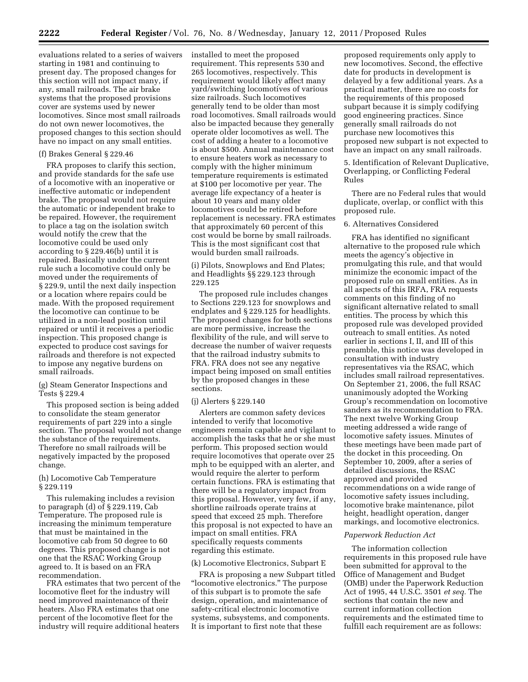evaluations related to a series of waivers starting in 1981 and continuing to present day. The proposed changes for this section will not impact many, if any, small railroads. The air brake systems that the proposed provisions cover are systems used by newer locomotives. Since most small railroads do not own newer locomotives, the proposed changes to this section should have no impact on any small entities.

# (f) Brakes General § 229.46

FRA proposes to clarify this section, and provide standards for the safe use of a locomotive with an inoperative or ineffective automatic or independent brake. The proposal would not require the automatic or independent brake to be repaired. However, the requirement to place a tag on the isolation switch would notify the crew that the locomotive could be used only according to § 229.46(b) until it is repaired. Basically under the current rule such a locomotive could only be moved under the requirements of § 229.9, until the next daily inspection or a location where repairs could be made. With the proposed requirement the locomotive can continue to be utilized in a non-lead position until repaired or until it receives a periodic inspection. This proposed change is expected to produce cost savings for railroads and therefore is not expected to impose any negative burdens on small railroads.

# (g) Steam Generator Inspections and Tests § 229.4

This proposed section is being added to consolidate the steam generator requirements of part 229 into a single section. The proposal would not change the substance of the requirements. Therefore no small railroads will be negatively impacted by the proposed change.

# (h) Locomotive Cab Temperature § 229.119

This rulemaking includes a revision to paragraph (d) of § 229.119, Cab Temperature. The proposed rule is increasing the minimum temperature that must be maintained in the locomotive cab from 50 degree to 60 degrees. This proposed change is not one that the RSAC Working Group agreed to. It is based on an FRA recommendation.

FRA estimates that two percent of the locomotive fleet for the industry will need improved maintenance of their heaters. Also FRA estimates that one percent of the locomotive fleet for the industry will require additional heaters

installed to meet the proposed requirement. This represents 530 and 265 locomotives, respectively. This requirement would likely affect many yard/switching locomotives of various size railroads. Such locomotives generally tend to be older than most road locomotives. Small railroads would also be impacted because they generally operate older locomotives as well. The cost of adding a heater to a locomotive is about \$500. Annual maintenance cost to ensure heaters work as necessary to comply with the higher minimum temperature requirements is estimated at \$100 per locomotive per year. The average life expectancy of a heater is about 10 years and many older locomotives could be retired before replacement is necessary. FRA estimates that approximately 60 percent of this cost would be borne by small railroads. This is the most significant cost that would burden small railroads.

# (i) Pilots, Snowplows and End Plates; and Headlights §§ 229.123 through 229.125

The proposed rule includes changes to Sections 229.123 for snowplows and endplates and § 229.125 for headlights. The proposed changes for both sections are more permissive, increase the flexibility of the rule, and will serve to decrease the number of waiver requests that the railroad industry submits to FRA. FRA does not see any negative impact being imposed on small entities by the proposed changes in these sections.

# (j) Alerters § 229.140

Alerters are common safety devices intended to verify that locomotive engineers remain capable and vigilant to accomplish the tasks that he or she must perform. This proposed section would require locomotives that operate over 25 mph to be equipped with an alerter, and would require the alerter to perform certain functions. FRA is estimating that there will be a regulatory impact from this proposal. However, very few, if any, shortline railroads operate trains at speed that exceed 25 mph. Therefore this proposal is not expected to have an impact on small entities. FRA specifically requests comments regarding this estimate.

# (k) Locomotive Electronics, Subpart E

FRA is proposing a new Subpart titled ''locomotive electronics.'' The purpose of this subpart is to promote the safe design, operation, and maintenance of safety-critical electronic locomotive systems, subsystems, and components. It is important to first note that these

proposed requirements only apply to new locomotives. Second, the effective date for products in development is delayed by a few additional years. As a practical matter, there are no costs for the requirements of this proposed subpart because it is simply codifying good engineering practices. Since generally small railroads do not purchase new locomotives this proposed new subpart is not expected to have an impact on any small railroads.

5. Identification of Relevant Duplicative, Overlapping, or Conflicting Federal Rules

There are no Federal rules that would duplicate, overlap, or conflict with this proposed rule.

# 6. Alternatives Considered

FRA has identified no significant alternative to the proposed rule which meets the agency's objective in promulgating this rule, and that would minimize the economic impact of the proposed rule on small entities. As in all aspects of this IRFA, FRA requests comments on this finding of no significant alternative related to small entities. The process by which this proposed rule was developed provided outreach to small entities. As noted earlier in sections I, II, and III of this preamble, this notice was developed in consultation with industry representatives via the RSAC, which includes small railroad representatives. On September 21, 2006, the full RSAC unanimously adopted the Working Group's recommendation on locomotive sanders as its recommendation to FRA. The next twelve Working Group meeting addressed a wide range of locomotive safety issues. Minutes of these meetings have been made part of the docket in this proceeding. On September 10, 2009, after a series of detailed discussions, the RSAC approved and provided recommendations on a wide range of locomotive safety issues including, locomotive brake maintenance, pilot height, headlight operation, danger markings, and locomotive electronics.

# *Paperwork Reduction Act*

The information collection requirements in this proposed rule have been submitted for approval to the Office of Management and Budget (OMB) under the Paperwork Reduction Act of 1995, 44 U.S.C. 3501 *et seq.* The sections that contain the new and current information collection requirements and the estimated time to fulfill each requirement are as follows: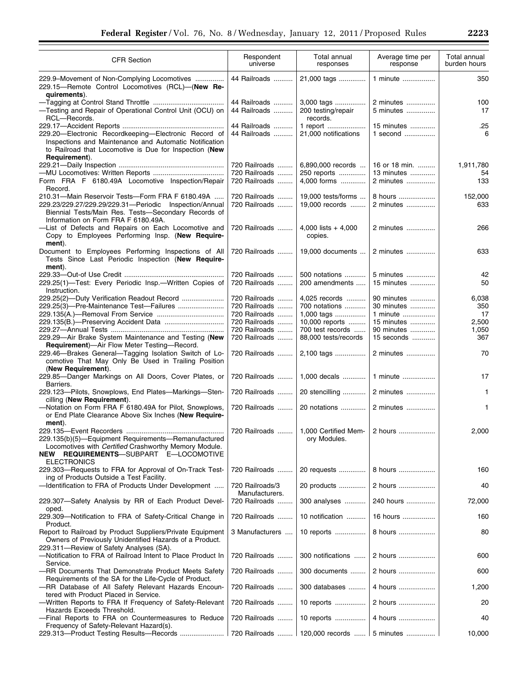| <b>CFR Section</b>                                                                                                                                                                                      | Respondent                        | Total annual                                 | Average time per        | Total annual   |
|---------------------------------------------------------------------------------------------------------------------------------------------------------------------------------------------------------|-----------------------------------|----------------------------------------------|-------------------------|----------------|
|                                                                                                                                                                                                         | universe                          | responses                                    | response                | burden hours   |
| 229.9-Movement of Non-Complying Locomotives<br>229.15-Remote Control Locomotives (RCL)-(New Re-<br>quirements).                                                                                         | 44 Railroads                      | 21,000 tags                                  | 1 minute                | 350            |
| -Testing and Repair of Operational Control Unit (OCU) on<br>RCL-Records.                                                                                                                                | 44 Railroads<br>44 Railroads      | 3,000 tags<br>200 testing/repair<br>records. | 2 minutes<br>5 minutes  | 100<br>17      |
| 229.20-Electronic Recordkeeping-Electronic Record of<br>Inspections and Maintenance and Automatic Notification<br>to Railroad that Locomotive is Due for Inspection (New<br>Requirement).               | 44 Railroads<br>44 Railroads      | 1 report<br>21,000 notifications             | 15 minutes<br>1 second  | .25<br>6       |
|                                                                                                                                                                                                         | 720 Railroads                     | 6,890,000 records                            | 16 or 18 min.           | 1,911,780      |
| Form FRA F 6180.49A Locomotive Inspection/Repair<br>Record.                                                                                                                                             | 720 Railroads<br>720 Railroads    | 250 reports<br>4,000 forms                   | 13 minutes<br>2 minutes | 54<br>133      |
| 210.31-Main Reservoir Tests-Form FRA F 6180.49A<br>229.23/229.27/229.29/229.31-Periodic Inspection/Annual<br>Biennial Tests/Main Res. Tests-Secondary Records of<br>Information on Form FRA F 6180.49A. | 720 Railroads<br>720 Railroads    | 19,000 tests/forms<br>19,000 records         | 8 hours<br>2 minutes    | 152,000<br>633 |
| -List of Defects and Repairs on Each Locomotive and<br>Copy to Employees Performing Insp. (New Require-<br>ment).                                                                                       | 720 Railroads                     | 4,000 lists $+4,000$<br>copies.              | 2 minutes               | 266            |
| Document to Employees Performing Inspections of All<br>Tests Since Last Periodic Inspection (New Require-<br>ment).                                                                                     | 720 Railroads                     | 19,000 documents                             | 2 minutes               | 633            |
| 229.25(1)—Test: Every Periodic Insp.—Written Copies of<br>Instruction.                                                                                                                                  | 720 Railroads<br>720 Railroads    | 500 notations<br>200 amendments              | 5 minutes<br>15 minutes | 42<br>50       |
| 229.25(2)—Duty Verification Readout Record                                                                                                                                                              | 720 Railroads                     | 4,025 records                                | 90 minutes              | 6,038          |
| 229.25(3)-Pre-Maintenance Test-Failures                                                                                                                                                                 | 720 Railroads<br>720 Railroads    | 700 notations<br>1,000 tags                  | 30 minutes<br>1 minute  | 350<br>17      |
|                                                                                                                                                                                                         | 720 Railroads                     | 10,000 reports                               | 15 minutes              | 2,500          |
|                                                                                                                                                                                                         | 720 Railroads                     | 700 test records                             | 90 minutes              | 1,050          |
| 229.29—Air Brake System Maintenance and Testing (New                                                                                                                                                    | 720 Railroads                     | 88,000 tests/records                         | 15 seconds              | 367            |
| Requirement)-Air Flow Meter Testing-Record.<br>229.46-Brakes General-Tagging Isolation Switch of Lo-<br>comotive That May Only Be Used in Trailing Position                                             | 720 Railroads                     | 2,100 tags                                   | 2 minutes               | 70             |
| (New Requirement).<br>229.85-Danger Markings on All Doors, Cover Plates, or<br>Barriers.                                                                                                                | 720 Railroads                     | 1,000 decals                                 | 1 minute                | 17             |
| 229.123-Pilots, Snowplows, End Plates-Markings-Sten-<br>cilling (New Requirement).                                                                                                                      | 720 Railroads                     | 20 stencilling                               | 2 minutes               | 1              |
| -Notation on Form FRA F 6180.49A for Pilot, Snowplows,<br>or End Plate Clearance Above Six Inches (New Require-<br>ment).                                                                               | 720 Railroads                     | 20 notations                                 | 2 minutes               | 1              |
| 229.135(b)(5)-Equipment Requirements-Remanufactured<br>Locomotives with Certified Crashworthy Memory Module.<br>REQUIREMENTS-SUBPART E-LOCOMOTIVE<br>NEW<br><b>ELECTRONICS</b>                          | 720 Railroads                     | 1,000 Certified Mem-<br>ory Modules.         | 2 hours                 | 2,000          |
| 229.303-Requests to FRA for Approval of On-Track Test-                                                                                                                                                  | 720 Railroads                     | 20 requests                                  | 8 hours                 | 160            |
| ing of Products Outside a Test Facility.<br>-----Identification to FRA of Products Under Development                                                                                                    | 720 Railroads/3<br>Manufacturers. | 20 products                                  | 2 hours                 | 40             |
| 229.307–Safety Analysis by RR of Each Product Devel-<br>oped.                                                                                                                                           | 720 Railroads                     | 300 analyses                                 | 240 hours               | 72,000         |
| 229.309—Notification to FRA of Safety-Critical Change in<br>Product.                                                                                                                                    | 720 Railroads                     | 10 notification                              | 16 hours                | 160            |
| Report to Railroad by Product Suppliers/Private Equipment<br>Owners of Previously Unidentified Hazards of a Product.<br>229.311-Review of Safety Analyses (SA).                                         | 3 Manufacturers                   | 10 reports                                   | 8 hours                 | 80             |
| -Notification to FRA of Railroad Intent to Place Product In<br>Service.                                                                                                                                 | 720 Railroads                     | 300 notifications                            | 2 hours                 | 600            |
| -RR Documents That Demonstrate Product Meets Safety<br>Requirements of the SA for the Life-Cycle of Product.                                                                                            | 720 Railroads                     | 300 documents                                | 2 hours                 | 600            |
| -RR Database of All Safety Relevant Hazards Encoun-<br>tered with Product Placed in Service.                                                                                                            | 720 Railroads                     | 300 databases                                | 4 hours                 | 1,200          |
| -Written Reports to FRA If Frequency of Safety-Relevant<br>Hazards Exceeds Threshold.                                                                                                                   | 720 Railroads                     | 10 reports                                   | 2 hours                 | 20             |
| -Final Reports to FRA on Countermeasures to Reduce<br>Frequency of Safety-Relevant Hazard(s).                                                                                                           | 720 Railroads                     | 10 reports                                   | 4 hours                 | 40             |
| 229.313-Product Testing Results-Records                                                                                                                                                                 | 720 Railroads                     | 120,000 records                              | 5 minutes               | 10,000         |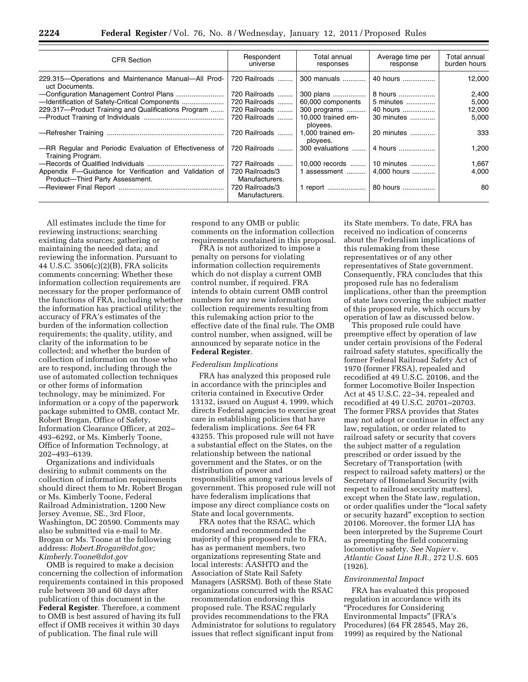| <b>CFR Section</b>                                                                        | Respondent<br>universe            | Total annual<br>responses      | Average time per<br>response | Total annual<br>burden hours |
|-------------------------------------------------------------------------------------------|-----------------------------------|--------------------------------|------------------------------|------------------------------|
| 229.315–Operations and Maintenance Manual–All Prod-<br>uct Documents.                     | 720 Railroads                     | 300 manuals                    | 40 hours                     | 12,000                       |
|                                                                                           | 720 Railroads                     | 300 plans                      | 8 hours                      | 2,400                        |
|                                                                                           | 720 Railroads                     | 60,000 components              | 5 minutes                    | 5,000                        |
| 229.317-Product Training and Qualifications Program                                       | 720 Railroads                     | 300 programs                   | 40 hours                     | 12,000                       |
|                                                                                           | 720 Railroads                     | 10,000 trained em-<br>ployees. | 30 minutes                   | 5,000                        |
|                                                                                           | 720 Railroads                     | 1,000 trained em-<br>ployees.  | 20 minutes                   | 333                          |
| -RR Regular and Periodic Evaluation of Effectiveness of<br>Training Program.              | 720 Railroads                     | 300 evaluations                | 4 hours                      | 1,200                        |
|                                                                                           | 727 Railroads                     | 10,000 records                 | 10 minutes                   | 1,667                        |
| Appendix F-Guidance for Verification and Validation of<br>Product-Third Party Assessment. | 720 Railroads/3<br>Manufacturers. | 1 assessment                   | 4,000 hours                  | 4,000                        |
|                                                                                           | 720 Railroads/3<br>Manufacturers. |                                | 80 hours                     | 80                           |

All estimates include the time for reviewing instructions; searching existing data sources; gathering or maintaining the needed data; and reviewing the information. Pursuant to 44 U.S.C. 3506(c)(2)(B), FRA solicits comments concerning: Whether these information collection requirements are necessary for the proper performance of the functions of FRA, including whether the information has practical utility; the accuracy of FRA's estimates of the burden of the information collection requirements; the quality, utility, and clarity of the information to be collected; and whether the burden of collection of information on those who are to respond, including through the use of automated collection techniques or other forms of information technology, may be minimized. For information or a copy of the paperwork package submitted to OMB, contact Mr. Robert Brogan, Office of Safety, Information Clearance Officer, at 202– 493–6292, or Ms. Kimberly Toone, Office of Information Technology, at 202–493–6139.

Organizations and individuals desiring to submit comments on the collection of information requirements should direct them to Mr. Robert Brogan or Ms. Kimberly Toone, Federal Railroad Administration, 1200 New Jersey Avenue, SE., 3rd Floor, Washington, DC 20590. Comments may also be submitted via e-mail to Mr. Brogan or Ms. Toone at the following address: *[Robert.Brogan@dot.gov;](mailto:Robert.Brogan@dot.gov)  [Kimberly.Toone@dot.gov](mailto:Kimberly.Toone@dot.gov)* 

OMB is required to make a decision concerning the collection of information requirements contained in this proposed rule between 30 and 60 days after publication of this document in the **Federal Register**. Therefore, a comment to OMB is best assured of having its full effect if OMB receives it within 30 days of publication. The final rule will

respond to any OMB or public comments on the information collection requirements contained in this proposal.

FRA is not authorized to impose a penalty on persons for violating information collection requirements which do not display a current OMB control number, if required. FRA intends to obtain current OMB control numbers for any new information collection requirements resulting from this rulemaking action prior to the effective date of the final rule. The OMB control number, when assigned, will be announced by separate notice in the **Federal Register**.

#### *Federalism Implications*

FRA has analyzed this proposed rule in accordance with the principles and criteria contained in Executive Order 13132, issued on August 4, 1999, which directs Federal agencies to exercise great care in establishing policies that have federalism implications. *See* 64 FR 43255. This proposed rule will not have a substantial effect on the States, on the relationship between the national government and the States, or on the distribution of power and responsibilities among various levels of government. This proposed rule will not have federalism implications that impose any direct compliance costs on State and local governments.

FRA notes that the RSAC, which endorsed and recommended the majority of this proposed rule to FRA, has as permanent members, two organizations representing State and local interests: AASHTO and the Association of State Rail Safety Managers (ASRSM). Both of these State organizations concurred with the RSAC recommendation endorsing this proposed rule. The RSAC regularly provides recommendations to the FRA Administrator for solutions to regulatory issues that reflect significant input from

its State members. To date, FRA has received no indication of concerns about the Federalism implications of this rulemaking from these representatives or of any other representatives of State government. Consequently, FRA concludes that this proposed rule has no federalism implications, other than the preemption of state laws covering the subject matter of this proposed rule, which occurs by operation of law as discussed below.

This proposed rule could have preemptive effect by operation of law under certain provisions of the Federal railroad safety statutes, specifically the former Federal Railroad Safety Act of 1970 (former FRSA), repealed and recodified at 49 U.S.C. 20106, and the former Locomotive Boiler Inspection Act at 45 U.S.C. 22–34, repealed and recodified at 49 U.S.C. 20701–20703. The former FRSA provides that States may not adopt or continue in effect any law, regulation, or order related to railroad safety or security that covers the subject matter of a regulation prescribed or order issued by the Secretary of Transportation (with respect to railroad safety matters) or the Secretary of Homeland Security (with respect to railroad security matters), except when the State law, regulation, or order qualifies under the ''local safety or security hazard'' exception to section 20106. Moreover, the former LIA has been interpreted by the Supreme Court as preempting the field concerning locomotive safety. *See Napier* v. *Atlantic Coast Line R.R.,* 272 U.S. 605 (1926).

# *Environmental Impact*

FRA has evaluated this proposed regulation in accordance with its ''Procedures for Considering Environmental Impacts'' (FRA's Procedures) (64 FR 28545, May 26, 1999) as required by the National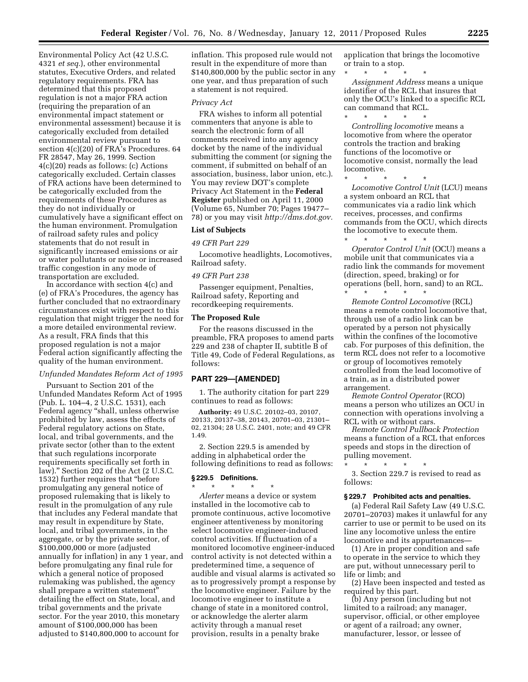Environmental Policy Act (42 U.S.C. 4321 *et seq.*), other environmental statutes, Executive Orders, and related regulatory requirements. FRA has determined that this proposed regulation is not a major FRA action (requiring the preparation of an environmental impact statement or environmental assessment) because it is categorically excluded from detailed environmental review pursuant to section 4(c)(20) of FRA's Procedures. 64 FR 28547, May 26, 1999. Section 4(c)(20) reads as follows: (c) Actions categorically excluded. Certain classes of FRA actions have been determined to be categorically excluded from the requirements of these Procedures as they do not individually or cumulatively have a significant effect on the human environment. Promulgation of railroad safety rules and policy statements that do not result in significantly increased emissions or air or water pollutants or noise or increased traffic congestion in any mode of transportation are excluded.

In accordance with section 4(c) and (e) of FRA's Procedures, the agency has further concluded that no extraordinary circumstances exist with respect to this regulation that might trigger the need for a more detailed environmental review. As a result, FRA finds that this proposed regulation is not a major Federal action significantly affecting the quality of the human environment.

#### *Unfunded Mandates Reform Act of 1995*

Pursuant to Section 201 of the Unfunded Mandates Reform Act of 1995 (Pub. L. 104–4, 2 U.S.C. 1531), each Federal agency ''shall, unless otherwise prohibited by law, assess the effects of Federal regulatory actions on State, local, and tribal governments, and the private sector (other than to the extent that such regulations incorporate requirements specifically set forth in law).'' Section 202 of the Act (2 U.S.C. 1532) further requires that ''before promulgating any general notice of proposed rulemaking that is likely to result in the promulgation of any rule that includes any Federal mandate that may result in expenditure by State, local, and tribal governments, in the aggregate, or by the private sector, of \$100,000,000 or more (adjusted annually for inflation) in any 1 year, and before promulgating any final rule for which a general notice of proposed rulemaking was published, the agency shall prepare a written statement'' detailing the effect on State, local, and tribal governments and the private sector. For the year 2010, this monetary amount of \$100,000,000 has been adjusted to \$140,800,000 to account for

inflation. This proposed rule would not result in the expenditure of more than \$140,800,000 by the public sector in any one year, and thus preparation of such a statement is not required.

# *Privacy Act*

FRA wishes to inform all potential commenters that anyone is able to search the electronic form of all comments received into any agency docket by the name of the individual submitting the comment (or signing the comment, if submitted on behalf of an association, business, labor union, etc.). You may review DOT's complete Privacy Act Statement in the **Federal Register** published on April 11, 2000 (Volume 65, Number 70; Pages 19477– 78) or you may visit *[http://dms.dot.gov.](http://dms.dot.gov)* 

# **List of Subjects**

*49 CFR Part 229* 

Locomotive headlights, Locomotives, Railroad safety.

# *49 CFR Part 238*

Passenger equipment, Penalties, Railroad safety, Reporting and recordkeeping requirements.

# **The Proposed Rule**

For the reasons discussed in the preamble, FRA proposes to amend parts 229 and 238 of chapter II, subtitle B of Title 49, Code of Federal Regulations, as follows:

# **PART 229—[AMENDED]**

1. The authority citation for part 229 continues to read as follows:

**Authority:** 49 U.S.C. 20102–03, 20107, 20133, 20137–38, 20143, 20701–03, 21301– 02, 21304; 28 U.S.C. 2401, note; and 49 CFR 1.49.

2. Section 229.5 is amended by adding in alphabetical order the following definitions to read as follows:

# **§ 229.5 Definitions.**

\* \* \* \* \* *Alerter* means a device or system installed in the locomotive cab to promote continuous, active locomotive engineer attentiveness by monitoring select locomotive engineer-induced control activities. If fluctuation of a monitored locomotive engineer-induced control activity is not detected within a predetermined time, a sequence of audible and visual alarms is activated so as to progressively prompt a response by the locomotive engineer. Failure by the locomotive engineer to institute a change of state in a monitored control, or acknowledge the alerter alarm activity through a manual reset provision, results in a penalty brake

application that brings the locomotive or train to a stop.

\* \* \* \* \* *Assignment Address* means a unique identifier of the RCL that insures that only the OCU's linked to a specific RCL can command that RCL.

\* \* \* \* \* *Controlling locomotive* means a locomotive from where the operator controls the traction and braking functions of the locomotive or locomotive consist, normally the lead locomotive.

\* \* \* \* \* *Locomotive Control Unit* (LCU) means a system onboard an RCL that communicates via a radio link which receives, processes, and confirms commands from the OCU, which directs the locomotive to execute them. \* \* \* \* \*

*Operator Control Unit* (OCU) means a mobile unit that communicates via a radio link the commands for movement (direction, speed, braking) or for operations (bell, horn, sand) to an RCL.

\* \* \* \* \* *Remote Control Locomotive* (RCL) means a remote control locomotive that, through use of a radio link can be operated by a person not physically within the confines of the locomotive cab. For purposes of this definition, the term RCL does not refer to a locomotive or group of locomotives remotely controlled from the lead locomotive of a train, as in a distributed power arrangement.

*Remote Control Operator* (RCO) means a person who utilizes an OCU in connection with operations involving a RCL with or without cars.

*Remote Control Pullback Protection*  means a function of a RCL that enforces speeds and stops in the direction of pulling movement.

\* \* \* \* \* 3. Section 229.7 is revised to read as follows:

#### **§ 229.7 Prohibited acts and penalties.**

(a) Federal Rail Safety Law (49 U.S.C. 20701–20703) makes it unlawful for any carrier to use or permit to be used on its line any locomotive unless the entire locomotive and its appurtenances—

(1) Are in proper condition and safe to operate in the service to which they are put, without unnecessary peril to life or limb; and

(2) Have been inspected and tested as required by this part.

(b) Any person (including but not limited to a railroad; any manager, supervisor, official, or other employee or agent of a railroad; any owner, manufacturer, lessor, or lessee of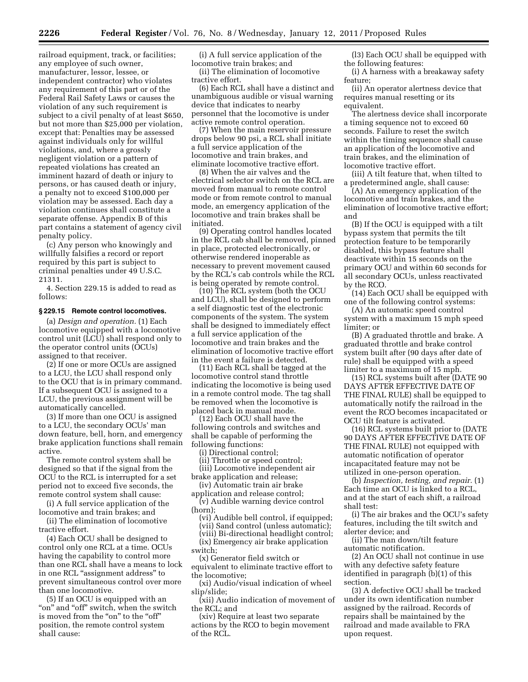railroad equipment, track, or facilities; any employee of such owner, manufacturer, lessor, lessee, or independent contractor) who violates any requirement of this part or of the Federal Rail Safety Laws or causes the violation of any such requirement is subject to a civil penalty of at least \$650, but not more than \$25,000 per violation, except that: Penalties may be assessed against individuals only for willful violations, and, where a grossly negligent violation or a pattern of repeated violations has created an imminent hazard of death or injury to persons, or has caused death or injury, a penalty not to exceed \$100,000 per violation may be assessed. Each day a violation continues shall constitute a separate offense. Appendix B of this part contains a statement of agency civil penalty policy.

(c) Any person who knowingly and willfully falsifies a record or report required by this part is subject to criminal penalties under 49 U.S.C. 21311.

4. Section 229.15 is added to read as follows:

#### **§ 229.15 Remote control locomotives.**

(a) *Design and operation.* (1) Each locomotive equipped with a locomotive control unit (LCU) shall respond only to the operator control units (OCUs) assigned to that receiver.

(2) If one or more OCUs are assigned to a LCU, the LCU shall respond only to the OCU that is in primary command. If a subsequent OCU is assigned to a LCU, the previous assignment will be automatically cancelled.

(3) If more than one OCU is assigned to a LCU, the secondary OCUs' man down feature, bell, horn, and emergency brake application functions shall remain active.

The remote control system shall be designed so that if the signal from the OCU to the RCL is interrupted for a set period not to exceed five seconds, the remote control system shall cause:

(i) A full service application of the locomotive and train brakes; and

(ii) The elimination of locomotive tractive effort.

(4) Each OCU shall be designed to control only one RCL at a time. OCUs having the capability to control more than one RCL shall have a means to lock in one RCL "assignment address" to prevent simultaneous control over more than one locomotive.

(5) If an OCU is equipped with an "on" and "off" switch, when the switch is moved from the "on" to the "off" position, the remote control system shall cause:

(i) A full service application of the locomotive train brakes; and

(ii) The elimination of locomotive tractive effort. (6) Each RCL shall have a distinct and

unambiguous audible or visual warning device that indicates to nearby personnel that the locomotive is under active remote control operation.

(7) When the main reservoir pressure drops below 90 psi, a RCL shall initiate a full service application of the locomotive and train brakes, and eliminate locomotive tractive effort.

(8) When the air valves and the electrical selector switch on the RCL are moved from manual to remote control mode or from remote control to manual mode, an emergency application of the locomotive and train brakes shall be initiated.

(9) Operating control handles located in the RCL cab shall be removed, pinned in place, protected electronically, or otherwise rendered inoperable as necessary to prevent movement caused by the RCL's cab controls while the RCL is being operated by remote control.

(10) The RCL system (both the OCU and LCU), shall be designed to perform a self diagnostic test of the electronic components of the system. The system shall be designed to immediately effect a full service application of the locomotive and train brakes and the elimination of locomotive tractive effort in the event a failure is detected.

(11) Each RCL shall be tagged at the locomotive control stand throttle indicating the locomotive is being used in a remote control mode. The tag shall be removed when the locomotive is placed back in manual mode.

(12) Each OCU shall have the following controls and switches and shall be capable of performing the following functions:

(i) Directional control;

(ii) Throttle or speed control;

(iii) Locomotive independent air brake application and release;

(iv) Automatic train air brake application and release control;

(v) Audible warning device control (horn);

(vi) Audible bell control, if equipped;

(vii) Sand control (unless automatic); (viii) Bi-directional headlight control;

(ix) Emergency air brake application

switch;

(x) Generator field switch or equivalent to eliminate tractive effort to the locomotive;

(xi) Audio/visual indication of wheel slip/slide;

(xii) Audio indication of movement of the RCL; and

(xiv) Require at least two separate actions by the RCO to begin movement of the RCL.

(l3) Each OCU shall be equipped with the following features:

(i) A harness with a breakaway safety feature;

(ii) An operator alertness device that requires manual resetting or its equivalent.

The alertness device shall incorporate a timing sequence not to exceed 60 seconds. Failure to reset the switch within the timing sequence shall cause an application of the locomotive and train brakes, and the elimination of locomotive tractive effort.

(iii) A tilt feature that, when tilted to a predetermined angle, shall cause:

(A) An emergency application of the locomotive and train brakes, and the elimination of locomotive tractive effort; and

(B) If the OCU is equipped with a tilt bypass system that permits the tilt protection feature to be temporarily disabled, this bypass feature shall deactivate within 15 seconds on the primary OCU and within 60 seconds for all secondary OCUs, unless reactivated by the RCO.

(14) Each OCU shall be equipped with one of the following control systems:

(A) An automatic speed control system with a maximum 15 mph speed limiter; or

(B) A graduated throttle and brake. A graduated throttle and brake control system built after (90 days after date of rule) shall be equipped with a speed limiter to a maximum of 15 mph.

(15) RCL systems built after (DATE 90 DAYS AFTER EFFECTIVE DATE OF THE FINAL RULE) shall be equipped to automatically notify the railroad in the event the RCO becomes incapacitated or OCU tilt feature is activated.

(16) RCL systems built prior to (DATE 90 DAYS AFTER EFFECTIVE DATE OF THE FINAL RULE) not equipped with automatic notification of operator incapacitated feature may not be utilized in one-person operation.

(b) *Inspection, testing, and repair.* (1) Each time an OCU is linked to a RCL, and at the start of each shift, a railroad shall test:

(i) The air brakes and the OCU's safety features, including the tilt switch and alerter device; and

(ii) The man down/tilt feature automatic notification.

(2) An OCU shall not continue in use with any defective safety feature identified in paragraph (b)(1) of this section.

(3) A defective OCU shall be tracked under its own identification number assigned by the railroad. Records of repairs shall be maintained by the railroad and made available to FRA upon request.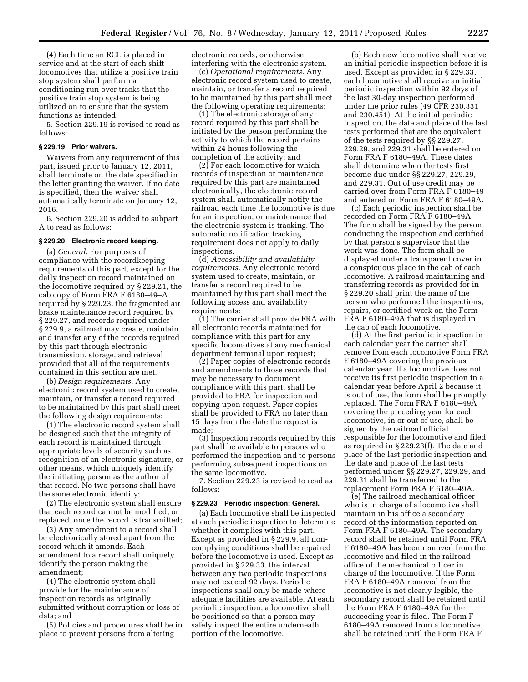(4) Each time an RCL is placed in service and at the start of each shift locomotives that utilize a positive train stop system shall perform a conditioning run over tracks that the positive train stop system is being utilized on to ensure that the system functions as intended.

5. Section 229.19 is revised to read as follows:

#### **§ 229.19 Prior waivers.**

Waivers from any requirement of this part, issued prior to January 12, 2011, shall terminate on the date specified in the letter granting the waiver. If no date is specified, then the waiver shall automatically terminate on January 12, 2016.

6. Section 229.20 is added to subpart A to read as follows:

# **§ 229.20 Electronic record keeping.**

(a) *General.* For purposes of compliance with the recordkeeping requirements of this part, except for the daily inspection record maintained on the locomotive required by § 229.21, the cab copy of Form FRA F 6180–49–A required by § 229.23, the fragmented air brake maintenance record required by § 229.27, and records required under § 229.9, a railroad may create, maintain, and transfer any of the records required by this part through electronic transmission, storage, and retrieval provided that all of the requirements contained in this section are met.

(b) *Design requirements.* Any electronic record system used to create, maintain, or transfer a record required to be maintained by this part shall meet the following design requirements:

(1) The electronic record system shall be designed such that the integrity of each record is maintained through appropriate levels of security such as recognition of an electronic signature, or other means, which uniquely identify the initiating person as the author of that record. No two persons shall have the same electronic identity;

(2) The electronic system shall ensure that each record cannot be modified, or replaced, once the record is transmitted;

(3) Any amendment to a record shall be electronically stored apart from the record which it amends. Each amendment to a record shall uniquely identify the person making the amendment;

(4) The electronic system shall provide for the maintenance of inspection records as originally submitted without corruption or loss of data; and

(5) Policies and procedures shall be in place to prevent persons from altering

electronic records, or otherwise interfering with the electronic system.

(c) *Operational requirements.* Any electronic record system used to create, maintain, or transfer a record required to be maintained by this part shall meet the following operating requirements:

(1) The electronic storage of any record required by this part shall be initiated by the person performing the activity to which the record pertains within 24 hours following the completion of the activity; and

(2) For each locomotive for which records of inspection or maintenance required by this part are maintained electronically, the electronic record system shall automatically notify the railroad each time the locomotive is due for an inspection, or maintenance that the electronic system is tracking. The automatic notification tracking requirement does not apply to daily inspections.

(d) *Accessibility and availability requirements.* Any electronic record system used to create, maintain, or transfer a record required to be maintained by this part shall meet the following access and availability requirements:

(1) The carrier shall provide FRA with all electronic records maintained for compliance with this part for any specific locomotives at any mechanical department terminal upon request;

(2) Paper copies of electronic records and amendments to those records that may be necessary to document compliance with this part, shall be provided to FRA for inspection and copying upon request. Paper copies shall be provided to FRA no later than 15 days from the date the request is made;

(3) Inspection records required by this part shall be available to persons who performed the inspection and to persons performing subsequent inspections on the same locomotive.

7. Section 229.23 is revised to read as follows:

# **§ 229.23 Periodic inspection: General.**

(a) Each locomotive shall be inspected at each periodic inspection to determine whether it complies with this part. Except as provided in § 229.9, all noncomplying conditions shall be repaired before the locomotive is used. Except as provided in § 229.33, the interval between any two periodic inspections may not exceed 92 days. Periodic inspections shall only be made where adequate facilities are available. At each periodic inspection, a locomotive shall be positioned so that a person may safely inspect the entire underneath portion of the locomotive.

(b) Each new locomotive shall receive an initial periodic inspection before it is used. Except as provided in § 229.33, each locomotive shall receive an initial periodic inspection within 92 days of the last 30-day inspection performed under the prior rules (49 CFR 230.331 and 230.451). At the initial periodic inspection, the date and place of the last tests performed that are the equivalent of the tests required by §§ 229.27, 229.29, and 229.31 shall be entered on Form FRA F 6180–49A. These dates shall determine when the tests first become due under §§ 229.27, 229.29, and 229.31. Out of use credit may be carried over from Form FRA F 6180–49 and entered on Form FRA F 6180–49A.

(c) Each periodic inspection shall be recorded on Form FRA F 6180–49A. The form shall be signed by the person conducting the inspection and certified by that person's supervisor that the work was done. The form shall be displayed under a transparent cover in a conspicuous place in the cab of each locomotive. A railroad maintaining and transferring records as provided for in § 229.20 shall print the name of the person who performed the inspections, repairs, or certified work on the Form FRA F 6180–49A that is displayed in the cab of each locomotive.

(d) At the first periodic inspection in each calendar year the carrier shall remove from each locomotive Form FRA F 6180–49A covering the previous calendar year. If a locomotive does not receive its first periodic inspection in a calendar year before April 2 because it is out of use, the form shall be promptly replaced. The Form FRA F 6180–49A covering the preceding year for each locomotive, in or out of use, shall be signed by the railroad official responsible for the locomotive and filed as required in § 229.23(f). The date and place of the last periodic inspection and the date and place of the last tests performed under §§ 229.27, 229.29, and 229.31 shall be transferred to the replacement Form FRA F 6180–49A.

(e) The railroad mechanical officer who is in charge of a locomotive shall maintain in his office a secondary record of the information reported on Form FRA F 6180–49A. The secondary record shall be retained until Form FRA F 6180–49A has been removed from the locomotive and filed in the railroad office of the mechanical officer in charge of the locomotive. If the Form FRA F 6180–49A removed from the locomotive is not clearly legible, the secondary record shall be retained until the Form FRA F 6180–49A for the succeeding year is filed. The Form F 6180–49A removed from a locomotive shall be retained until the Form FRA F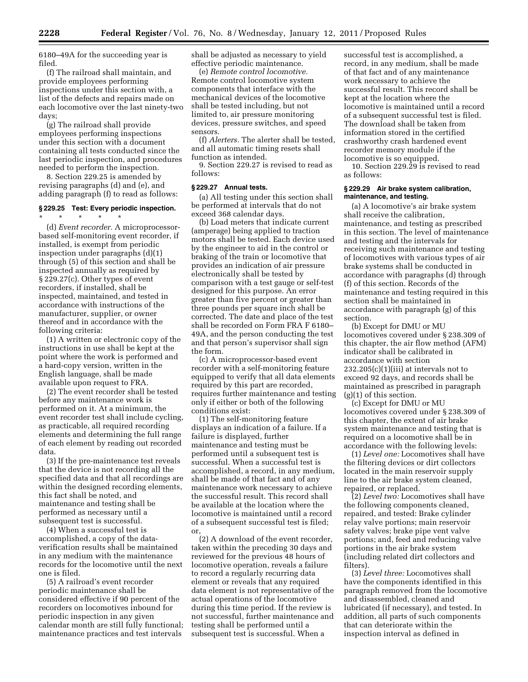6180–49A for the succeeding year is filed.

(f) The railroad shall maintain, and provide employees performing inspections under this section with, a list of the defects and repairs made on each locomotive over the last ninety-two days;

(g) The railroad shall provide employees performing inspections under this section with a document containing all tests conducted since the last periodic inspection, and procedures needed to perform the inspection.

8. Section 229.25 is amended by revising paragraphs (d) and (e), and adding paragraph (f) to read as follows:

# **§ 229.25 Test: Every periodic inspection.**

\* \* \* \* \* (d) *Event recorder.* A microprocessorbased self-monitoring event recorder, if installed, is exempt from periodic inspection under paragraphs (d)(1) through (5) of this section and shall be inspected annually as required by § 229.27(c). Other types of event

recorders, if installed, shall be inspected, maintained, and tested in accordance with instructions of the manufacturer, supplier, or owner thereof and in accordance with the following criteria:

(1) A written or electronic copy of the instructions in use shall be kept at the point where the work is performed and a hard-copy version, written in the English language, shall be made available upon request to FRA.

(2) The event recorder shall be tested before any maintenance work is performed on it. At a minimum, the event recorder test shall include cycling, as practicable, all required recording elements and determining the full range of each element by reading out recorded data.

(3) If the pre-maintenance test reveals that the device is not recording all the specified data and that all recordings are within the designed recording elements, this fact shall be noted, and maintenance and testing shall be performed as necessary until a subsequent test is successful.

(4) When a successful test is accomplished, a copy of the dataverification results shall be maintained in any medium with the maintenance records for the locomotive until the next one is filed.

(5) A railroad's event recorder periodic maintenance shall be considered effective if 90 percent of the recorders on locomotives inbound for periodic inspection in any given calendar month are still fully functional; maintenance practices and test intervals

shall be adjusted as necessary to yield effective periodic maintenance.

(e) *Remote control locomotive.*  Remote control locomotive system components that interface with the mechanical devices of the locomotive shall be tested including, but not limited to, air pressure monitoring devices, pressure switches, and speed sensors.

(f) *Alerters.* The alerter shall be tested, and all automatic timing resets shall function as intended.

9. Section 229.27 is revised to read as follows:

# **§ 229.27 Annual tests.**

(a) All testing under this section shall be performed at intervals that do not exceed 368 calendar days.

(b) Load meters that indicate current (amperage) being applied to traction motors shall be tested. Each device used by the engineer to aid in the control or braking of the train or locomotive that provides an indication of air pressure electronically shall be tested by comparison with a test gauge or self-test designed for this purpose. An error greater than five percent or greater than three pounds per square inch shall be corrected. The date and place of the test shall be recorded on Form FRA F 6180– 49A, and the person conducting the test and that person's supervisor shall sign the form.

(c) A microprocessor-based event recorder with a self-monitoring feature equipped to verify that all data elements required by this part are recorded, requires further maintenance and testing only if either or both of the following conditions exist:

(1) The self-monitoring feature displays an indication of a failure. If a failure is displayed, further maintenance and testing must be performed until a subsequent test is successful. When a successful test is accomplished, a record, in any medium, shall be made of that fact and of any maintenance work necessary to achieve the successful result. This record shall be available at the location where the locomotive is maintained until a record of a subsequent successful test is filed; or,

(2) A download of the event recorder, taken within the preceding 30 days and reviewed for the previous 48 hours of locomotive operation, reveals a failure to record a regularly recurring data element or reveals that any required data element is not representative of the actual operations of the locomotive during this time period. If the review is not successful, further maintenance and testing shall be performed until a subsequent test is successful. When a

successful test is accomplished, a record, in any medium, shall be made of that fact and of any maintenance work necessary to achieve the successful result. This record shall be kept at the location where the locomotive is maintained until a record of a subsequent successful test is filed. The download shall be taken from information stored in the certified crashworthy crash hardened event recorder memory module if the locomotive is so equipped.

10. Section 229.29 is revised to read as follows:

# **§ 229.29 Air brake system calibration, maintenance, and testing.**

(a) A locomotive's air brake system shall receive the calibration, maintenance, and testing as prescribed in this section. The level of maintenance and testing and the intervals for receiving such maintenance and testing of locomotives with various types of air brake systems shall be conducted in accordance with paragraphs (d) through (f) of this section. Records of the maintenance and testing required in this section shall be maintained in accordance with paragraph (g) of this section.

(b) Except for DMU or MU locomotives covered under § 238.309 of this chapter, the air flow method (AFM) indicator shall be calibrated in accordance with section  $232.205(c)(1)(iii)$  at intervals not to exceed 92 days, and records shall be maintained as prescribed in paragraph (g)(1) of this section.

(c) Except for DMU or MU locomotives covered under § 238.309 of this chapter, the extent of air brake system maintenance and testing that is required on a locomotive shall be in accordance with the following levels:

(1) *Level one:* Locomotives shall have the filtering devices or dirt collectors located in the main reservoir supply line to the air brake system cleaned, repaired, or replaced.

(2) *Level two:* Locomotives shall have the following components cleaned, repaired, and tested: Brake cylinder relay valve portions; main reservoir safety valves; brake pipe vent valve portions; and, feed and reducing valve portions in the air brake system (including related dirt collectors and filters).

(3) *Level three:* Locomotives shall have the components identified in this paragraph removed from the locomotive and disassembled, cleaned and lubricated (if necessary), and tested. In addition, all parts of such components that can deteriorate within the inspection interval as defined in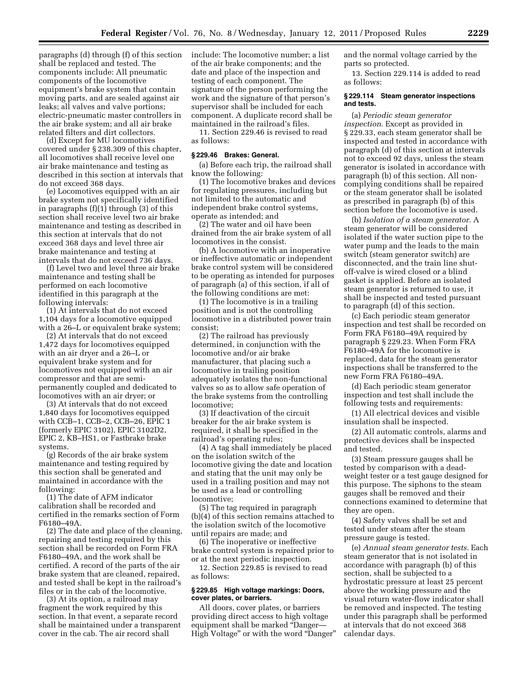paragraphs (d) through (f) of this section shall be replaced and tested. The components include: All pneumatic components of the locomotive equipment's brake system that contain moving parts, and are sealed against air leaks; all valves and valve portions; electric-pneumatic master controllers in the air brake system; and all air brake related filters and dirt collectors.

(d) Except for MU locomotives covered under § 238.309 of this chapter, all locomotives shall receive level one air brake maintenance and testing as described in this section at intervals that do not exceed 368 days.

(e) Locomotives equipped with an air brake system not specifically identified in paragraphs (f)(1) through (3) of this section shall receive level two air brake maintenance and testing as described in this section at intervals that do not exceed 368 days and level three air brake maintenance and testing at intervals that do not exceed 736 days.

(f) Level two and level three air brake maintenance and testing shall be performed on each locomotive identified in this paragraph at the following intervals:

(1) At intervals that do not exceed 1,104 days for a locomotive equipped with a 26–L or equivalent brake system;

(2) At intervals that do not exceed 1,472 days for locomotives equipped with an air dryer and a 26–L or equivalent brake system and for locomotives not equipped with an air compressor and that are semipermanently coupled and dedicated to locomotives with an air dryer; or

(3) At intervals that do not exceed 1,840 days for locomotives equipped with CCB–1, CCB–2, CCB–26, EPIC 1 (formerly EPIC 3102), EPIC 3102D2, EPIC 2, KB–HS1, or Fastbrake brake systems.

(g) Records of the air brake system maintenance and testing required by this section shall be generated and maintained in accordance with the following:

(1) The date of AFM indicator calibration shall be recorded and certified in the remarks section of Form F6180–49A.

(2) The date and place of the cleaning, repairing and testing required by this section shall be recorded on Form FRA F6180–49A, and the work shall be certified. A record of the parts of the air brake system that are cleaned, repaired, and tested shall be kept in the railroad's files or in the cab of the locomotive.

(3) At its option, a railroad may fragment the work required by this section. In that event, a separate record shall be maintained under a transparent cover in the cab. The air record shall

include: The locomotive number; a list of the air brake components; and the date and place of the inspection and testing of each component. The signature of the person performing the work and the signature of that person's supervisor shall be included for each component. A duplicate record shall be maintained in the railroad's files.

11. Section 229.46 is revised to read as follows:

# **§ 229.46 Brakes: General.**

(a) Before each trip, the railroad shall know the following:

(1) The locomotive brakes and devices for regulating pressures, including but not limited to the automatic and independent brake control systems, operate as intended; and

(2) The water and oil have been drained from the air brake system of all locomotives in the consist.

(b) A locomotive with an inoperative or ineffective automatic or independent brake control system will be considered to be operating as intended for purposes of paragraph (a) of this section, if all of the following conditions are met:

(1) The locomotive is in a trailing position and is not the controlling locomotive in a distributed power train consist;

(2) The railroad has previously determined, in conjunction with the locomotive and/or air brake manufacturer, that placing such a locomotive in trailing position adequately isolates the non-functional valves so as to allow safe operation of the brake systems from the controlling locomotive;

(3) If deactivation of the circuit breaker for the air brake system is required, it shall be specified in the railroad's operating rules;

(4) A tag shall immediately be placed on the isolation switch of the locomotive giving the date and location and stating that the unit may only be used in a trailing position and may not be used as a lead or controlling locomotive;

(5) The tag required in paragraph (b)(4) of this section remains attached to the isolation switch of the locomotive until repairs are made; and

(6) The inoperative or ineffective brake control system is repaired prior to or at the next periodic inspection.

12. Section 229.85 is revised to read as follows:

# **§ 229.85 High voltage markings: Doors, cover plates, or barriers.**

All doors, cover plates, or barriers providing direct access to high voltage equipment shall be marked ''Danger— High Voltage" or with the word "Danger" and the normal voltage carried by the parts so protected.

13. Section 229.114 is added to read as follows:

# **§ 229.114 Steam generator inspections and tests.**

(a) *Periodic steam generator inspection.* Except as provided in § 229.33, each steam generator shall be inspected and tested in accordance with paragraph (d) of this section at intervals not to exceed 92 days, unless the steam generator is isolated in accordance with paragraph (b) of this section. All noncomplying conditions shall be repaired or the steam generator shall be isolated as prescribed in paragraph (b) of this section before the locomotive is used.

(b) *Isolation of a steam generator.* A steam generator will be considered isolated if the water suction pipe to the water pump and the leads to the main switch (steam generator switch) are disconnected, and the train line shutoff-valve is wired closed or a blind gasket is applied. Before an isolated steam generator is returned to use, it shall be inspected and tested pursuant to paragraph (d) of this section.

(c) Each periodic steam generator inspection and test shall be recorded on Form FRA F6180–49A required by paragraph § 229.23. When Form FRA F6180–49A for the locomotive is replaced, data for the steam generator inspections shall be transferred to the new Form FRA F6180–49A.

(d) Each periodic steam generator inspection and test shall include the following tests and requirements:

(1) All electrical devices and visible insulation shall be inspected.

(2) All automatic controls, alarms and protective devices shall be inspected and tested.

(3) Steam pressure gauges shall be tested by comparison with a deadweight tester or a test gauge designed for this purpose. The siphons to the steam gauges shall be removed and their connections examined to determine that they are open.

(4) Safety valves shall be set and tested under steam after the steam pressure gauge is tested.

(e) *Annual steam generator tests.* Each steam generator that is not isolated in accordance with paragraph (b) of this section, shall be subjected to a hydrostatic pressure at least 25 percent above the working pressure and the visual return water-flow indicator shall be removed and inspected. The testing under this paragraph shall be performed at intervals that do not exceed 368 calendar days.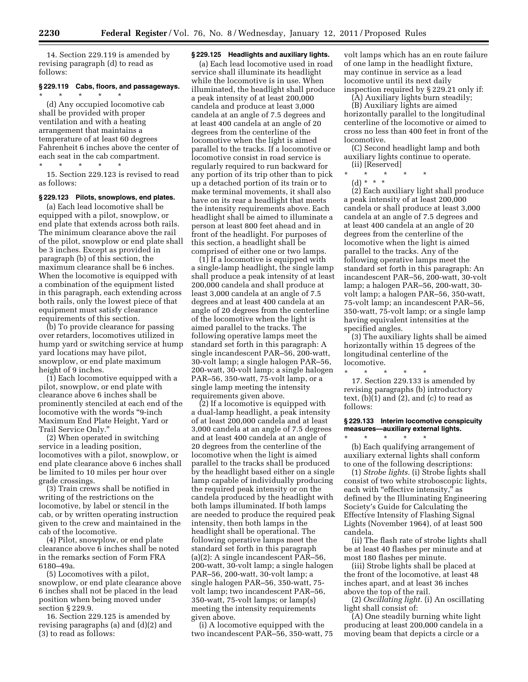14. Section 229.119 is amended by revising paragraph (d) to read as follows:

# **§ 229.119 Cabs, floors, and passageways.**

\* \* \* \* \* (d) Any occupied locomotive cab shall be provided with proper ventilation and with a heating arrangement that maintains a temperature of at least 60 degrees Fahrenheit 6 inches above the center of each seat in the cab compartment. \* \* \* \* \*

15. Section 229.123 is revised to read as follows:

# **§ 229.123 Pilots, snowplows, end plates.**

(a) Each lead locomotive shall be equipped with a pilot, snowplow, or end plate that extends across both rails. The minimum clearance above the rail of the pilot, snowplow or end plate shall be 3 inches. Except as provided in paragraph (b) of this section, the maximum clearance shall be 6 inches. When the locomotive is equipped with a combination of the equipment listed in this paragraph, each extending across both rails, only the lowest piece of that equipment must satisfy clearance requirements of this section.

(b) To provide clearance for passing over retarders, locomotives utilized in hump yard or switching service at hump yard locations may have pilot, snowplow, or end plate maximum height of 9 inches.

(1) Each locomotive equipped with a pilot, snowplow, or end plate with clearance above 6 inches shall be prominently stenciled at each end of the locomotive with the words ''9-inch Maximum End Plate Height, Yard or Trail Service Only.''

(2) When operated in switching service in a leading position, locomotives with a pilot, snowplow, or end plate clearance above 6 inches shall be limited to 10 miles per hour over grade crossings.

(3) Train crews shall be notified in writing of the restrictions on the locomotive, by label or stencil in the cab, or by written operating instruction given to the crew and maintained in the cab of the locomotive.

(4) Pilot, snowplow, or end plate clearance above 6 inches shall be noted in the remarks section of Form FRA 6180–49a.

(5) Locomotives with a pilot, snowplow, or end plate clearance above 6 inches shall not be placed in the lead position when being moved under section § 229.9.

16. Section 229.125 is amended by revising paragraphs (a) and (d)(2) and (3) to read as follows:

# **§ 229.125 Headlights and auxiliary lights.**

(a) Each lead locomotive used in road service shall illuminate its headlight while the locomotive is in use. When illuminated, the headlight shall produce a peak intensity of at least 200,000 candela and produce at least 3,000 candela at an angle of 7.5 degrees and at least 400 candela at an angle of 20 degrees from the centerline of the locomotive when the light is aimed parallel to the tracks. If a locomotive or locomotive consist in road service is regularly required to run backward for any portion of its trip other than to pick up a detached portion of its train or to make terminal movements, it shall also have on its rear a headlight that meets the intensity requirements above. Each headlight shall be aimed to illuminate a person at least 800 feet ahead and in front of the headlight. For purposes of this section, a headlight shall be comprised of either one or two lamps.

(1) If a locomotive is equipped with a single-lamp headlight, the single lamp shall produce a peak intensity of at least 200,000 candela and shall produce at least 3,000 candela at an angle of 7.5 degrees and at least 400 candela at an angle of 20 degrees from the centerline of the locomotive when the light is aimed parallel to the tracks. The following operative lamps meet the standard set forth in this paragraph: A single incandescent PAR–56, 200-watt, 30-volt lamp; a single halogen PAR–56, 200-watt, 30-volt lamp; a single halogen PAR–56, 350-watt, 75-volt lamp, or a single lamp meeting the intensity requirements given above.

(2) If a locomotive is equipped with a dual-lamp headlight, a peak intensity of at least 200,000 candela and at least 3,000 candela at an angle of 7.5 degrees and at least 400 candela at an angle of 20 degrees from the centerline of the locomotive when the light is aimed parallel to the tracks shall be produced by the headlight based either on a single lamp capable of individually producing the required peak intensity or on the candela produced by the headlight with both lamps illuminated. If both lamps are needed to produce the required peak intensity, then both lamps in the headlight shall be operational. The following operative lamps meet the standard set forth in this paragraph (a)(2): A single incandescent PAR–56, 200-watt, 30-volt lamp; a single halogen PAR–56, 200-watt, 30-volt lamp; a single halogen PAR–56, 350-watt, 75 volt lamp; two incandescent PAR–56, 350-watt, 75-volt lamps; or lamp(s) meeting the intensity requirements given above.

(i) A locomotive equipped with the two incandescent PAR–56, 350-watt, 75

volt lamps which has an en route failure of one lamp in the headlight fixture, may continue in service as a lead locomotive until its next daily inspection required by § 229.21 only if:

(A) Auxiliary lights burn steadily;

(B) Auxiliary lights are aimed horizontally parallel to the longitudinal centerline of the locomotive or aimed to cross no less than 400 feet in front of the locomotive.

(C) Second headlight lamp and both auxiliary lights continue to operate.

- (ii) [Reserved]
- \* \* \* \* \*
	- (d) \* \* \*

(2) Each auxiliary light shall produce a peak intensity of at least 200,000 candela or shall produce at least 3,000 candela at an angle of 7.5 degrees and at least 400 candela at an angle of 20 degrees from the centerline of the locomotive when the light is aimed parallel to the tracks. Any of the following operative lamps meet the standard set forth in this paragraph: An incandescent PAR–56, 200-watt, 30-volt lamp; a halogen PAR–56, 200-watt, 30 volt lamp; a halogen PAR–56, 350-watt, 75-volt lamp; an incandescent PAR–56, 350-watt, 75-volt lamp; or a single lamp having equivalent intensities at the specified angles.

(3) The auxiliary lights shall be aimed horizontally within 15 degrees of the longitudinal centerline of the locomotive.

\* \* \* \* \* 17. Section 229.133 is amended by revising paragraphs (b) introductory text,  $(b)(1)$  and  $(2)$ , and  $(c)$  to read as follows:

# **§ 229.133 Interim locomotive conspicuity measures—auxiliary external lights.**

\* \* \* \* \* (b) Each qualifying arrangement of auxiliary external lights shall conform to one of the following descriptions:

(1) *Strobe lights.* (i) Strobe lights shall consist of two white stroboscopic lights, each with "effective intensity," as defined by the Illuminating Engineering Society's Guide for Calculating the Effective Intensity of Flashing Signal Lights (November 1964), of at least 500 candela.

(ii) The flash rate of strobe lights shall be at least 40 flashes per minute and at most 180 flashes per minute.

(iii) Strobe lights shall be placed at the front of the locomotive, at least 48 inches apart, and at least 36 inches above the top of the rail.

(2) *Oscillating light.* (i) An oscillating light shall consist of:

(A) One steadily burning white light producing at least 200,000 candela in a moving beam that depicts a circle or a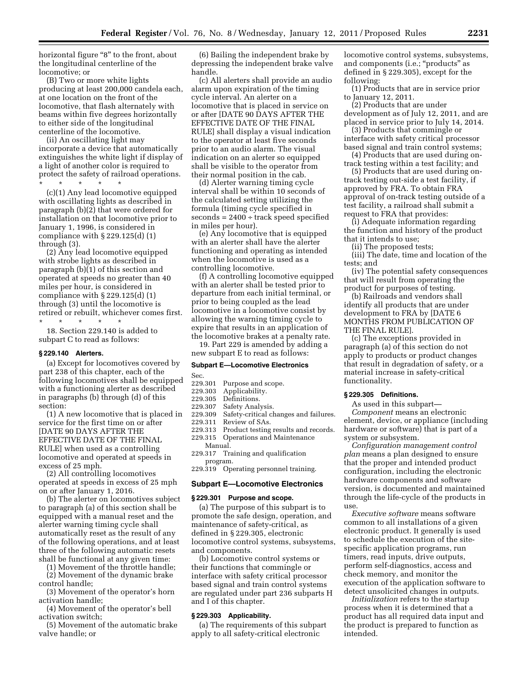horizontal figure "8" to the front, about the longitudinal centerline of the locomotive; or

(B) Two or more white lights producing at least 200,000 candela each, at one location on the front of the locomotive, that flash alternately with beams within five degrees horizontally to either side of the longitudinal centerline of the locomotive.

(ii) An oscillating light may incorporate a device that automatically extinguishes the white light if display of a light of another color is required to protect the safety of railroad operations. \* \* \* \* \*

(c)(1) Any lead locomotive equipped with oscillating lights as described in paragraph (b)(2) that were ordered for installation on that locomotive prior to January 1, 1996, is considered in compliance with  $\S 229.125(d)$  (1) through (3).

(2) Any lead locomotive equipped with strobe lights as described in paragraph (b)(1) of this section and operated at speeds no greater than 40 miles per hour, is considered in compliance with § 229.125(d) (1) through (3) until the locomotive is retired or rebuilt, whichever comes first. \* \* \* \* \*

18. Section 229.140 is added to subpart C to read as follows:

# **§ 229.140 Alerters.**

(a) Except for locomotives covered by part 238 of this chapter, each of the following locomotives shall be equipped with a functioning alerter as described in paragraphs (b) through (d) of this section:

(1) A new locomotive that is placed in service for the first time on or after [DATE 90 DAYS AFTER THE EFFECTIVE DATE OF THE FINAL RULE] when used as a controlling locomotive and operated at speeds in excess of 25 mph.

(2) All controlling locomotives operated at speeds in excess of 25 mph on or after January 1, 2016.

(b) The alerter on locomotives subject to paragraph (a) of this section shall be equipped with a manual reset and the alerter warning timing cycle shall automatically reset as the result of any of the following operations, and at least three of the following automatic resets shall be functional at any given time:

(1) Movement of the throttle handle;

(2) Movement of the dynamic brake control handle;

(3) Movement of the operator's horn activation handle;

(4) Movement of the operator's bell activation switch;

(5) Movement of the automatic brake valve handle; or

(6) Bailing the independent brake by depressing the independent brake valve handle.

(c) All alerters shall provide an audio alarm upon expiration of the timing cycle interval. An alerter on a locomotive that is placed in service on or after [DATE 90 DAYS AFTER THE EFFECTIVE DATE OF THE FINAL RULE] shall display a visual indication to the operator at least five seconds prior to an audio alarm. The visual indication on an alerter so equipped shall be visible to the operator from their normal position in the cab.

(d) Alerter warning timing cycle interval shall be within 10 seconds of the calculated setting utilizing the formula (timing cycle specified in  $seconds = 2400 + track speed specified$ in miles per hour).

(e) Any locomotive that is equipped with an alerter shall have the alerter functioning and operating as intended when the locomotive is used as a controlling locomotive.

(f) A controlling locomotive equipped with an alerter shall be tested prior to departure from each initial terminal, or prior to being coupled as the lead locomotive in a locomotive consist by allowing the warning timing cycle to expire that results in an application of the locomotive brakes at a penalty rate. 19. Part 229 is amended by adding a

new subpart E to read as follows:

# **Subpart E—Locomotive Electronics**

Sec.

- 229.301 Purpose and scope.<br>229.303 Applicability.
- Applicability.
- 229.305 Definitions.<br>229.307 Safety Anal
- 229.307 Safety Analysis.<br>229.309 Safety-critical ch
- 229.309 Safety-critical changes and failures.
- 229.311 Review of SAs.<br>229.313 Product testing

Product testing results and records.

229.315 Operations and Maintenance Manual.

229.317 Training and qualification program.

229.319 Operating personnel training.

# **Subpart E—Locomotive Electronics**

# **§ 229.301 Purpose and scope.**

(a) The purpose of this subpart is to promote the safe design, operation, and maintenance of safety-critical, as defined in § 229.305, electronic locomotive control systems, subsystems, and components.

(b) Locomotive control systems or their functions that commingle or interface with safety critical processor based signal and train control systems are regulated under part 236 subparts H and I of this chapter.

# **§ 229.303 Applicability.**

(a) The requirements of this subpart apply to all safety-critical electronic

locomotive control systems, subsystems, and components (i.e.; "products" as defined in § 229.305), except for the following:

(1) Products that are in service prior to January 12, 2011.

(2) Products that are under development as of July 12, 2011, and are placed in service prior to July 14, 2014.

(3) Products that commingle or interface with safety critical processor based signal and train control systems;

(4) Products that are used during ontrack testing within a test facility; and

(5) Products that are used during ontrack testing out-side a test facility, if approved by FRA. To obtain FRA approval of on-track testing outside of a test facility, a railroad shall submit a request to FRA that provides:

(i) Adequate information regarding the function and history of the product that it intends to use;

(ii) The proposed tests;

(iii) The date, time and location of the tests; and

(iv) The potential safety consequences that will result from operating the product for purposes of testing.

(b) Railroads and vendors shall identify all products that are under development to FRA by [DATE 6 MONTHS FROM PUBLICATION OF THE FINAL RULE].

(c) The exceptions provided in paragraph (a) of this section do not apply to products or product changes that result in degradation of safety, or a material increase in safety-critical functionality.

# **§ 229.305 Definitions.**

As used in this subpart— *Component* means an electronic element, device, or appliance (including hardware or software) that is part of a system or subsystem.

*Configuration management control plan* means a plan designed to ensure that the proper and intended product configuration, including the electronic hardware components and software version, is documented and maintained through the life-cycle of the products in use.

*Executive software* means software common to all installations of a given electronic product. It generally is used to schedule the execution of the sitespecific application programs, run timers, read inputs, drive outputs, perform self-diagnostics, access and check memory, and monitor the execution of the application software to detect unsolicited changes in outputs.

*Initialization* refers to the startup process when it is determined that a product has all required data input and the product is prepared to function as intended.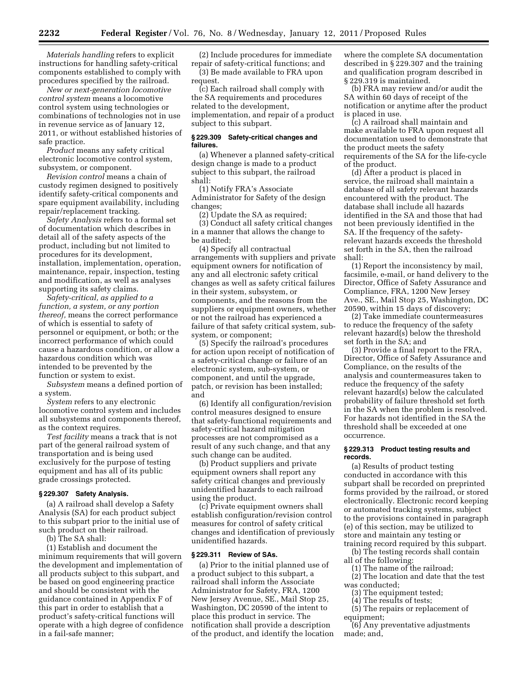*Materials handling* refers to explicit instructions for handling safety-critical components established to comply with procedures specified by the railroad.

*New or next-generation locomotive control system* means a locomotive control system using technologies or combinations of technologies not in use in revenue service as of January 12, 2011, or without established histories of safe practice.

*Product* means any safety critical electronic locomotive control system, subsystem, or component.

*Revision control* means a chain of custody regimen designed to positively identify safety-critical components and spare equipment availability, including repair/replacement tracking.

*Safety Analysis* refers to a formal set of documentation which describes in detail all of the safety aspects of the product, including but not limited to procedures for its development, installation, implementation, operation, maintenance, repair, inspection, testing and modification, as well as analyses supporting its safety claims.

*Safety-critical, as applied to a function, a system, or any portion thereof,* means the correct performance of which is essential to safety of personnel or equipment, or both; or the incorrect performance of which could cause a hazardous condition, or allow a hazardous condition which was intended to be prevented by the function or system to exist.

*Subsystem* means a defined portion of a system.

*System* refers to any electronic locomotive control system and includes all subsystems and components thereof, as the context requires.

*Test facility* means a track that is not part of the general railroad system of transportation and is being used exclusively for the purpose of testing equipment and has all of its public grade crossings protected.

# **§ 229.307 Safety Analysis.**

(a) A railroad shall develop a Safety Analysis (SA) for each product subject to this subpart prior to the initial use of such product on their railroad.

(b) The SA shall:

(1) Establish and document the minimum requirements that will govern the development and implementation of all products subject to this subpart, and be based on good engineering practice and should be consistent with the guidance contained in Appendix F of this part in order to establish that a product's safety-critical functions will operate with a high degree of confidence in a fail-safe manner;

(2) Include procedures for immediate repair of safety-critical functions; and (3) Be made available to FRA upon request.

(c) Each railroad shall comply with the SA requirements and procedures related to the development, implementation, and repair of a product subject to this subpart.

# **§ 229.309 Safety-critical changes and failures.**

(a) Whenever a planned safety-critical design change is made to a product subject to this subpart, the railroad shall:

(1) Notify FRA's Associate Administrator for Safety of the design changes;

(2) Update the SA as required; (3) Conduct all safety critical changes in a manner that allows the change to be audited;

(4) Specify all contractual arrangements with suppliers and private equipment owners for notification of any and all electronic safety critical changes as well as safety critical failures in their system, subsystem, or components, and the reasons from the suppliers or equipment owners, whether or not the railroad has experienced a failure of that safety critical system, subsystem, or component;

(5) Specify the railroad's procedures for action upon receipt of notification of a safety-critical change or failure of an electronic system, sub-system, or component, and until the upgrade, patch, or revision has been installed; and

(6) Identify all configuration/revision control measures designed to ensure that safety-functional requirements and safety-critical hazard mitigation processes are not compromised as a result of any such change, and that any such change can be audited.

(b) Product suppliers and private equipment owners shall report any safety critical changes and previously unidentified hazards to each railroad using the product.

(c) Private equipment owners shall establish configuration/revision control measures for control of safety critical changes and identification of previously unidentified hazards.

# **§ 229.311 Review of SAs.**

(a) Prior to the initial planned use of a product subject to this subpart, a railroad shall inform the Associate Administrator for Safety, FRA, 1200 New Jersey Avenue, SE., Mail Stop 25, Washington, DC 20590 of the intent to place this product in service. The notification shall provide a description of the product, and identify the location where the complete SA documentation described in § 229.307 and the training and qualification program described in § 229.319 is maintained.

(b) FRA may review and/or audit the SA within 60 days of receipt of the notification or anytime after the product is placed in use.

(c) A railroad shall maintain and make available to FRA upon request all documentation used to demonstrate that the product meets the safety requirements of the SA for the life-cycle of the product.

(d) After a product is placed in service, the railroad shall maintain a database of all safety relevant hazards encountered with the product. The database shall include all hazards identified in the SA and those that had not been previously identified in the SA. If the frequency of the safetyrelevant hazards exceeds the threshold set forth in the SA, then the railroad shall:

(1) Report the inconsistency by mail, facsimile, e-mail, or hand delivery to the Director, Office of Safety Assurance and Compliance, FRA, 1200 New Jersey Ave., SE., Mail Stop 25, Washington, DC 20590, within 15 days of discovery;

(2) Take immediate countermeasures to reduce the frequency of the safety relevant hazard(s) below the threshold set forth in the SA; and

(3) Provide a final report to the FRA, Director, Office of Safety Assurance and Compliance, on the results of the analysis and countermeasures taken to reduce the frequency of the safety relevant hazard(s) below the calculated probability of failure threshold set forth in the SA when the problem is resolved. For hazards not identified in the SA the threshold shall be exceeded at one occurrence.

# **§ 229.313 Product testing results and records.**

(a) Results of product testing conducted in accordance with this subpart shall be recorded on preprinted forms provided by the railroad, or stored electronically. Electronic record keeping or automated tracking systems, subject to the provisions contained in paragraph (e) of this section, may be utilized to store and maintain any testing or training record required by this subpart.

(b) The testing records shall contain all of the following:

(1) The name of the railroad;

(2) The location and date that the test was conducted;

- (3) The equipment tested;
- (4) The results of tests;
- (5) The repairs or replacement of equipment;

(6) Any preventative adjustments made; and,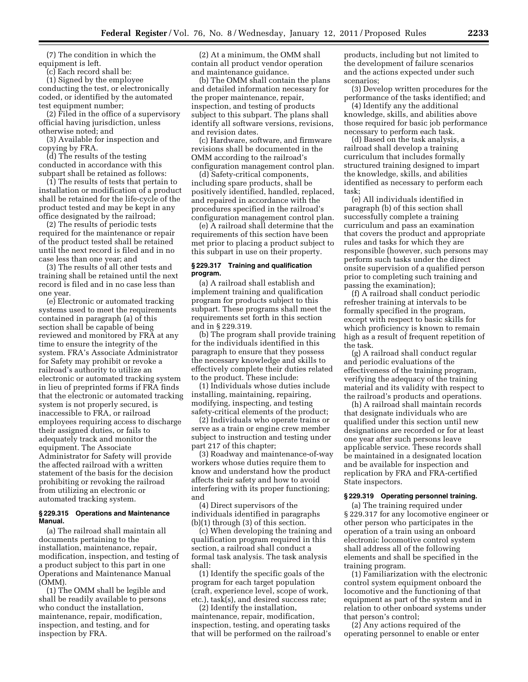(7) The condition in which the equipment is left.

(c) Each record shall be:

(1) Signed by the employee conducting the test, or electronically coded, or identified by the automated test equipment number;

(2) Filed in the office of a supervisory official having jurisdiction, unless otherwise noted; and

(3) Available for inspection and copying by FRA.

(d) The results of the testing conducted in accordance with this subpart shall be retained as follows:

(1) The results of tests that pertain to installation or modification of a product shall be retained for the life-cycle of the product tested and may be kept in any office designated by the railroad;

(2) The results of periodic tests required for the maintenance or repair of the product tested shall be retained until the next record is filed and in no case less than one year; and

(3) The results of all other tests and training shall be retained until the next record is filed and in no case less than one year.

(e) Electronic or automated tracking systems used to meet the requirements contained in paragraph (a) of this section shall be capable of being reviewed and monitored by FRA at any time to ensure the integrity of the system. FRA's Associate Administrator for Safety may prohibit or revoke a railroad's authority to utilize an electronic or automated tracking system in lieu of preprinted forms if FRA finds that the electronic or automated tracking system is not properly secured, is inaccessible to FRA, or railroad employees requiring access to discharge their assigned duties, or fails to adequately track and monitor the equipment. The Associate Administrator for Safety will provide the affected railroad with a written statement of the basis for the decision prohibiting or revoking the railroad from utilizing an electronic or automated tracking system.

# **§ 229.315 Operations and Maintenance Manual.**

(a) The railroad shall maintain all documents pertaining to the installation, maintenance, repair, modification, inspection, and testing of a product subject to this part in one Operations and Maintenance Manual (OMM).

(1) The OMM shall be legible and shall be readily available to persons who conduct the installation, maintenance, repair, modification, inspection, and testing, and for inspection by FRA.

(2) At a minimum, the OMM shall contain all product vendor operation and maintenance guidance.

(b) The OMM shall contain the plans and detailed information necessary for the proper maintenance, repair, inspection, and testing of products subject to this subpart. The plans shall identify all software versions, revisions, and revision dates.

(c) Hardware, software, and firmware revisions shall be documented in the OMM according to the railroad's configuration management control plan.

(d) Safety-critical components, including spare products, shall be positively identified, handled, replaced, and repaired in accordance with the procedures specified in the railroad's configuration management control plan.

(e) A railroad shall determine that the requirements of this section have been met prior to placing a product subject to this subpart in use on their property.

# **§ 229.317 Training and qualification program.**

(a) A railroad shall establish and implement training and qualification program for products subject to this subpart. These programs shall meet the requirements set forth in this section and in § 229.319.

(b) The program shall provide training for the individuals identified in this paragraph to ensure that they possess the necessary knowledge and skills to effectively complete their duties related to the product. These include:

(1) Individuals whose duties include installing, maintaining, repairing, modifying, inspecting, and testing safety-critical elements of the product;

(2) Individuals who operate trains or serve as a train or engine crew member subject to instruction and testing under part 217 of this chapter;

(3) Roadway and maintenance-of-way workers whose duties require them to know and understand how the product affects their safety and how to avoid interfering with its proper functioning; and

(4) Direct supervisors of the individuals identified in paragraphs (b)(1) through (3) of this section.

(c) When developing the training and qualification program required in this section, a railroad shall conduct a formal task analysis. The task analysis shall:

(1) Identify the specific goals of the program for each target population (craft, experience level, scope of work, etc.), task(s), and desired success rate;

(2) Identify the installation, maintenance, repair, modification, inspection, testing, and operating tasks that will be performed on the railroad's products, including but not limited to the development of failure scenarios and the actions expected under such scenarios;

(3) Develop written procedures for the performance of the tasks identified; and

(4) Identify any the additional knowledge, skills, and abilities above those required for basic job performance necessary to perform each task.

(d) Based on the task analysis, a railroad shall develop a training curriculum that includes formally structured training designed to impart the knowledge, skills, and abilities identified as necessary to perform each task;

(e) All individuals identified in paragraph (b) of this section shall successfully complete a training curriculum and pass an examination that covers the product and appropriate rules and tasks for which they are responsible (however, such persons may perform such tasks under the direct onsite supervision of a qualified person prior to completing such training and passing the examination);

(f) A railroad shall conduct periodic refresher training at intervals to be formally specified in the program, except with respect to basic skills for which proficiency is known to remain high as a result of frequent repetition of the task.

(g) A railroad shall conduct regular and periodic evaluations of the effectiveness of the training program, verifying the adequacy of the training material and its validity with respect to the railroad's products and operations.

(h) A railroad shall maintain records that designate individuals who are qualified under this section until new designations are recorded or for at least one year after such persons leave applicable service. These records shall be maintained in a designated location and be available for inspection and replication by FRA and FRA-certified State inspectors.

# **§ 229.319 Operating personnel training.**

(a) The training required under § 229.317 for any locomotive engineer or other person who participates in the operation of a train using an onboard electronic locomotive control system shall address all of the following elements and shall be specified in the training program.

(1) Familiarization with the electronic control system equipment onboard the locomotive and the functioning of that equipment as part of the system and in relation to other onboard systems under that person's control;

(2) Any actions required of the operating personnel to enable or enter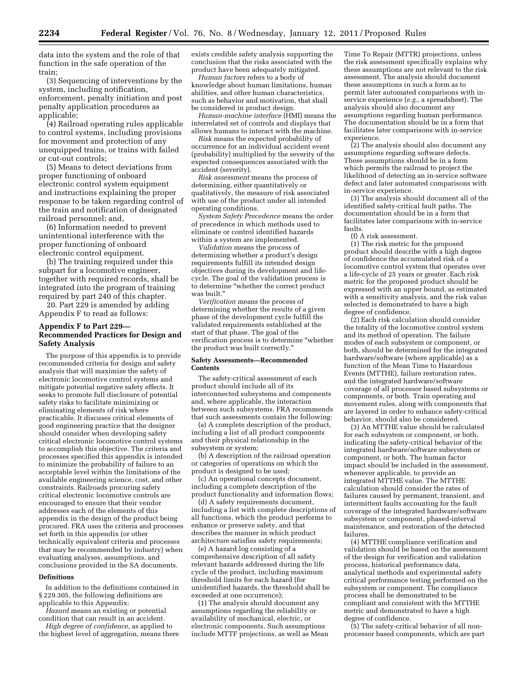data into the system and the role of that function in the safe operation of the train;

(3) Sequencing of interventions by the system, including notification, enforcement, penalty initiation and post penalty application procedures as applicable;

(4) Railroad operating rules applicable to control systems, including provisions for movement and protection of any unequipped trains, or trains with failed or cut-out controls;

(5) Means to detect deviations from proper functioning of onboard electronic control system equipment and instructions explaining the proper response to be taken regarding control of the train and notification of designated railroad personnel; and,

(6) Information needed to prevent unintentional interference with the proper functioning of onboard electronic control equipment.

(b) The training required under this subpart for a locomotive engineer, together with required records, shall be integrated into the program of training required by part 240 of this chapter.

20. Part 229 is amended by adding Appendix F to read as follows:

# **Appendix F to Part 229— Recommended Practices for Design and Safety Analysis**

The purpose of this appendix is to provide recommended criteria for design and safety analysis that will maximize the safety of electronic locomotive control systems and mitigate potential negative safety effects. It seeks to promote full disclosure of potential safety risks to facilitate minimizing or eliminating elements of risk where practicable. It discuses critical elements of good engineering practice that the designer should consider when developing safety critical electronic locomotive control systems to accomplish this objective. The criteria and processes specified this appendix is intended to minimize the probability of failure to an acceptable level within the limitations of the available engineering science, cost, and other constraints. Railroads procuring safety critical electronic locomotive controls are encouraged to ensure that their vendor addresses each of the elements of this appendix in the design of the product being procured. FRA uses the criteria and processes set forth in this appendix (or other technically equivalent criteria and processes that may be recommended by industry) when evaluating analyses, assumptions, and conclusions provided in the SA documents.

#### **Definitions**

In addition to the definitions contained in § 229.305, the following definitions are applicable to this Appendix:

*Hazard* means an existing or potential condition that can result in an accident.

*High degree of confidence,* as applied to the highest level of aggregation, means there exists credible safety analysis supporting the conclusion that the risks associated with the product have been adequately mitigated.

*Human factors* refers to a body of knowledge about human limitations, human abilities, and other human characteristics, such as behavior and motivation, that shall be considered in product design.

*Human-machine interface* (HMI) means the interrelated set of controls and displays that allows humans to interact with the machine.

*Risk* means the expected probability of occurrence for an individual accident event (probability) multiplied by the severity of the expected consequences associated with the accident (severity).

*Risk assessment* means the process of determining, either quantitatively or qualitatively, the measure of risk associated with use of the product under all intended operating conditions.

*System Safety Precedence* means the order of precedence in which methods used to eliminate or control identified hazards within a system are implemented.

*Validation* means the process of determining whether a product's design requirements fulfill its intended design objectives during its development and lifecycle. The goal of the validation process is to determine ''whether the correct product was built.''

*Verification* means the process of determining whether the results of a given phase of the development cycle fulfill the validated requirements established at the start of that phase. The goal of the verification process is to determine ''whether the product was built correctly.''

#### **Safety Assessments—Recommended Contents**

The safety-critical assessment of each product should include all of its interconnected subsystems and components and, where applicable, the interaction between such subsystems. FRA recommends that such assessments contain the following:

(a) A complete description of the product, including a list of all product components and their physical relationship in the subsystem or system;

(b) A description of the railroad operation or categories of operations on which the product is designed to be used;

(c) An operational concepts document, including a complete description of the product functionality and information flows;

(d) A safety requirements document, including a list with complete descriptions of all functions, which the product performs to enhance or preserve safety, and that describes the manner in which product architecture satisfies safety requirements;

(e) A hazard log consisting of a comprehensive description of all safety relevant hazards addressed during the life cycle of the product, including maximum threshold limits for each hazard (for unidentified hazards, the threshold shall be exceeded at one occurrence);

(1) The analysis should document any assumptions regarding the reliability or availability of mechanical, electric, or electronic components. Such assumptions include MTTF projections, as well as Mean Time To Repair (MTTR) projections, unless the risk assessment specifically explains why these assumptions are not relevant to the risk assessment. The analysis should document these assumptions in such a form as to permit later automated comparisons with inservice experience (*e.g.,* a spreadsheet). The analysis should also document any assumptions regarding human performance. The documentation should be in a form that facilitates later comparisons with in-service experience.

(2) The analysis should also document any assumptions regarding software defects. These assumptions should be in a form which permits the railroad to project the likelihood of detecting an in-service software defect and later automated comparisons with in-service experience.

(3) The analysis should document all of the identified safety-critical fault paths. The documentation should be in a form that facilitates later comparisons with in-service faults.

(f) A risk assessment.

(1) The risk metric for the proposed product should describe with a high degree of confidence the accumulated risk of a locomotive control system that operates over a life-cycle of 25 years or greater. Each risk metric for the proposed product should be expressed with an upper bound, as estimated with a sensitivity analysis, and the risk value selected is demonstrated to have a high degree of confidence.

(2) Each risk calculation should consider the totality of the locomotive control system and its method of operation. The failure modes of each subsystem or component, or both, should be determined for the integrated hardware/software (where applicable) as a function of the Mean Time to Hazardous Events (MTTHE), failure restoration rates, and the integrated hardware/software coverage of all processor based subsystems or components, or both. Train operating and movement rules, along with components that are layered in order to enhance safety-critical behavior, should also be considered.

(3) An MTTHE value should be calculated for each subsystem or component, or both, indicating the safety-critical behavior of the integrated hardware/software subsystem or component, or both. The human factor impact should be included in the assessment, whenever applicable, to provide an integrated MTTHE value. The MTTHE calculation should consider the rates of failures caused by permanent, transient, and intermittent faults accounting for the fault coverage of the integrated hardware/software subsystem or component, phased-interval maintenance, and restoration of the detected failures.

(4) MTTHE compliance verification and validation should be based on the assessment of the design for verification and validation process, historical performance data, analytical methods and experimental safety critical performance testing performed on the subsystem or component. The compliance process shall be demonstrated to be compliant and consistent with the MTTHE metric and demonstrated to have a high degree of confidence.

(5) The safety-critical behavior of all nonprocessor based components, which are part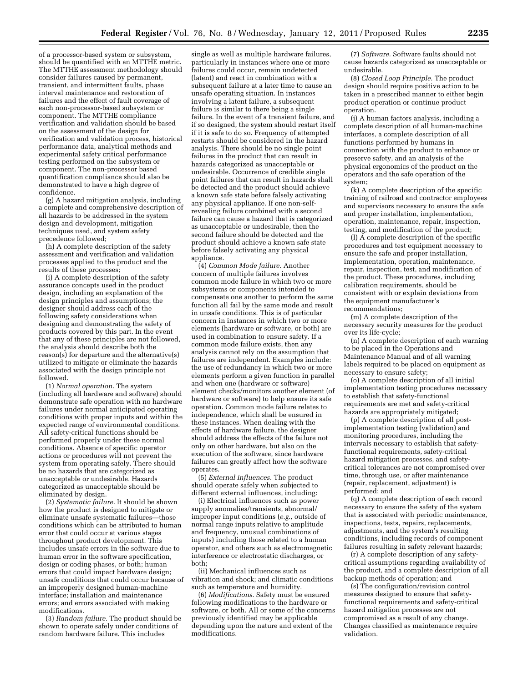of a processor-based system or subsystem, should be quantified with an MTTHE metric. The MTTHE assessment methodology should consider failures caused by permanent, transient, and intermittent faults, phase interval maintenance and restoration of failures and the effect of fault coverage of each non-processor-based subsystem or component. The MTTHE compliance verification and validation should be based on the assessment of the design for verification and validation process, historical performance data, analytical methods and experimental safety critical performance testing performed on the subsystem or component. The non-processor based quantification compliance should also be demonstrated to have a high degree of confidence.

(g) A hazard mitigation analysis, including a complete and comprehensive description of all hazards to be addressed in the system design and development, mitigation techniques used, and system safety precedence followed;

(h) A complete description of the safety assessment and verification and validation processes applied to the product and the results of these processes;

(i) A complete description of the safety assurance concepts used in the product design, including an explanation of the design principles and assumptions; the designer should address each of the following safety considerations when designing and demonstrating the safety of products covered by this part. In the event that any of these principles are not followed, the analysis should describe both the reason(s) for departure and the alternative(s) utilized to mitigate or eliminate the hazards associated with the design principle not followed.

(1) *Normal operation.* The system (including all hardware and software) should demonstrate safe operation with no hardware failures under normal anticipated operating conditions with proper inputs and within the expected range of environmental conditions. All safety-critical functions should be performed properly under these normal conditions. Absence of specific operator actions or procedures will not prevent the system from operating safely. There should be no hazards that are categorized as unacceptable or undesirable. Hazards categorized as unacceptable should be eliminated by design.

(2) *Systematic failure.* It should be shown how the product is designed to mitigate or eliminate unsafe systematic failures—those conditions which can be attributed to human error that could occur at various stages throughout product development. This includes unsafe errors in the software due to human error in the software specification, design or coding phases, or both; human errors that could impact hardware design; unsafe conditions that could occur because of an improperly designed human-machine interface; installation and maintenance errors; and errors associated with making modifications.

(3) *Random failure.* The product should be shown to operate safely under conditions of random hardware failure. This includes

single as well as multiple hardware failures, particularly in instances where one or more failures could occur, remain undetected (latent) and react in combination with a subsequent failure at a later time to cause an unsafe operating situation. In instances involving a latent failure, a subsequent failure is similar to there being a single failure. In the event of a transient failure, and if so designed, the system should restart itself if it is safe to do so. Frequency of attempted restarts should be considered in the hazard analysis. There should be no single point failures in the product that can result in hazards categorized as unacceptable or undesirable. Occurrence of credible single point failures that can result in hazards shall be detected and the product should achieve a known safe state before falsely activating any physical appliance. If one non-selfrevealing failure combined with a second failure can cause a hazard that is categorized as unacceptable or undesirable, then the second failure should be detected and the product should achieve a known safe state before falsely activating any physical appliance.

(4) *Common Mode failure.* Another concern of multiple failures involves common mode failure in which two or more subsystems or components intended to compensate one another to perform the same function all fail by the same mode and result in unsafe conditions. This is of particular concern in instances in which two or more elements (hardware or software, or both) are used in combination to ensure safety. If a common mode failure exists, then any analysis cannot rely on the assumption that failures are independent. Examples include: the use of redundancy in which two or more elements perform a given function in parallel and when one (hardware or software) element checks/monitors another element (of hardware or software) to help ensure its safe operation. Common mode failure relates to independence, which shall be ensured in these instances. When dealing with the effects of hardware failure, the designer should address the effects of the failure not only on other hardware, but also on the execution of the software, since hardware failures can greatly affect how the software operates.

(5) *External influences.* The product should operate safely when subjected to different external influences, including:

(i) Electrical influences such as power supply anomalies/transients, abnormal/ improper input conditions (*e.g.,* outside of normal range inputs relative to amplitude and frequency, unusual combinations of inputs) including those related to a human operator, and others such as electromagnetic interference or electrostatic discharges, or both;

(ii) Mechanical influences such as vibration and shock; and climatic conditions such as temperature and humidity.

(6) *Modifications.* Safety must be ensured following modifications to the hardware or software, or both. All or some of the concerns previously identified may be applicable depending upon the nature and extent of the modifications.

(7) *Software.* Software faults should not cause hazards categorized as unacceptable or undesirable.

(8) *Closed Loop Principle.* The product design should require positive action to be taken in a prescribed manner to either begin product operation or continue product operation.

(j) A human factors analysis, including a complete description of all human-machine interfaces, a complete description of all functions performed by humans in connection with the product to enhance or preserve safety, and an analysis of the physical ergonomics of the product on the operators and the safe operation of the system;

(k) A complete description of the specific training of railroad and contractor employees and supervisors necessary to ensure the safe and proper installation, implementation, operation, maintenance, repair, inspection, testing, and modification of the product;

(l) A complete description of the specific procedures and test equipment necessary to ensure the safe and proper installation, implementation, operation, maintenance, repair, inspection, test, and modification of the product. These procedures, including calibration requirements, should be consistent with or explain deviations from the equipment manufacturer's recommendations;

(m) A complete description of the necessary security measures for the product over its life-cycle;

(n) A complete description of each warning to be placed in the Operations and Maintenance Manual and of all warning labels required to be placed on equipment as necessary to ensure safety;

(o) A complete description of all initial implementation testing procedures necessary to establish that safety-functional requirements are met and safety-critical hazards are appropriately mitigated;

(p) A complete description of all postimplementation testing (validation) and monitoring procedures, including the intervals necessary to establish that safetyfunctional requirements, safety-critical hazard mitigation processes, and safetycritical tolerances are not compromised over time, through use, or after maintenance (repair, replacement, adjustment) is performed; and

(q) A complete description of each record necessary to ensure the safety of the system that is associated with periodic maintenance, inspections, tests, repairs, replacements, adjustments, and the system's resulting conditions, including records of component failures resulting in safety relevant hazards;

(r) A complete description of any safetycritical assumptions regarding availability of the product, and a complete description of all backup methods of operation; and

(s) The configuration/revision control measures designed to ensure that safetyfunctional requirements and safety-critical hazard mitigation processes are not compromised as a result of any change. Changes classified as maintenance require validation.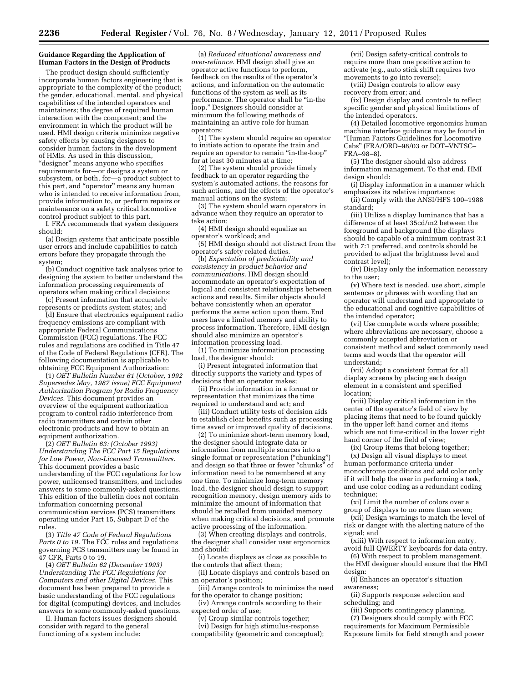#### **Guidance Regarding the Application of Human Factors in the Design of Products**

The product design should sufficiently incorporate human factors engineering that is appropriate to the complexity of the product; the gender, educational, mental, and physical capabilities of the intended operators and maintainers; the degree of required human interaction with the component; and the environment in which the product will be used. HMI design criteria minimize negative safety effects by causing designers to consider human factors in the development of HMIs. As used in this discussion, ''designer'' means anyone who specifies requirements for—or designs a system or subsystem, or both, for—a product subject to this part, and ''operator'' means any human who is intended to receive information from, provide information to, or perform repairs or maintenance on a safety critical locomotive control product subject to this part.

I. FRA recommends that system designers should:

(a) Design systems that anticipate possible user errors and include capabilities to catch errors before they propagate through the system;

(b) Conduct cognitive task analyses prior to designing the system to better understand the information processing requirements of operators when making critical decisions; (c) Present information that accurately

represents or predicts system states; and

(d) Ensure that electronics equipment radio frequency emissions are compliant with appropriate Federal Communications Commission (FCC) regulations. The FCC rules and regulations are codified in Title 47 of the Code of Federal Regulations (CFR). The following documentation is applicable to obtaining FCC Equipment Authorization:

(1) *OET Bulletin Number 61 (October, 1992 Supersedes May, 1987 issue) FCC Equipment Authorization Program for Radio Frequency Devices.* This document provides an overview of the equipment authorization program to control radio interference from radio transmitters and certain other electronic products and how to obtain an equipment authorization.

(2) *OET Bulletin 63: (October 1993) Understanding The FCC Part 15 Regulations for Low Power, Non-Licensed Transmitters.*  This document provides a basic understanding of the FCC regulations for low power, unlicensed transmitters, and includes answers to some commonly-asked questions. This edition of the bulletin does not contain information concerning personal communication services (PCS) transmitters operating under Part 15, Subpart D of the rules.

(3) *Title 47 Code of Federal Regulations Parts 0 to 19.* The FCC rules and regulations governing PCS transmitters may be found in 47 CFR, Parts 0 to 19.

(4) *OET Bulletin 62 (December 1993) Understanding The FCC Regulations for Computers and other Digital Devices.* This document has been prepared to provide a basic understanding of the FCC regulations for digital (computing) devices, and includes answers to some commonly-asked questions.

II. Human factors issues designers should consider with regard to the general functioning of a system include:

(a) *Reduced situational awareness and over-reliance.* HMI design shall give an operator active functions to perform, feedback on the results of the operator's actions, and information on the automatic functions of the system as well as its performance. The operator shall be "in-the loop." Designers should consider at minimum the following methods of maintaining an active role for human operators:

(1) The system should require an operator to initiate action to operate the train and require an operator to remain "in-the-loop" for at least 30 minutes at a time;

(2) The system should provide timely feedback to an operator regarding the system's automated actions, the reasons for such actions, and the effects of the operator's manual actions on the system;

(3) The system should warn operators in advance when they require an operator to take action;

(4) HMI design should equalize an operator's workload; and

(5) HMI design should not distract from the operator's safety related duties.

(b) *Expectation of predictability and consistency in product behavior and communications.* HMI design should accommodate an operator's expectation of logical and consistent relationships between actions and results. Similar objects should behave consistently when an operator performs the same action upon them. End users have a limited memory and ability to process information. Therefore, HMI design should also minimize an operator's information processing load.

(1) To minimize information processing load, the designer should:

(i) Present integrated information that directly supports the variety and types of decisions that an operator makes;

(ii) Provide information in a format or representation that minimizes the time required to understand and act; and

(iii) Conduct utility tests of decision aids to establish clear benefits such as processing time saved or improved quality of decisions.

(2) To minimize short-term memory load, the designer should integrate data or information from multiple sources into a single format or representation ("chunking") and design so that three or fewer "chunks" of information need to be remembered at any one time. To minimize long-term memory load, the designer should design to support recognition memory, design memory aids to minimize the amount of information that should be recalled from unaided memory when making critical decisions, and promote active processing of the information.

(3) When creating displays and controls, the designer shall consider user ergonomics and should:

(i) Locate displays as close as possible to the controls that affect them;

(ii) Locate displays and controls based on an operator's position;

(iii) Arrange controls to minimize the need for the operator to change position;

(iv) Arrange controls according to their expected order of use;

 $\bar{v}$ ) Group similar controls together;

(vi) Design for high stimulus-response compatibility (geometric and conceptual);

(vii) Design safety-critical controls to require more than one positive action to activate (e.g., auto stick shift requires two movements to go into reverse);

(viii) Design controls to allow easy recovery from error; and

(ix) Design display and controls to reflect specific gender and physical limitations of the intended operators.

(4) Detailed locomotive ergonomics human machine interface guidance may be found in ''Human Factors Guidelines for Locomotive Cabs'' (FRA/ORD–98/03 or DOT–VNTSC– FRA–98–8).

(5) The designer should also address information management. To that end, HMI design should:

(i) Display information in a manner which emphasizes its relative importance;

(ii) Comply with the ANSI/HFS 100–1988 standard;

(iii) Utilize a display luminance that has a difference of at least 35cd/m2 between the foreground and background (the displays should be capable of a minimum contrast 3:1 with 7:1 preferred, and controls should be provided to adjust the brightness level and contrast level);

(iv) Display only the information necessary to the user;

(v) Where text is needed, use short, simple sentences or phrases with wording that an operator will understand and appropriate to the educational and cognitive capabilities of the intended operator;

(vi) Use complete words where possible; where abbreviations are necessary, choose a commonly accepted abbreviation or consistent method and select commonly used terms and words that the operator will understand;

(vii) Adopt a consistent format for all display screens by placing each design element in a consistent and specified location;

(viii) Display critical information in the center of the operator's field of view by placing items that need to be found quickly in the upper left hand corner and items which are not time-critical in the lower right hand corner of the field of view;

(ix) Group items that belong together; (x) Design all visual displays to meet human performance criteria under monochrome conditions and add color only if it will help the user in performing a task, and use color coding as a redundant coding technique:

(xi) Limit the number of colors over a group of displays to no more than seven;

(xii) Design warnings to match the level of risk or danger with the alerting nature of the signal; and

(xiii) With respect to information entry, avoid full QWERTY keyboards for data entry.

(6) With respect to problem management, the HMI designer should ensure that the HMI design:

(i) Enhances an operator's situation awareness;

(ii) Supports response selection and scheduling; and

(iii) Supports contingency planning.

(7) Designers should comply with FCC

requirements for Maximum Permissible Exposure limits for field strength and power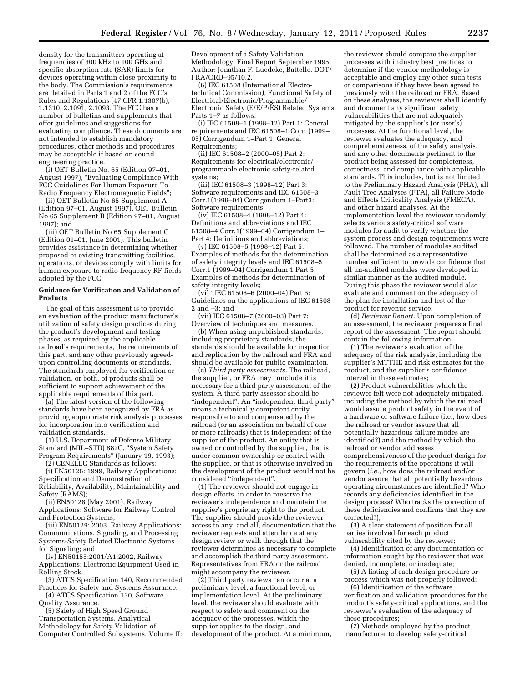density for the transmitters operating at frequencies of 300 kHz to 100 GHz and specific absorption rate (SAR) limits for devices operating within close proximity to the body. The Commission's requirements are detailed in Parts 1 and 2 of the FCC's Rules and Regulations [47 CFR 1.1307(b), 1.1310, 2.1091, 2.1093. The FCC has a number of bulletins and supplements that offer guidelines and suggestions for evaluating compliance. These documents are not intended to establish mandatory procedures, other methods and procedures may be acceptable if based on sound engineering practice.

(i) OET Bulletin No. 65 (Edition 97–01, August 1997), ''Evaluating Compliance With FCC Guidelines For Human Exposure To Radio Frequency Electromagnetic Fields'';

(ii) OET Bulletin No 65 Supplement A, (Edition 97–01, August 1997), OET Bulletin No 65 Supplement B (Edition 97–01, August 1997); and

(iii) OET Bulletin No 65 Supplement C (Edition 01–01, June 2001). This bulletin provides assistance in determining whether proposed or existing transmitting facilities, operations, or devices comply with limits for human exposure to radio frequency RF fields adopted by the FCC.

# **Guidance for Verification and Validation of Products**

The goal of this assessment is to provide an evaluation of the product manufacturer's utilization of safety design practices during the product's development and testing phases, as required by the applicable railroad's requirements, the requirements of this part, and any other previously agreedupon controlling documents or standards. The standards employed for verification or validation, or both, of products shall be sufficient to support achievement of the applicable requirements of this part.

(a) The latest version of the following standards have been recognized by FRA as providing appropriate risk analysis processes for incorporation into verification and validation standards.

(1) U.S. Department of Defense Military Standard (MIL-STD) 882C, "System Safety Program Requirements'' (January 19, 1993);

(2) CENELEC Standards as follows: (i) EN50126: 1999, Railway Applications:

Specification and Demonstration of Reliability, Availability, Maintainability and Safety (RAMS);

(ii) EN50128 (May 2001), Railway Applications: Software for Railway Control and Protection Systems;

(iii) EN50129: 2003, Railway Applications: Communications, Signaling, and Processing Systems-Safety Related Electronic Systems for Signaling; and

(iv) EN50155:2001/A1:2002, Railway Applications: Electronic Equipment Used in Rolling Stock.

(3) ATCS Specification 140, Recommended Practices for Safety and Systems Assurance. (4) ATCS Specification 130, Software

Quality Assurance.

(5) Safety of High Speed Ground Transportation Systems. Analytical Methodology for Safety Validation of Computer Controlled Subsystems. Volume II: Development of a Safety Validation Methodology. Final Report September 1995. Author: Jonathan F. Luedeke, Battelle. DOT/ FRA/ORD–95/10.2.

(6) IEC 61508 (International Electrotechnical Commission), Functional Safety of Electrical/Electronic/Programmable/ Electronic Safety (E/E/P/ES) Related Systems, Parts 1–7 as follows:

(i) IEC 61508–1 (1998–12) Part 1: General requirements and IEC 61508–1 Corr. (1999– 05) Corrigendum 1–Part 1: General Requirements;

(ii) IEC 61508–2 (2000–05) Part 2: Requirements for electrical/electronic/ programmable electronic safety-related systems;

(iii) IEC 61508–3 (1998–12) Part 3: Software requirements and IEC 61508–3 Corr.1(1999–04) Corrigendum 1–Part3: Software requirements;

(iv) IEC 61508–4 (1998–12) Part 4: Definitions and abbreviations and IEC 61508–4 Corr.1(1999–04) Corrigendum 1– Part 4: Definitions and abbreviations;

(v) IEC 61508–5 (1998–12) Part 5: Examples of methods for the determination of safety integrity levels and IEC 61508–5 Corr.1 (1999–04) Corrigendum 1 Part 5: Examples of methods for determination of safety integrity levels;

(vi) 1IEC 61508–6 (2000–04) Part 6: Guidelines on the applications of IEC 61508– 2 and –3; and

(vii) IEC 61508–7 (2000–03) Part 7: Overview of techniques and measures.

(b) When using unpublished standards, including proprietary standards, the standards should be available for inspection and replication by the railroad and FRA and should be available for public examination.

(c) *Third party assessments.* The railroad, the supplier, or FRA may conclude it is necessary for a third party assessment of the system. A third party assessor should be ''independent''. An ''independent third party'' means a technically competent entity responsible to and compensated by the railroad (or an association on behalf of one or more railroads) that is independent of the supplier of the product. An entity that is owned or controlled by the supplier, that is under common ownership or control with the supplier, or that is otherwise involved in the development of the product would not be considered ''independent''.

(1) The reviewer should not engage in design efforts, in order to preserve the reviewer's independence and maintain the supplier's proprietary right to the product. The supplier should provide the reviewer access to any, and all, documentation that the reviewer requests and attendance at any design review or walk through that the reviewer determines as necessary to complete and accomplish the third party assessment. Representatives from FRA or the railroad might accompany the reviewer.

(2) Third party reviews can occur at a preliminary level, a functional level, or implementation level. At the preliminary level, the reviewer should evaluate with respect to safety and comment on the adequacy of the processes, which the supplier applies to the design, and development of the product. At a minimum,

the reviewer should compare the supplier processes with industry best practices to determine if the vendor methodology is acceptable and employ any other such tests or comparisons if they have been agreed to previously with the railroad or FRA. Based on these analyses, the reviewer shall identify and document any significant safety vulnerabilities that are not adequately mitigated by the supplier's (or user's) processes. At the functional level, the reviewer evaluates the adequacy, and comprehensiveness, of the safety analysis, and any other documents pertinent to the product being assessed for completeness, correctness, and compliance with applicable standards. This includes, but is not limited to the Preliminary Hazard Analysis (PHA), all Fault Tree Analyses (FTA), all Failure Mode and Effects Criticality Analysis (FMECA), and other hazard analyses. At the implementation level the reviewer randomly selects various safety-critical software modules for audit to verify whether the system process and design requirements were followed. The number of modules audited shall be determined as a representative number sufficient to provide confidence that all un-audited modules were developed in similar manner as the audited module. During this phase the reviewer would also evaluate and comment on the adequacy of the plan for installation and test of the product for revenue service.

(d) *Reviewer Report.* Upon completion of an assessment, the reviewer prepares a final report of the assessment. The report should contain the following information:

(1) The reviewer's evaluation of the adequacy of the risk analysis, including the supplier's MTTHE and risk estimates for the product, and the supplier's confidence interval in these estimates;

(2) Product vulnerabilities which the reviewer felt were not adequately mitigated, including the method by which the railroad would assure product safety in the event of a hardware or software failure (i.e., how does the railroad or vendor assure that all potentially hazardous failure modes are identified?) and the method by which the railroad or vendor addresses comprehensiveness of the product design for the requirements of the operations it will govern (*i.e.,* how does the railroad and/or vendor assure that all potentially hazardous operating circumstances are identified? Who records any deficiencies identified in the design process? Who tracks the correction of these deficiencies and confirms that they are corrected?);

(3) A clear statement of position for all parties involved for each product vulnerability cited by the reviewer;

(4) Identification of any documentation or information sought by the reviewer that was denied, incomplete, or inadequate;

(5) A listing of each design procedure or process which was not properly followed;

(6) Identification of the software verification and validation procedures for the product's safety-critical applications, and the reviewer's evaluation of the adequacy of these procedures;

(7) Methods employed by the product manufacturer to develop safety-critical